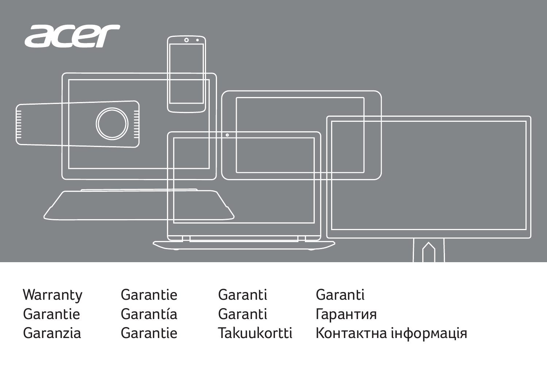

**Warranty** Garantie Garanzia

Garantie Garantía Garantie

Garanti Garanti Takuukortti

Garanti Гарантия Контактна інформація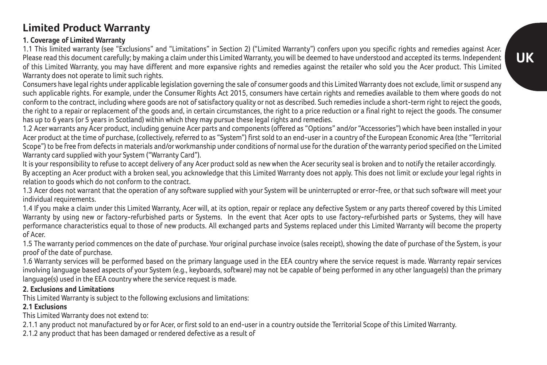# **Limited Product Warranty**

### **1. Coverage of Limited Warranty**

1.1 This limited warranty (see "Exclusions" and "Limitations" in Section 2) ("Limited Warranty") confers upon you specific rights and remedies against Acer. Please read this document carefully; by making a claim under this Limited Warranty, you will be deemed to have understood and accepted its terms. Independent of this Limited Warranty, you may have different and more expansive rights and remedies against the retailer who sold you the Acer product. This Limited Warranty does not operate to limit such rights.

Consumers have legal rights under applicable legislation governing the sale of consumer goods and this Limited Warranty does not exclude, limit or suspend any such applicable rights. For example, under the Consumer Rights Act 2015, consumers have certain rights and remedies available to them where goods do not conform to the contract, including where goods are not of satisfactory quality or not as described. Such remedies include a short-term right to reject the goods, the right to a repair or replacement of the goods and, in certain circumstances, the right to a price reduction or a final right to reject the goods. The consumer has up to 6 years (or 5 years in Scotland) within which they may pursue these legal rights and remedies.

1.2 Acer warrants any Acer product, including genuine Acer parts and components (offered as "Options" and/or "Accessories") which have been installed in your Acer product at the time of purchase, (collectively, referred to as "System") first sold to an end-user in a country of the European Economic Area (the "Territorial Scope") to be free from defects in materials and/or workmanship under conditions of normal use for the duration of the warranty period specified on the Limited Warranty card supplied with your System ("Warranty Card").

It is your responsibility to refuse to accept delivery of any Acer product sold as new when the Acer security seal is broken and to notify the retailer accordingly. By accepting an Acer product with a broken seal, you acknowledge that this Limited Warranty does not apply. This does not limit or exclude your legal rights in relation to goods which do not conform to the contract.

1.3 Acer does not warrant that the operation of any software supplied with your System will be uninterrupted or error-free, or that such software will meet your individual requirements.

1.4 If you make a claim under this Limited Warranty, Acer will, at its option, repair or replace any defective System or any parts thereof covered by this Limited Warranty by using new or factory-refurbished parts or Systems. In the event that Acer opts to use factory-refurbished parts or Systems, they will have performance characteristics equal to those of new products. All exchanged parts and Systems replaced under this Limited Warranty will become the property of Acer.

1.5 The warranty period commences on the date of purchase. Your original purchase invoice (sales receipt), showing the date of purchase of the System, is your proof of the date of purchase.

1.6 Warranty services will be performed based on the primary language used in the EEA country where the service request is made. Warranty repair services involving language based aspects of your System (e.g., keyboards, software) may not be capable of being performed in any other language(s) than the primary language(s) used in the EEA country where the service request is made.

### **2. Exclusions and Limitations**

This Limited Warranty is subject to the following exclusions and limitations:

### **2.1 Exclusions**

This Limited Warranty does not extend to:

2.1.1 any product not manufactured by or for Acer, or first sold to an end-user in a country outside the Territorial Scope of this Limited Warranty.

2.1.2 any product that has been damaged or rendered defective as a result of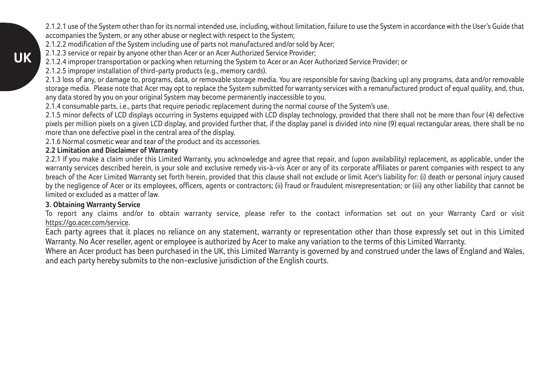2.1.2.1 use of the System other than for its normal intended use, including, without limitation, failure to use the System in accordance with the User's Guide that accompanies the System, or any other abuse or neglect with respect to the System;

2.1.2.2 modification of the System including use of parts not manufactured and/or sold by Acer:

2.1.2.3 service or repair by anyone other than Acer or an Acer Authorized Service Provider;

2.1.2.4 improper transportation or packing when returning the System to Acer or an Acer Authorized Service Provider; or

2.1.2.5 improper installation of third-party products (e.g., memory cards).

2.1.3 loss of any, or damage to, programs, data, or removable storage media. You are responsible for saving (backing up) any programs, data and/or removable storage media. Please note that Acer may opt to replace the System submitted for warranty services with a remanufactured product of equal quality, and, thus, any data stored by you on your original System may become permanently inaccessible to you.

2.1.4 consumable parts, i.e., parts that require periodic replacement during the normal course of the System's use.

2.1.5 minor defects of LCD displays occurring in Systems equipped with LCD display technology, provided that there shall not be more than four (4) defective pixels per million pixels on a given LCD display, and provided further that, if the display panel is divided into nine (9) equal rectangular areas, there shall be no more than one defective pixel in the central area of the display.

2.1.6 Normal cosmetic wear and tear of the product and its accessories.

#### **2.2 Limitation and Disclaimer of Warranty**

2.2.1 If you make a claim under this Limited Warranty, you acknowledge and agree that repair, and (upon availability) replacement, as applicable, under the warranty services described herein, is your sole and exclusive remedy vis-à-vis Acer or any of its corporate affiliates or parent companies with respect to any breach of the Acer Limited Warranty set forth herein, provided that this clause shall not exclude or limit Acer's liability for: (i) death or personal injury caused by the negligence of Acer or its employees, officers, agents or contractors; (ii) fraud or fraudulent misrepresentation; or (iii) any other liability that cannot be limited or excluded as a matter of law.

#### **3. Obtaining Warranty Service**

To report any claims and/or to obtain warranty service, please refer to the contact information set out on your Warranty Card or visit https://go.acer.com/service.

Each party agrees that it places no reliance on any statement, warranty or representation other than those expressly set out in this Limited Warranty. No Acer reseller, agent or employee is authorized by Acer to make any variation to the terms of this Limited Warranty.

Where an Acer product has been purchased in the UK, this Limited Warranty is governed by and construed under the laws of England and Wales, and each party hereby submits to the non-exclusive jurisdiction of the English courts.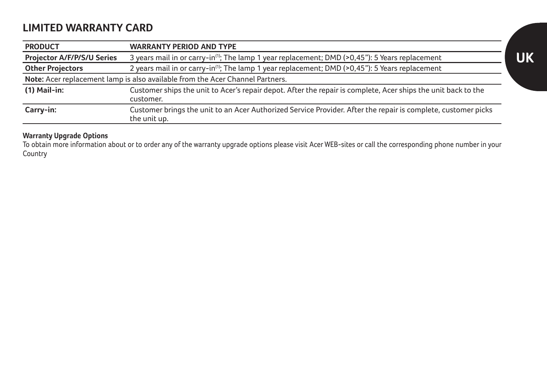# **LIMITED WARRANTY CARD**

| <b>PRODUCT</b>             | <b>WARRANTY PERIOD AND TYPE</b>                                                                                               |
|----------------------------|-------------------------------------------------------------------------------------------------------------------------------|
| Projector A/F/P/S/U Series | 3 years mail in or carry-in <sup>(1)</sup> ; The lamp 1 year replacement; DMD (>0,45"): 5 Years replacement                   |
| <b>Other Projectors</b>    | 2 years mail in or carry-in <sup>(1)</sup> ; The lamp 1 year replacement; DMD (>0,45"): 5 Years replacement                   |
|                            | Note: Acer replacement lamp is also available from the Acer Channel Partners.                                                 |
| $(1)$ Mail-in:             | Customer ships the unit to Acer's repair depot. After the repair is complete, Acer ships the unit back to the                 |
|                            | customer.                                                                                                                     |
| Carry-in:                  | Customer brings the unit to an Acer Authorized Service Provider. After the repair is complete, customer picks<br>the unit up. |

**Warranty Upgrade Options**<br>To obtain more information about or to order any of the warranty upgrade options please visit Acer WEB-sites or call the corresponding phone number in your Country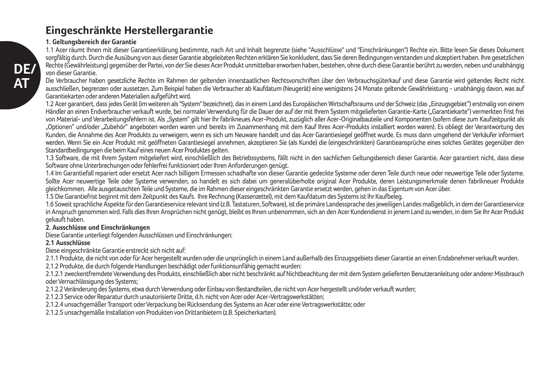# **Eingeschränkte Herstellergarantie**

#### **1. Geltungsbereich der Garantie**

1.1 Acer räumt Ihnen mit dieser Garantieerklärung bestimmte, nach Art und Inhalt begrenzte (siehe "Ausschlüsse" und "Einschränkungen") Rechte ein. Bitte lesen Sie dieses Dokument sorgfältig durch. Durch die Ausübung von aus dieser Garantie abgeleiteten Rechten erklären Sie konkludent, dass Sie deren Bedingungen verstanden und akzeptiert haben. Ihre gesetzlichen Rechte (Gewährleistung) gegenüber der Partei, von der Sie dieses Acer Produkt unmittelbar erworben haben, bestehen, ohne durch diese Garantie berührt zu werden, neben und unabhängig von dieser Garantie.

Die Verbraucher haben gesetzliche Rechte im Rahmen der geltenden innerstaatlichen Rechtsvorschriften über den Verbrauchsgüterkauf und diese Garantie wird geltendes Recht nicht ausschließen, begrenzen oder aussetzen. Zum Beispiel haben die Verbraucher ab Kaufdatum (Neugerät) eine wenigstens 24 Monate geltende Gewährleistung - unabhängig davon, was auf Garantiekarten oder anderen Materialien aufgeführt wird.

1.2 Acer garantiert, dass jedes Gerät (im weiteren als "System" bezeichnet), das in einem Land des Europäischen Wirtschaftsraums und der Schweiz (das "Einzugsgebiet") erstmalig von einem Händler an einen Endverbraucher verkauft wurde, bei normaler Verwendung für die Dauer der auf der mit Ihrem System mitgelieferten Garantie-Karte ("Garantiekarte") vermerkten Frist frei von Material- und Verarbeitungsfehlern ist. Als "System" gilt hier lhr fabrikneues Acer-Produkt, zuzüglich aller Acer-Originalbauteile und Komponenten (sofern diese zum Kaufzeitpunkt als "Optionen" und/oder "Zubehör" angeboten worden waren und bereits im Zusammenhang mit dem Kauf Ihres Acer-Produkts installiert worden waren). Es obliegt der Verantwortung des Kunden, die Annahme des Acer Produkts zu verweigern, wenn es sich um Neuware handelt und das Acer Garantiesiegel geöffnet wurde. Es muss dann umgehend der Verkäufer informiert werden. Wenn Sie ein Acer Produkt mit geöffneten Garantiesiegel annehmen, akzeptieren Sie (als Kunde) die (eingeschränkten) Garantieansprüche eines solches Gerätes gegenüber den Standardbedingungen die beim Kauf eines neuen Acer Produktes gelten.

1.3 Software, die mit Ihrem System mitgeliefert wird, einschließlich des Betriebssystems. Fällt nicht in den sachlichen Geltungsbereich dieser Garantie. Acer garantiert nicht, dass diese Software ohne Unterbrechungen oder fehlerfrei funktioniert oder Ihren Anforderungen genügt.

1.4 Im Garantiefall repariert oder ersetzt Acer nach billigem Ermessen schadhafte von dieser Garantie gedeckte Systeme oder deren Teile durch neue oder neuwertige Teile oder Systeme. Sollte Acer neuwertige Teile oder Systeme verwenden, so handelt es sich dabei um generalüberholte original Acer Produkte, deren Leistungsmerkmale denen fabrikneuer Produkte

gleichkommen. Alle ausgetauschten Teile und Systeme, die im Rahmen dieser eingeschränkten Garantie ersetzt werden, gehen in das Eigentum von Acer über.

1.5 Die Garantiefrist beginnt mit dem Zeitpunkt des Kaufs. Ihre Rechnung (Kassenzettel), mit dem Kaufdatum des Systems ist Ihr Kaufbeleg.

1.6 Soweit sprachliche Aspekte für den Garantieservice relevant sind (z.B. Tastaturen, Software), ist die primäre Landessprache des jeweiligen Landes maßgeblich, in dem der Garantieservice in Anspruch genommen wird. Falls dies Ihren Ansprüchen nicht genügt, bleibt es Ihnen unbenommen, sich an den Acer Kundendienst in jenem Land zu wenden, in dem Sie Ihr Acer Produkt gekauft haben.

#### **2. Ausschlüsse und Einschränkungen**

Diese Garantie unterliegt folgenden Ausschlüssen und Einschränkungen:

#### **2.1 Ausschlüsse**

Diese eingeschränkte Garantie erstreckt sich nicht auf:

2.1.1 Produkte, die nicht von oder für Acer hergestellt wurden oder die ursprünglich in einem Land außerhalb des Einzugsgebiets dieser Garantie an einen Endabnehmer verkauft wurden.

2.1.2 Produkte, die durch folgende Handlungen beschädigt oder funktionsunfähig gemacht wurden:

2.1.2.1 zweckentfremdete Verwendung des Produkts, einschließlich aber nicht beschränkt auf Nichtbeachtung der mit dem System gelieferten Benutzeranleitung oder anderer Missbrauch oder Vernachlässigung des Systems;

2.1.2.2 Veränderung des Systems, etwa durch Verwendung oder Einbau von Bestandteilen, die nicht von Acer hergestellt und/oder verkauft wurden;

2.1.2.3 Service oder Reparatur durch unautorisierte Dritte, d.h. nicht von Acer oder Acer-Vertragswerkstätten;

2.1.2.4 unsachgemäßer Transport oder Verpackung bei Rücksendung des Systems an Acer oder eine Vertragswerkstätte; oder

2.1.2.5 unsachgemäße Installation von Produkten von Drittanbietern (z.B. Speicherkarten).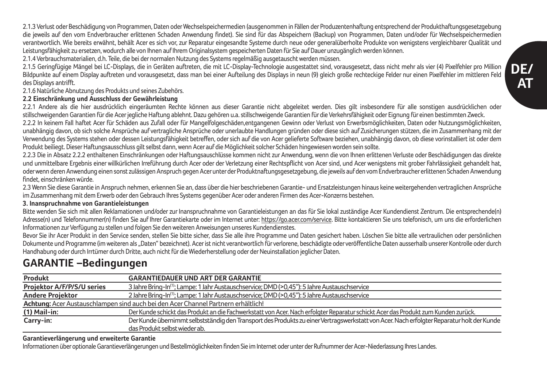**DE/ AT**

2.1.3 Verlust oder Beschädigung von Programmen, Daten oder Wechselspeichermedien (ausgenommen in Fällen der Produzentenhaftung entsprechend der Produkthaftungsgesetzgebung die jeweils auf den vom Endverbraucher erlittenen Schaden Anwendung findet). Sie sind für das Abspeichern (Backup) von Programmen, Daten und/oder für Wechselspeichermedien verantwortlich. Wie bereits erwähnt, behält Acer es sich vor, zur Reparatur eingesandte Systeme durch neue oder generalüberholte Produkte von wenigstens vergleichbarer Qualität und Leistungsfähigkeit zu ersetzen, wodurch alle von Ihnen auf Ihrem Originalsystem gespeicherten Daten für Sie auf Dauer unzugänglich werden können.

2.1.4 Verbrauchsmaterialien, d.h. Teile, die bei der normalen Nutzung des Systems regelmäßig ausgetauscht werden müssen.

2.1.5 Geringfügige Mängel bei LC-Displays, die in Geräten auftreten, die mit LC-Display-Technologie ausgestattet sind, vorausgesetzt, dass nicht mehr als vier (4) Pixelfehler pro Million Bildpunkte auf einem Display auftreten und vorausgesetzt, dass man bei einer Aufteilung des Displays in neun (9) gleich große rechteckige Felder nur einen Pixelfehler im mittleren Feld des Displays antrifft.

2.1.6 Natürliche Abnutzung des Produkts und seines Zubehörs.

#### **2.2 Einschränkung und Ausschluss der Gewährleistung**

2.2.1 Andere als die hier ausdrücklich eingeräumten Rechte können aus dieser Garantie nicht abgeleitet werden. Dies gilt insbesondere für alle sonstigen ausdrücklichen oder stillschweigenden Garantien für die Acer jegliche Haftung ablehnt. Dazu gehören u.a. stillschweigende Garantien für die Verkehrsfähigkeit oder Eignung für einen bestimmten Zweck.

2.2.2 In keinem Fall haftet Acer für Schäden aus Zufall oder für Mangelfolgeschäden,entgangenen Gewinn oder Verlust von Erwerbsmöglichkeiten, Daten oder Nutzungsmöglichkeiten, unabhängig davon, ob sich solche Ansprüche auf vertragliche Ansprüche oder unerlaubte Handlungen gründen oder diese sich auf Zusicherungen stützen, die im Zusammenhang mit der Verwendung des Systems stehen oder dessen Leistungsfähigkeit betreffen, oder sich auf die von Acer gelieferte Software beziehen, unabhängig davon, ob diese vorinstalliert ist oder dem Produkt beiliegt. Dieser Haftungsausschluss gilt selbst dann, wenn Acer auf die Möglichkeit solcher Schäden hingewiesen worden sein sollte.

2.2.3 Die in Absatz 2.2.2 enthaltenen Einschränkungen oder Haftungsauschlüsse kommen nicht zur Anwendung, wenn die von Ihnen erlittenen Verluste oder Beschädigungen das direkte und unmittelbare Ergebnis einer willkürlichen Irreführung durch Acer oder der Verletzung einer Rechtspflicht von Acer sind, und Acer wenigstens mit grober Fahrlässigkeit gehandelt hat. oder wenn deren Anwendung einen sonst zulässigen Anspruch gegen Acer unter der Produktnaftungsgesetzgebung, die jeweils auf den vom Endverbraucher erlittenen Schaden Anwendung findet, einschränken würde.

2.3 Wenn Sie diese Garantie in Anspruch nehmen, erkennen Sie an, dass über die hier beschriebenen Garantie- und Ersatzleistungen hinaus keine weitergehenden vertraglichen Ansprüche im Zusammenhang mit dem Erwerb oder den Gebrauch Ihres Systems gegenüber Acer oder anderen Firmen des Acer-Konzerns bestehen.

#### **3. Inanspruchnahme von Garantieleistungen**

Bitte wenden Sie sich mit allen Reklamationen und/oder zur Inanspruchnahme von Garantieleistungen an das für Sie lokal zuständige Acer Kundendienst Zentrum. Die entsprechende(n) Adresse(n) und Telefonnummer(n) finden Sie auf Ihrer Garantiekarte oder im Internet unter: https://go.acer.com/service. Bitte kontaktieren Sie uns telefonisch, um uns die erforderlichen Informationen zur Verfügung zu stellen und folgen Sie den weiteren Anweisungen unseres Kundendienstes.

Bevor Sie ihr Acer Produkt in den Service senden, stellen Sie bitte sicher, dass Sie alle ihre Programme und Daten gesichert haben. Löschen Sie bitte alle vertraulichen oder persönlichen Dokumente und Programme (im weiteren als "Daten" bezeichnet). Acer ist nicht verantwortlich für verlorene, beschädigte oder veröffentliche Daten ausserhalb unserer Kontrolle oder durch Handhabung oder durch Irrtümer durch Dritte, auch nicht für die Wiederherstellung oder der Neuinstallation jeglicher Daten.

# **GARANTIE –Bedingungen**

| Produkt                    | <b>GARANTIEDAUER UND ART DER GARANTIE</b>                                                                                                 |
|----------------------------|-------------------------------------------------------------------------------------------------------------------------------------------|
| Projektor A/F/P/S/U series | 3 Jahre Bring-In <sup>(1)</sup> ; Lampe: 1 Jahr Austauschservice; DMD (>0,45"): 5 Jahre Austauschservice                                  |
| <b>Andere Projektor</b>    | 2 Jahre Bring-In <sup>(1)</sup> ; Lampe: 1 Jahr Austauschservice: DMD (>0.45"): 5 Jahre Austauschservice                                  |
|                            | Achtung: Acer Austauschlampen sind auch bei den Acer Channel Partnern erhältlich!                                                         |
| (1) Mail-in:               | Der Kunde schickt das Produkt an die Fachwerkstatt von Acer. Nach erfolgter Reparatur schickt Acer das Produkt zum Kunden zurück.         |
| Carry-in:                  | Der Kunde übernimmt selbstständig den Transport des Produkts zu einer Vertragswerkstatt von Acer. Nach erfolgter Reparatur holt der Kunde |
|                            | das Produkt selbst wieder ab.                                                                                                             |

#### **Garantieverlängerung und erweiterte Garantie**

Informationen über optionale Garantieverlängerungen und Bestellmöglichkeiten finden Sie im Internet oder unter der Rufnummer der Acer-Niederlassung Ihres Landes.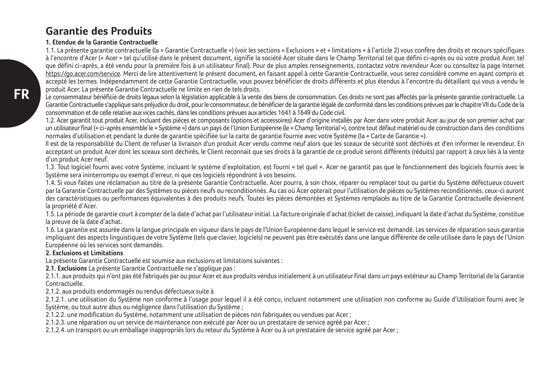# **Garantie des Produits**

#### **1. Etendue de la Garantie Contractuelle**

1.1. La présente garantie contractuelle (la « Garantie Contractuelle ») (voir les sections « Exclusions » et « limitations » à l'article 2) vous confère des droits et recours spécifiques à l'encontre d'Acer (« Acer » tel qu'utilisé dans le présent document, signifie la société Acer située dans le Champ Territorial tel que défini ci-après ou où votre produit Acer, tel que défini ci-après, a été vendu pour la première fois à un utilisateur final). Pour de plus amples renseignements, contactez votre revendeur Acer ou consultez la page Internet https://go.acer.com/service. Merci de lire attentivement le présent document, en faisant appel à cette Garantie Contractuelle, vous serez considéré comme en ayant compris et accepté les termes. Indépendamment de cette Garantie Contractuelle, vous pouvez bénéficier de droits différents et plus étendus à l'encontre du détaillant qui vous a vendu le produit Acer. La présente Garantie Contractuelle ne limite en rien de tels droits.

Le consommateur bénéficie de droits légaux selon la législation applicable à la vente des biens de consommation. Ces droits ne sont pas affectés par la présente garantie contractuelle. La Garantie Contractuelle s'applique sans préjudice du droit, pour le consommateur, de bénéficier de la garantie légale de conformité dans les conditions prévues par le chapitre VII du Code de la consommation et de celle relative aux vices cachés, dans les conditions prévues aux articles 1641 à 1649 du Code civil.

1.2. Acer garantit tout produit Acer, incluant des pièces et composants (options et accessoires) Acer d'origine installés par Acer dans votre produit Acer au jour de son premier achat par un utilisateur final (« ci-après ensemble le « Système ») dans un pays de l'Union Européenne (le « Champ Territorial »), contre tout défaut matériel ou de construction dans des conditions normales d'utilisation et pendant la durée de garantie spécifiée sur la carte de garantie fournie avec votre Système (la « Carte de Garantie »).

Il est de la responsabilité du Client de refuser la livraison d'un produit Acer vendu comme neuf alors que les sceaux de sécurité sont déchirés et d'en informer le revendeur. En acceptant un produit Acer dont les sceaux sont déchirés, le Client reconnait que ses droits à la garantie de ce produit seront différents (réduits) par rapport à ceux liés à la vente d'un produit Acer neuf.

1.3. Tout logiciel fourni avec votre Système, incluant le système d'exploitation, est fourni « tel quel ». Acer ne garantit pas que le fonctionnement des logiciels fournis avec le Système sera ininterrompu ou exempt d'erreur, ni que ces logiciels répondront à vos besoins.

1.4. Si vous faites une réclamation au titre de la présente Garantie Contractuelle, Acer pourra, à son choix, réparer ou remplacer tout ou partie du Système défectueux couvert par la Garantie Contractuelle par des Systèmes ou pièces neufs ou reconditionnés. Au cas où Acer opterait pour l'utilisation de pièces ou Systèmes reconditionnés, ceux-ci auront des caractéristiques ou performances équivalentes à des produits neufs. Toutes les pièces démontées et Systèmes remplacés au titre de la Garantie Contractuelle deviennent la propriété d'Acer.

1.5. La période de garantie court à compter de la date d'achat par l'utilisateur initial. La facture originale d'achat (ticket de caisse), indiquant la date d'achat du Système, constitue la preuve de la date d'achat.

1.6. La garantie est assurée dans la langue principale en vigueur dans le pays de l'Union Européenne dans lequel le service est demandé. Les services de réparation sous garantie impliquant des aspects linguistiques de votre Système (tels que clavier, logiciels) ne peuvent pas être exécutés dans une langue différente de celle utilisée dans le pays de l'Union Européenne où les services sont demandés.

#### **2. Exclusions et Limitations**

La présente Garantie Contractuelle est soumise aux exclusions et limitations suivantes :

**2.1. Exclusions** La présente Garantie Contractuelle ne s'applique pas :

2.1.1. aux produits qui n'ont pas été fabriqués par ou pour Acer et aux produits vendus initialement à un utilisateur final dans un pays extérieur au Champ Territorial de la Garantie Contractuelle.

2.1.2. aux produits endommagés ou rendus défectueux suite à

2.1.2.1. une utilisation du Système non conforme à l'usage pour lequel il a été conçu, incluant notamment une utilisation non conforme au Guide d'Utilisation fourni avec le Système, ou tout autre abus ou négligence dans l'utilisation du Système :

2.1.2.2. une modification du Système, notamment une utilisation de pièces non fabriquées ou vendues par Acer ;

2.1.2.3. une réparation ou un service de maintenance non exécuté par Acer ou un prestataire de service agréé par Acer ;

2.1.2.4. un transport ou un emballage inappropriés lors du retour du Système à Acer ou à un prestataire de service agréé par Acer ;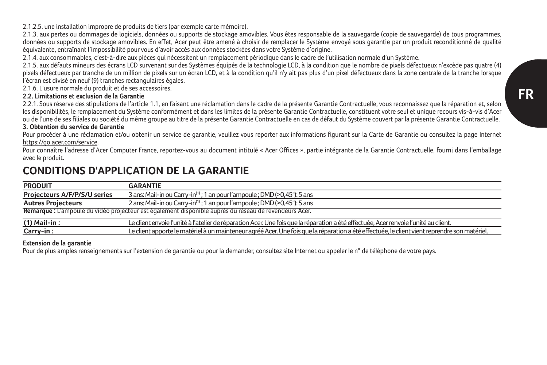2.1.2.5. une installation impropre de produits de tiers (par exemple carte mémoire).

2.1.3. aux pertes ou dommages de logiciels, données ou supports de stockage amovibles. Vous êtes responsable de la sauvegarde (copie de sauvegarde) de tous programmes, données ou supports de stockage amovibles. En effet, Acer peut être amené à choisir de remplacer le Système envoyé sous garantie par un produit reconditionné de qualité équivalente, entraînant l'impossibilité pour vous d'avoir accès aux données stockées dans votre Système d'origine.

2.1.4. aux consommables, c'est-à-dire aux pièces qui nécessitent un remplacement périodique dans le cadre de l'utilisation normale d'un Système.

2.1.5. aux défauts mineurs des écrans LCD survenant sur des Systèmes équipés de la technologie LCD, à la condition que le nombre de pixels défectueux n'excède pas quatre (4) pixels défectueux par tranche de un million de pixels sur un écran LCD, et à la condition qu'il n'y ait pas plus d'un pixel défectueux dans la zone centrale de la tranche lorsque l'écran est divisé en neuf (9) tranches rectangulaires égales.

2.1.6. L'usure normale du produit et de ses accessoires.

#### **2.2. Limitations et exclusion de la Garantie**

2.2.1. Sous réserve des stipulations de l'article 1.1, en faisant une réclamation dans le cadre de la présente Garantie Contractuelle, vous reconnaissez que la réparation et, selon les disponibilités, le remplacement du Système conformément et dans les limites de la présente Garantie Contractuelle, constituent votre seul et unique recours vis-à-vis d'Acer ou de l'une de ses filiales ou société du même groupe au titre de la présente Garantie Contractuelle en cas de défaut du Système couvert par la présente Garantie Contractuelle.

#### **3. Obtention du service de Garantie**

Pour procéder à une réclamation et/ou obtenir un service de garantie, veuillez vous reporter aux informations figurant sur la Carte de Garantie ou consultez la page Internet https://go.acer.com/service.

Pour connaître l'adresse d'Acer Computer France, reportez-vous au document intitulé « Acer Offices », partie intégrante de la Garantie Contractuelle, fourni dans l'emballage avec le produit.

# **CONDITIONS D'APPLICATION DE LA GARANTIE**

| <b>PRODUIT</b>                                                                                         | <b>GARANTIE</b>                                                                                                                               |
|--------------------------------------------------------------------------------------------------------|-----------------------------------------------------------------------------------------------------------------------------------------------|
| Projecteurs A/F/P/S/U series                                                                           | 3 ans: Mail-in ou Carry-in <sup>(1)</sup> ; 1 an pour l'ampoule ; DMD (>0,45"): 5 ans                                                         |
| <b>Autres Projecteurs</b>                                                                              | 2 ans: Mail-in ou Carry-in <sup>(1)</sup> : 1 an pour l'ampoule : DMD (>0.45"): 5 ans                                                         |
| Remarque : L'ampoule du vidéo projecteur est également disponible auprès du réseau de revendeurs Acer. |                                                                                                                                               |
| (1) Mail-in:                                                                                           | Le client envoie l'unité à l'atelier de réparation Acer. Une fois que la réparation a été effectuée. Acer renvoie l'unité au client.          |
| Carry-in:                                                                                              | Le client apporte le matériel à un mainteneur agréé Acer. Une fois que la réparation a été effectuée, le client vient reprendre son matériel. |

#### **Extension de la garantie**

Pour de plus amples renseignements sur l'extension de garantie ou pour la demander, consultez site Internet ou appeler le n° de téléphone de votre pays.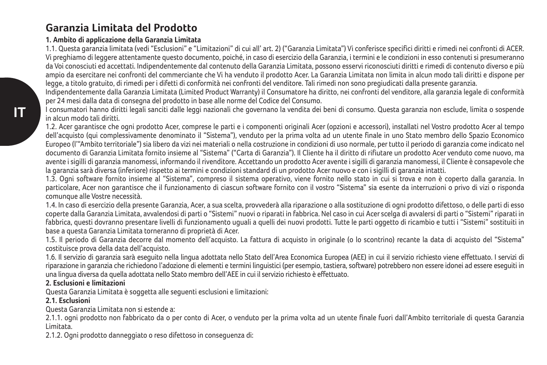# **Garanzia Limitata del Prodotto**

### **1. Ambito di applicazione della Garanzia Limitata**

1.1. Questa garanzia limitata (vedi "Esclusioni" e "Limitazioni" di cui all' art. 2) ("Garanzia Limitata") Vi conferisce specifici diritti e rimedi nei confronti di ACER. Vi preghiamo di leggere attentamente questo documento, poiché, in caso di esercizio della Garanzia, i termini e le condizioni in esso contenuti si presumeranno da Voi conosciuti ed accettati. Indipendentemente dal contenuto della Garanzia Limitata, possono esservi riconosciuti diritti e rimedi di contenuto diverso e più ampio da esercitare nei confronti del commerciante che Vi ha venduto il prodotto Acer. La Garanzia Limitata non limita in alcun modo tali diritti e dispone per legge, a titolo gratuito, di rimedi per i difetti di conformità nei confronti del venditore. Tali rimedi non sono pregiudicati dalla presente garanzia.

Indipendentemente dalla Garanzia Limitata (Limited Product Warranty) il Consumatore ha diritto, nei confronti del venditore, alla garanzia legale di conformità per 24 mesi dalla data di consegna del prodotto in base alle norme del Codice del Consumo.

I consumatori hanno diritti legali sanciti dalle leggi nazionali che governano la vendita dei beni di consumo. Questa garanzia non esclude, limita o sospende in alcun modo tali diritti.

1.2. Acer garantisce che ogni prodotto Acer, comprese le parti e i componenti originali Acer (opzioni e accessori), installati nel Vostro prodotto Acer al tempo dell'acquisto (qui complessivamente denominato il "Sistema"), venduto per la prima volta ad un utente finale in uno Stato membro dello Spazio Economico Europeo (l'"Ambito territoriale") sia libero da vizi nei materiali o nella costruzione in condizioni di uso normale, per tutto il periodo di garanzia come indicato nel documento di Garanzia Limitata fornito insieme al "Sistema" ("Carta di Garanzia"). Il Cliente ha il diritto di rifiutare un prodotto Acer venduto come nuovo, ma avente i sigilli di garanzia manomessi, informando il rivenditore. Accettando un prodotto Acer avente i sigilli di garanzia manomessi, il Cliente è consapevole che la garanzia sarà diversa (inferiore) rispetto ai termini e condizioni standard di un prodotto Acer nuovo e con i sigilli di garanzia intatti.

1.3. Ogni software fornito insieme al "Sistema", compreso il sistema operativo, viene fornito nello stato in cui si trova e non è coperto dalla garanzia. In particolare, Acer non garantisce che il funzionamento di ciascun software fornito con il vostro "Sistema" sia esente da interruzioni o privo di vizi o risponda comunque alle Vostre necessità.

1.4. In caso di esercizio della presente Garanzia, Acer, a sua scelta, provvederà alla riparazione o alla sostituzione di ogni prodotto difettoso, o delle parti di esso coperte dalla Garanzia Limitata, avvalendosi di parti o "Sistemi" nuovi o riparati in fabbrica. Nel caso in cui Acer scelga di avvalersi di parti o "Sistemi" riparati in fabbrica, questi dovranno presentare livelli di funzionamento uguali a quelli dei nuovi prodotti. Tutte le parti oggetto di ricambio e tutti i "Sistemi" sostituiti in base a questa Garanzia Limitata torneranno di proprietà di Acer.

1.5. Il periodo di Garanzia decorre dal momento dell'acquisto. La fattura di acquisto in originale (o lo scontrino) recante la data di acquisto del "Sistema" costituisce prova della data dell'acquisto.

1.6. Il servizio di garanzia sarà eseguito nella lingua adottata nello Stato dell'Area Economica Europea (AEE) in cui il servizio richiesto viene effettuato. I servizi di riparazione in garanzia che richiedono l'adozione di elementi e termini linguistici (per esempio, tastiera, software) potrebbero non essere idonei ad essere eseguiti in una lingua diversa da quella adottata nello Stato membro dell'AEE in cui il servizio richiesto è effettuato.

### **2. Esclusioni e limitazioni**

Questa Garanzia Limitata è soggetta alle seguenti esclusioni e limitazioni:

### **2.1. Esclusioni**

Questa Garanzia Limitata non si estende a:

2.1.1. ogni prodotto non fabbricato da o per conto di Acer, o venduto per la prima volta ad un utente finale fuori dall'Ambito territoriale di questa Garanzia Limitata.

2.1.2. Ogni prodotto danneggiato o reso difettoso in conseguenza di: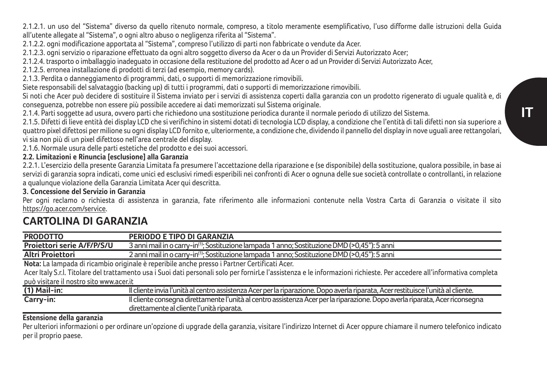2.1.2.1. un uso del "Sistema" diverso da quello ritenuto normale, compreso, a titolo meramente esemplificativo, l'uso difforme dalle istruzioni della Guida all'utente allegate al "Sistema", o ogni altro abuso o negligenza riferita al "Sistema".

2.1.2.2. ogni modificazione apportata al "Sistema", compreso l'utilizzo di parti non fabbricate o vendute da Acer.

2.1.2.3. ogni servizio o riparazione effettuato da ogni altro soggetto diverso da Acer o da un Provider di Servizi Autorizzato Acer;

2.1.2.4. trasporto o imballaggio inadeguato in occasione della restituzione del prodotto ad Acer o ad un Provider di Servizi Autorizzato Acer,

2.1.2.5. erronea installazione di prodotti di terzi (ad esempio, memory cards).

2.1.3. Perdita o danneggiamento di programmi, dati, o supporti di memorizzazione rimovibili.

Siete responsabili del salvataggio (backing up) di tutti i programmi, dati o supporti di memorizzazione rimovibili.

Si noti che Acer può decidere di sostituire il Sistema inviato per i servizi di assistenza coperti dalla garanzia con un prodotto rigenerato di uguale qualità e, di conseguenza, potrebbe non essere più possibile accedere ai dati memorizzati sul Sistema originale.

2.1.4. Parti soggette ad usura, ovvero parti che richiedono una sostituzione periodica durante il normale periodo di utilizzo del Sistema.

2.1.5. Difetti di lieve entità dei display LCD che si verifichino in sistemi dotati di tecnologia LCD display, a condizione che l'entità di tali difetti non sia superiore a quattro pixel difettosi per milione su ogni display LCD fornito e, ulteriormente, a condizione che, dividendo il pannello del display in nove uguali aree rettangolari, vi sia non più di un pixel difettoso nell'area centrale del display.

2.1.6. Normale usura delle parti estetiche del prodotto e dei suoi accessori.

### **2.2. Limitazioni e Rinuncia [esclusione] alla Garanzia**

2.2.1. L'esercizio della presente Garanzia Limitata fa presumere l'accettazione della riparazione e (se disponibile) della sostituzione, qualora possibile, in base ai servizi di garanzia sopra indicati, come unici ed esclusivi rimedi esperibili nei confronti di Acer o ognuna delle sue società controllate o controllanti, in relazione a qualunque violazione della Garanzia Limitata Acer qui descritta.

#### **3. Concessione del Servizio in Garanzia**

Per ogni reclamo o richiesta di assistenza in garanzia, fate riferimento alle informazioni contenute nella Vostra Carta di Garanzia o visitate il sito https://go.acer.com/service.

# **CARTOLINA DI GARANZIA**

| <b>PRODOTTO</b>                         | PERIODO E TIPO DI GARANZIA                                                                                                                                             |
|-----------------------------------------|------------------------------------------------------------------------------------------------------------------------------------------------------------------------|
| Projettori serie A/F/P/S/U              | 3 anni mail in o carry-in <sup>(1)</sup> ; Sostituzione lampada 1 anno; Sostituzione DMD (>0,45"): 5 anni                                                              |
| Altri Projettori                        | 2 anni mail in o carry-in <sup>(1)</sup> ; Sostituzione lampada 1 anno; Sostituzione DMD (>0,45"); 5 anni                                                              |
|                                         | Nota: La lampada di ricambio originale è reperibile anche presso i Partner Certificati Acer.                                                                           |
|                                         | Acer Italy S.r.I. Titolare del trattamento usa i Suoi dati personali solo per fornirLe l'assistenza e le informazioni richieste. Per accedere all'informativa completa |
| può visitare il nostro sito www.acer.it |                                                                                                                                                                        |
| $(1)$ Mail-in:                          | Il cliente invia l'unità al centro assistenza Acerper la riparazione. Dopo averla riparata, Acerrestituisce l'unità al cliente.                                        |
| Carry-in:                               | Il cliente consegna direttamente l'unità al centro assistenza Acer per la riparazione. Dopo averla riparata, Acer riconsegna                                           |
|                                         | direttamente al cliente l'unità riparata.                                                                                                                              |

#### **Estensione della garanzia**

Per ulteriori informazioni o per ordinare un'opzione di upgrade della garanzia, visitare l'indirizzo Internet di Acer oppure chiamare il numero telefonico indicato per il proprio paese.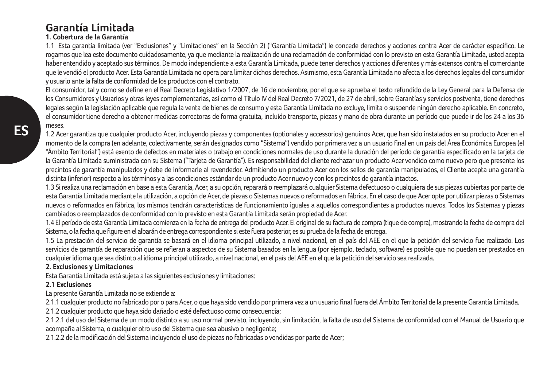# **Garantía Limitada**

#### **1. Cobertura de la Garantía**

1.1 Esta garantía limitada (ver "Exclusiones" y "Limitaciones" en la Sección 2) ("Garantía Limitada") le concede derechos y acciones contra Acer de carácter específico. Le rogamos que lea este documento cuidadosamente, ya que mediante la realización de una reclamación de conformidad con lo previsto en esta Garantía Limitada, usted acepta haber entendido y aceptado sus términos. De modo independiente a esta Garantía Limitada, puede tener derechos y acciones diferentes y más extensos contra el comerciante que le vendió el producto Acer. Esta Garantía Limitada no opera para limitar dichos derechos. Asimismo, esta Garantía Limitada no afecta a los derechos legales del consumidor y usuario ante la falta de conformidad de los productos con el contrato.

El consumidor, tal y como se define en el Real Decreto Legislativo 1/2007, de 16 de noviembre, por el que se aprueba el texto refundido de la Ley General para la Defensa de los Consumidores y Usuarios y otras leyes complementarias, así como el Título IV del Real Decreto 7/2021, de 27 de abril, sobre Garantías y servicios postventa, tiene derechos legales según la legislación aplicable que regula la venta de bienes de consumo y esta Garantía Limitada no excluye, limita o suspende ningún derecho aplicable. En concreto, el consumidor tiene derecho a obtener medidas correctoras de forma gratuita, incluído transporte, piezas y mano de obra durante un período que puede ir de los 24 a los 36 meses.

1.2 Acer garantiza que cualquier producto Acer, incluyendo piezas y componentes (optionales y accessorios) genuinos Acer, que han sido instalados en su producto Acer en el momento de la compra (en adelante, colectivamente, serán designados como "Sistema") vendido por primera vez a un usuario final en un país del Área Económica Europea (el "Ámbito Territorial") está exento de defectos en materiales o trabajo en condiciones normales de uso durante la duración del período de garantía especificado en la tarjeta de la Garantía Limitada suministrada con su Sistema ("Tarieta de Garantía"). Es responsabilidad del cliente rechazar un producto Acer vendido como nuevo pero que presente los precintos de garantía manipulados y debe de informarle al revendedor. Admitiendo un producto Acer con los sellos de garantía manipulados, el Cliente acepta una garantía distinta (inferior) respecto a los términos y a las condiciones estándar de un producto Acer nuevo y con los precintos de garantía intactos.

1.3 Si realiza una reclamación en base a esta Garantía, Acer, a su opción, reparará o reemplazará cualquier Sistema defectuoso o cualquiera de sus piezas cubiertas por parte de esta Garantía Limitada mediante la utilización, a opción de Acer, de piezas o Sistemas nuevos o reformados en fábrica. En el caso de que Acer opte por utilizar piezas o Sistemas nuevos o reformados en fábrica, los mismos tendrán características de funcionamiento iguales a aquellos correspondientes a productos nuevos. Todos los Sistemas y piezas cambiados o reemplazados de conformidad con lo previsto en esta Garantía Limitada serán propiedad de Acer.

1.4 El período de esta Garantía Limitada comienza en la fecha de entrega del producto Acer. El original de su factura de compra (tique de compra), mostrando la fecha de compra del Sistema, o la fecha que figure en el albarán de entrega correspondiente si este fuera posterior, es su prueba de la fecha de entrega.

1.5 La prestación del servicio de garantía se basará en el idioma principal utilizado, a nivel nacional, en el país del AEE en el que la petición del servicio fue realizado. Los servicios de garantía de reparación que se refieran a aspectos de su Sistema basados en la lengua (por ejemplo, teclado, software) es posible que no puedan ser prestados en cualquier idioma que sea distinto al idioma principal utilizado, a nivel nacional, en el país del AEE en el que la petición del servicio sea realizada.

#### **2. Exclusiones y Limitaciones**

Esta Garantía Limitada está sujeta a las siguientes exclusiones y limitaciones:

### **2.1 Exclusiones**

La presente Garantía Limitada no se extiende a:

2.1.1 cualquier producto no fabricado por o para Acer, o que haya sido vendido por primera vez a un usuario final fuera del Ámbito Territorial de la presente Garantía Limitada.

2.1.2 cualquier producto que haya sido dañado o esté defectuoso como consecuencia;

2.1.2.1 del uso del Sistema de un modo distinto a su uso normal previsto, incluyendo, sin limitación, la falta de uso del Sistema de conformidad con el Manual de Usuario que acompaña al Sistema, o cualquier otro uso del Sistema que sea abusivo o negligente;

2.1.2.2 de la modificación del Sistema incluyendo el uso de piezas no fabricadas o vendidas por parte de Acer;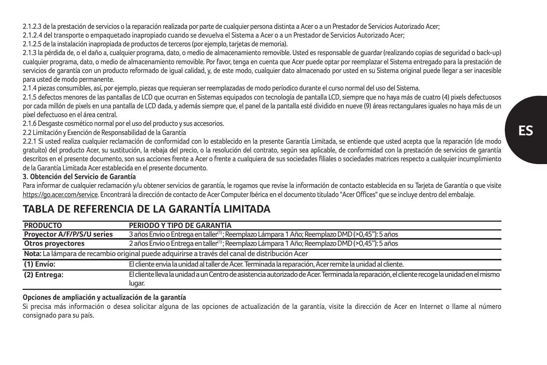2.1.2.3 de la prestación de servicios o la reparación realizada por parte de cualquier persona distinta a Acer o a un Prestador de Servicios Autorizado Acer;

2.1.2.4 del transporte o empaquetado inapropiado cuando se devuelva el Sistema a Acer o a un Prestador de Servicios Autorizado Acer;

2.1.2.5 de la instalación inapropiada de productos de terceros (por ejemplo, tarjetas de memoria).

2.1.3 la pérdida de, o el daño a, cualquier programa, dato, o medio de almacenamiento removible. Usted es responsable de guardar (realizando copias de seguridad o back-up) cualquier programa, dato, o medio de almacenamiento removible. Por favor, tenga en cuenta que Acer puede optar por reemplazar el Sistema entregado para la prestación de servicios de garantía con un producto reformado de igual calidad, y, de este modo, cualquier dato almacenado por usted en su Sistema original puede llegar a ser inacesible para usted de modo permanente.

2.1.4 piezas consumibles, así, por ejemplo, piezas que requieran ser reemplazadas de modo períodico durante el curso normal del uso del Sistema.

2.1.5 defectos menores de las pantallas de LCD que ocurran en Sistemas equipados con tecnología de pantalla LCD, siempre que no haya más de cuatro (4) pixels defectuosos por cada millón de pixels en una pantalla de LCD dada, y además siempre que, el panel de la pantalla esté dividido en nueve (9) áreas rectangulares iguales no haya más de un píxel defectuoso en el área central.

2.1.6 Desgaste cosmético normal por el uso del producto y sus accesorios.

2.2 Limitación y Exención de Responsabilidad de la Garantía

2.2.1 Si usted realiza cualquier reclamación de conformidad con lo establecido en la presente Garantía Limitada, se entiende que usted acepta que la reparación (de modo gratuito) del producto Acer, su sustitución, la rebaja del precio, o la resolución del contrato, según sea aplicable, de conformidad con la prestación de servicios de garantía descritos en el presente documento, son sus acciones frente a Acer o frente a cualquiera de sus sociedades filiales o sociedades matrices respecto a cualquier incumplimiento

de la Garantía Limitada Acer establecida en el presente documento.

### **3. Obtención del Servicio de Garantía**

Para informar de cualquier reclamación y/u obtener servicios de garantía, le rogamos que revise la información de contacto establecida en su Tarjeta de Garantía o que visite https://go.acer.com/service. Encontrará la dirección de contacto de Acer Computer Ibérica en el documento titulado "Acer Offices" que se incluye dentro del embalaje.

#### **PRODUCTO PERIODO Y TIPO DE GARANTÍA Proyector A/F/P/S/U series** 3 años Envio o Entrega en taller<sup>(1)</sup>; Reemplazo Lámpara 1 Año; Reemplazo DMD (>0,45"): 5 años<br>Otros proyectores 2 años Envio o Entrega en taller<sup>(1)</sup>; Reemplazo Lámpara 1 Año; Reemplazo DMD (> **Otros proyectores** 2 años Envio o Entrega en taller(1) ; Reemplazo Lámpara 1 Año; Reemplazo DMD (>0,45"): 5 años **Nota:** La lámpara de recambio original puede adquirirse a través del canal de distribución Acer **(1) Envío:** El cliente envia la unidad al taller de Acer. Terminada la reparación, Acer remite la unidad al cliente. **(2) Entrega:** El cliente lleva la unidad a un Centro de asistencia autorizado de Acer. Terminada la reparación, el cliente recoge la unidad en el mismo lugar.

# **TABLA DE REFERENCIA DE LA GARANTÍA LIMITADA**

#### **Opciones de ampliación y actualización de la garantía**

Si precisa más información o desea solicitar alguna de las opciones de actualización de la garantía, visite la dirección de Acer en Internet o llame al número consignado para su país.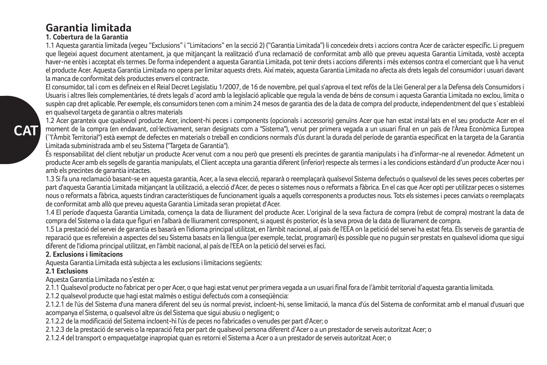# **Garantia limitada**

### **1. Cobertura de la Garantia**

1.1 Aquesta garantia limitada (vegeu "Exclusions" i "Limitacions" en la secció 2) ("Garantia Limitada") li concedeix drets i accions contra Acer de caràcter específic. Li preguem que llegeixi aquest document atentament, ja que mitiancant la realització d'una reclamació de conformitat amb allò que preveu aquesta Garantia Limitada, vostè accepta haver-ne entès i acceptat els termes. De forma independent a aquesta Garantia Limitada, pot tenir drets i accions diferents i més extensos contra el comerciant que li ha venut el producte Acer. Aquesta Garantia Limitada no opera per limitar aquests drets. Així mateix, aquesta Garantia Limitada no afecta als drets legals del consumidor i usuari davant la manca de conformitat dels productes envers el contracte.

El consumidor, tal i com es defineix en el Reial Decret Legislatiu 1/2007, de 16 de novembre, pel qual s'aprova el text refós de la Llei General per a la Defensa dels Consumidors i Usuaris i altres lleis complementàries, té drets legals d`acord amb la legislació aplicable que regula la venda de béns de consum i aquesta Garantia Limitada no exclou, limita o suspèn cap dret aplicable. Per exemple, els consumidors tenen com a mínim 24 mesos de garantia des de la data de compra del producte, independentment del que s`estableixi en qualsevol targeta de garantia o altres materials

1.2 Acer garanteix que qualsevol producte Acer, incloent-hi peces i components (opcionals i accessoris) genuïns Acer que han estat instal·lats en el seu producte Acer en el moment de la compra (en endavant, col·lectivament, seran designats com a "Sistema"), venut per primera vegada a un usuari final en un país de l'Àrea Econòmica Europea (`'l'Àmbit Territorial") està exempt de defectes en materials o treball en condicions normals d'ús durant la durada del període de garantia especificat en la targeta de la Garantia Limitada subministrada amb el seu Sistema ("Targeta de Garantia").

És responsabilitat del client rebutjar un producte Acer venut com a nou però que presenti els precintes de garantia manipulats i ha d'informar-ne al revenedor. Admetent un producte Acer amb els segells de garantia manipulats, el Client accepta una garantia diferent (inferior) respecte als termes i a les condicions estàndard d'un producte Acer nou i amb els precintes de garantia intactes.

1.3 Si fa una reclamació basant-se en aquesta garantia, Acer, a la seva elecció, repararà o reemplaçarà qualsevol Sistema defectuós o qualsevol de les seves peces cobertes per part d'aquesta Garantia Limitada mitiancant la utilització, a elecció d'Acer, de peces o sistemes nous o reformats a fàbrica. En el cas que Acer opti per utilitzar peces o sistemes nous o reformats a fàbrica, aquests tindran característiques de funcionament iguals a aquells corresponents a productes nous. Tots els sistemes i peces canviats o reemplaçats de conformitat amb allò que preveu aquesta Garantia Limitada seran propietat d'Acer.

1.4 El període d'aquesta Garantia Limitada, comença la data de lliurament del producte Acer. L'original de la seva factura de compra (rebut de compra) mostrant la data de compra del Sistema o la data que figuri en l'albarà de lliurament corresponent, si aquest és posterior, és la seva prova de la data de lliurament de compra.

1.5 La prestació del servei de garantia es basarà en l'idioma principal utilitzat, en l'àmbit nacional, al país de l'EEA on la petició del servei ha estat feta. Els serveis de garantia de reparació que es refereixin a aspectes del seu Sistema basats en la llengua (per exemple, teclat, programari) és possible que no puguin ser prestats en qualsevol idioma que sigui diferent de l'idioma principal utilitzat, en l'àmbit nacional, al país de l'EEA on la petició del servei es faci.

#### **2. Exclusions i limitacions**

Aquesta Garantia Limitada està subjecta a les exclusions i limitacions següents:

### **2.1 Exclusions**

**CAT**

Aquesta Garantia Limitada no s'estén a:

2.1.1 Qualsevol producte no fabricat per o per Acer, o que hagi estat venut per primera vegada a un usuari final fora de l'àmbit territorial d'aquesta garantia limitada.

2.1.2 qualsevol producte que hagi estat malmès o estigui defectuós com a conseqüència:

2.1.2.1 de l'ús del Sistema d'una manera diferent del seu ús normal previst, incloent-hi, sense limitació, la manca d'ús del Sistema de conformitat amb el manual d'usuari que acompanya el Sistema, o qualsevol altre ús del Sistema que sigui abusiu o negligent; o

2.1.2.2 de la modificació del Sistema incloent-hi l'ús de peces no fabricades o venudes per part d'Acer; o

2.1.2.3 de la prestació de serveis o la reparació feta per part de qualsevol persona diferent d'Acer o a un prestador de serveis autoritzat Acer; o

2.1.2.4 del transport o empaquetatge inapropiat quan es retorni el Sistema a Acer o a un prestador de serveis autoritzat Acer; o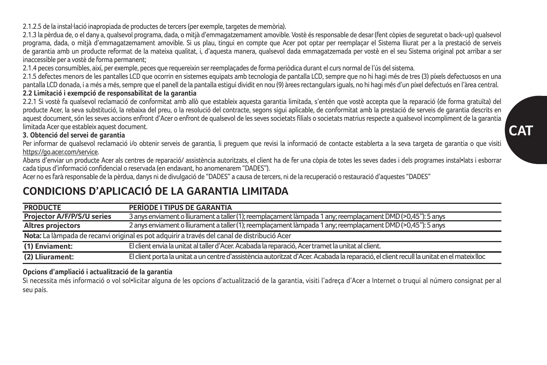2.1.2.5 de la instal·lació inapropiada de productes de tercers (per exemple, targetes de memòria).

2.1.3 la pèrdua de, o el dany a, qualsevol programa, dada, o mitjà d'emmagatzemament amovible. Vostè és responsable de desar (fent còpies de seguretat o back-up) qualsevol programa, dada, o mitjà d'emmagatzemament amovible. Si us plau, tingui en compte que Acer pot optar per reemplaçar el Sistema lliurat per a la prestació de serveis de garantia amb un producte reformat de la mateixa qualitat, i, d'aquesta manera, qualsevol dada emmagatzemada per vostè en el seu Sistema original pot arribar a ser inaccessible per a vostè de forma permanent;

2.1.4 peces consumibles, així, per exemple, peces que requereixin ser reemplaçades de forma periòdica durant el curs normal de l'ús del sistema.

2.1.5 defectes menors de les pantalles LCD que ocorrin en sistemes equipats amb tecnologia de pantalla LCD, sempre que no hi hagi més de tres (3) píxels defectuosos en una pantalla LCD donada, i a més a més, sempre que el panell de la pantalla estigui dividit en nou (9) àrees rectangulars iguals, no hi hagi més d'un píxel defectuós en l'àrea central.

## **2.2 Limitació i exempció de responsabilitat de la garantia**

2.2.1 Si vostè fa qualsevol reclamació de conformitat amb allò que estableix aquesta garantia limitada, s'entén que vostè accepta que la reparació (de forma gratuïta) del producte Acer, la seva substitució, la rebaixa del preu, o la resolució del contracte, segons sigui aplicable, de conformitat amb la prestació de serveis de garantia descrits en aquest document, són les seves accions enfront d'Acer o enfront de qualsevol de les seves societats filials o societats matrius respecte a qualsevol incompliment de la garantia limitada Acer que estableix aquest document.

### **3. Obtenció del servei de garantia**

Per informar de qualsevol reclamació i/o obtenir serveis de garantia, li preguem que revisi la informació de contacte establerta a la seva targeta de garantia o que visiti https://go.acer.com/service.

Abans d'enviar un producte Acer als centres de reparació/ assistència autoritzats, el client ha de fer una còpia de totes les seves dades i dels programes instal•lats i esborrar cada tipus d'informació confidencial o reservada (en endavant, ho anomenarem "DADES").

Acer no es farà responsable de la pèrdua, danys ni de divulgació de "DADES" a causa de tercers, ni de la recuperació o restauració d'aquestes "DADES"

# **CONDICIONS D'APLICACIÓ DE LA GARANTIA LIMITADA**

| <b>PRODUCTE</b>                                                                             | PERÍODE I TIPUS DE GARANTIA                                                                                                               |  |
|---------------------------------------------------------------------------------------------|-------------------------------------------------------------------------------------------------------------------------------------------|--|
| Projector A/F/P/S/U series                                                                  | 3 anys enviament o Iliurament a taller (1): reemplacament làmpada 1 any: reemplacament DMD (>0.45"); 5 anys                               |  |
| Altres projectors                                                                           | 2 anys enviament o lliurament a taller (1); reemplaçament làmpada 1 any; reemplaçament DMD (>0,45"): 5 anys                               |  |
| Nota: La làmpada de recanvi original es pot adquirir a través del canal de distribució Acer |                                                                                                                                           |  |
| (1) Enviament:                                                                              | El client envia la unitat al taller d'Acer. Acabada la reparació. Acer tramet la unitat al client.                                        |  |
| (2) Lliurament:                                                                             | El client porta la unitat a un centre d'assistència autoritzat d'Acer. Acabada la reparació, el client recull la unitat en el mateix lloc |  |

### **Opcions d'ampliació i actualització de la garantia**

Si necessita més informació o vol sol•licitar alguna de les opcions d'actualització de la garantia, visiti l'adreça d'Acer a Internet o truqui al número consignat per al seu país.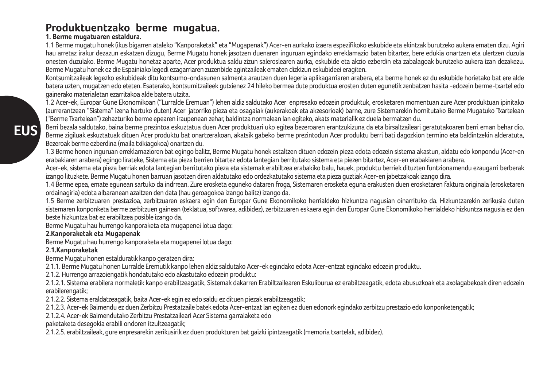# **Produktuentzako berme mugatua.**

#### **1. Berme mugatuaren estaldura.**

1.1 Berme mugatu honek (ikus bigarren ataleko "Kanporaketak" eta "Mugapenak") Acer-en aurkako izaera espezifikoko eskubide eta ekintzak burutzeko aukera ematen dizu. Agiri hau arretaz irakur dezazun eskatzen dizugu, Berme Mugatu honek jasotzen duenaren inguruan egindako erreklamazio baten bitartez, bere edukia onartzen eta ulertzen duzula onesten duzulako. Berme Mugatu honetaz aparte, Acer produktua saldu zizun saleroslearen aurka, eskubide eta akzio ezberdin eta zabalagoak burutzeko aukera izan dezakezu. Berme Mugatu honek ez die Espainiako legedi ezagarriaren zuzenbide agintzaileak ematen dizkizun eskubideei eragiten.

Kontsumitzaileak legezko eskubideak ditu kontsumo-ondasunen salmenta arautzen duen legeria aplikagarriaren arabera, eta berme honek ez du eskubide horietako bat ere alde batera uzten, mugatzen edo eteten. Esaterako, kontsumitzaileek gutxienez 24 hileko bermea dute produktua erosten duten egunetik zenbatzen hasita -edozein berme-txartel edo gainerako materialetan ezarritakoa alde batera utzita.

1.2 Acer-ek, Europar Gune Ekonomikoan ("Lurralde Eremuan") lehen aldiz saldutako Acer enpresako edozein produktuk, erosketaren momentuan zure Acer produktuan ipinitako (aurrerantzean "Sistema" izena hartuko duten) Acer jatorriko pieza eta osagaiak (aukerakoak eta akzesorioak) barne, zure Sistemarekin hornitutako Berme Mugatuko Txartelean ("Berme Txartelean") zehazturiko berme epearen iraupenean zehar, baldintza normalean lan egiteko, akats materialik ez duela bermatzen du.

Berri bezala saldutako, baina berme prezintoa eskuztatua duen Acer produktuari uko egitea bezeroaren erantzukizuna da eta birsaltzaileari geratutakoaren berri eman behar dio. Berme zigiluak eskuztatuak dituen Acer produktu bat onartzerakoan, akatsik gabeko berme prezintodun Acer produktu berri bati dagozkion termino eta baldintzekin alderatuta, Bezeroak berme ezberdina (maila txikiagokoa) onartzen du.

1.3 Berme honen inguruan erreklamazioren bat egingo balitz, Berme Mugatu honek estaltzen dituen edozein pieza edota edozein sistema akastun, aldatu edo konpondu (Acer-en erabakiaren arabera) egingo lirateke, Sistema eta pieza berrien bitartez edota lantegian berritutako sistema eta piezen bitartez, Acer-en erabakiaren arabera.

Acer-ek, sistema eta pieza berriak edota lantegian berritutako pieza eta sistemak erabiltzea erabakiko balu, hauek, produktu berriek dituzten funtzionamendu ezaugarri berberak izango lituzkete. Berme Mugatu honen barruan jasotzen diren aldatutako edo ordezkatutako sistema eta pieza guztiak Acer-en jabetzakoak izango dira.

1.4 Berme epea, emate egunean sartuko da indrrean. Zure erosketa eguneko dataren froga, Sistemaren erosketa eguna erakusten duen erosketaren faktura originala (erosketaren ordainagiria) edota albaranean azaltzen den data (hau geroagokoa izango balitz) izango da.

1.5 Berme zerbitzuaren prestazioa, zerbitzuaren eskaera egin den Europar Gune Ekonomikoko herrialdeko hizkuntza nagusian oinarrituko da. Hizkuntzarekin zerikusia duten sistemaren konponketa berme zerbitzuen gainean (teklatua, softwarea, adibidez), zerbitzuaren eskaera egin den Europar Gune Ekonomikoko herrialdeko hizkuntza nagusia ez den beste hizkuntza bat ez erabiltzea posible izango da.

Berme Mugatu hau hurrengo kanporaketa eta mugapenei lotua dago:

### **2.Kanporaketak eta Mugapenak**

Berme Mugatu hau hurrengo kanporaketa eta mugapenei lotua dago:

### **2.1.Kanporaketak**

Berme Mugatu honen estalduratik kanpo geratzen dira:

2.1.1. Berme Mugatu honen Lurralde Eremutik kanpo lehen aldiz saldutako Acer-ek egindako edota Acer-entzat egindako edozein produktu.

2.1.2. Hurrengo arrazoiengatik hondatutako edo akastutako edozein produktu:

2.1.2.1. Sistema erabilera normaletik kanpo erabiltzeagatik, Sistemak dakarren Erabiltzailearen Eskuliburua ez erabiltzeagatik, edota abusuzkoak eta axolagabekoak diren edozein erabilerengatik;

2.1.2.2. Sistema eraldatzeagatik, baita Acer-ek egin ez edo saldu ez dituen piezak erabiltzeagatik;

2.1.2.3. Acer-ek Baimendu ez duen Zerbitzu Prestatzaile batek edota Acer-entzat lan egiten ez duen edonork egindako zerbitzu prestazio edo konponketengatik;

2.1.2.4. Acer-ek Baimendutako Zerbitzu Prestatzaileari Acer Sistema garraiaketa edo

paketaketa desegokia erabili ondoren itzultzeagatik;

2.1.2.5. erabiltzaileak, gure enpresarekin zerikusirik ez duen produkturen bat gaizki ipintzeagatik (memoria txartelak, adibidez).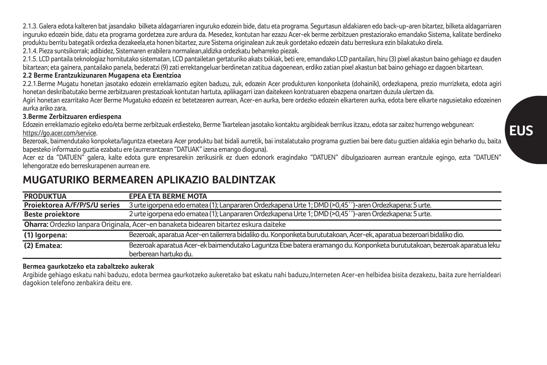2.1.3. Galera edota kalteren bat jasandako bilketa aldagarriaren inguruko edozein bide, datu eta programa. Segurtasun aldakiaren edo back-up-aren bitartez, bilketa aldagarriaren inguruko edozein bide, datu eta programa gordetzea zure ardura da. Mesedez, kontutan har ezazu Acer-ek berme zerbitzuen prestaziorako emandako Sistema, kalitate berdineko produktu berritu bategatik ordezka dezakeela,eta honen bitartez, zure Sistema originalean zuk zeuk gordetako edozein datu berreskura ezin bilakatuko direla. 2.1.4. Pieza suntsikorrak; adibidez, Sistemaren erabilera normalean,aldizka ordezkatu beharreko piezak.

2.1.5. LCD pantaila teknologiaz hornitutako sistematan, LCD pantailetan gertaturiko akats txikiak, beti ere, emandako LCD pantailan, hiru (3) pixel akastun baino gehiago ez dauden bitartean; eta gainera, pantailako panela, bederatzi (9) zati errektangeluar berdinetan zatitua dagoenean, erdiko zatian pixel akastun bat baino gehiago ez dagoen bitartean.

### **2.2 Berme Erantzukizunaren Mugapena eta Exentzioa**

2.2.1.Berme Mugatu honetan jasotako edozein erreklamazio egiten baduzu, zuk, edozein Acer produkturen konponketa (dohainik), ordezkapena, prezio murrizketa, edota agiri honetan deskribatutako berme zerbitzuaren prestazioak kontutan hartuta, aplikagarri izan daitekeen kontratuaren ebazpena onartzen duzula ulertzen da.

Agiri honetan ezarritako Acer Berme Mugatuko edozein ez betetzearen aurrean, Acer-en aurka, bere ordezko edozein elkarteren aurka, edota bere elkarte nagusietako edozeinen aurka ariko zara.

#### **3.Berme Zerbitzuaren erdiespena**

Edozein erreklamazio egiteko edo/eta berme zerbitzuak erdiesteko, Berme Txartelean jasotako kontaktu argibideak berrikus itzazu, edota sar zaitez hurrengo webgunean: https://go.acer.com/service

Bezeroak, baimendutako konpoketa/laguntza etxeetara Acer produktu bat bidali aurretik, bai instalatutako programa guztien bai bere datu guztien aldakia egin beharko du, baita bapesteko informazio guztia ezabatu ere (aurrerantzean "DATUAK" izena emango dioguna).

Acer ez da "DATUEN" galera, kalte edota gure enpresarekin zerikusirik ez duen edonork eragindako "DATUEN" dibulgazioaren aurrean erantzule egingo, ezta "DATUEN" lehengoratze edo berreskurapenen aurrean ere.

# **MUGATURIKO BERMEAREN APLIKAZIO BALDINTZAK**

| <b>PRODUKTUA</b>                                                                     | <b>EPEA ETA BERME MOTA</b>                                                                                               |  |
|--------------------------------------------------------------------------------------|--------------------------------------------------------------------------------------------------------------------------|--|
| Projektorea A/F/P/S/U series                                                         | 3 urte igorpena edo ematea (1); Lanpararen Ordezkapena Urte 1; DMD (>0,45 <sup>--</sup> )-aren Ordezkapena: 5 urte.      |  |
| <b>Beste proiektore</b>                                                              | 2 urte igorpena edo ematea (1); Lanpararen Ordezkapena Urte 1; DMD (>0,45 <sup>--</sup> )-aren Ordezkapena: 5 urte.      |  |
| Oharra: Ordezko lanpara Originala, Acer-en banaketa bidearen bitartez eskura daiteke |                                                                                                                          |  |
| (1) Igorpena:                                                                        | Bezeroak, aparatua Acer-en tailerrera bidaliko du. Konponketa burututakoan, Acer-ek, aparatua bezeroari bidaliko dio.    |  |
| (2) Ematea:                                                                          | Bezeroak aparatua Acer-ek baimendutako Laguntza Etxe batera eramango du. Konponketa burututakoan, bezeroak aparatua leku |  |
|                                                                                      | berberean hartuko du.                                                                                                    |  |

### **Bermea gaurkotzeko eta zabaltzeko aukerak**

Argibide gehiago eskatu nahi baduzu, edota bermea gaurkotzeko aukeretako bat eskatu nahi baduzu,Interneten Acer-en helbidea bisita dezakezu, baita zure herrialdeari dagokion telefono zenbakira deitu ere.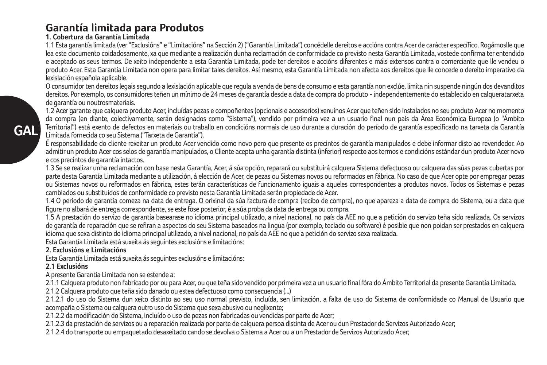# **Garantía limitada para Produtos**

### **1. Cobertura da Garantía Limitada**

1.1 Esta garantía limitada (ver "Exclusións" e "Limitacións" na Sección 2) ("Garantía Limitada") concédelle dereitos e accións contra Acer de carácter específico. Rogámoslle que lea este documento coidadosamente, xa que mediante a realización dunha reclamación de conformidade co previsto nesta Garantía Limitada, vostede confirma ter entendido e aceptado os seus termos. De xeito independente a esta Garantía Limitada, pode ter dereitos e accións diferentes e máis extensos contra o comerciante que lle vendeu o produto Acer. Esta Garantía Limitada non opera para limitar tales dereitos. Así mesmo, esta Garantía Limitada non afecta aos dereitos que lle concede o dereito imperativo da lexislación española aplicable.

O consumidor ten dereitos legais segundo a lexislación aplicable que regula a venda de bens de consumo e esta garantía non exclúe, limita nin suspende ningún dos devanditos dereitos. Por exemplo, os consumidores teñen un mínimo de 24 meses de garantía desde a data de compra do produto - independentemente do establecido en calqueratarxeta de garantía ou noutrosmateriais.

1.2 Acer garante que calquera produto Acer, incluídas pezas e compoñentes (opcionais e accesorios) xenuínos Acer que teñen sido instalados no seu produto Acer no momento da compra (en diante, colectivamente, serán designados como "Sistema"), vendido por primeira vez a un usuario final nun país da Área Económica Europea (o "Ámbito Territorial") está exento de defectos en materiais ou traballo en condicións normais de uso durante a duración do período de garantía especificado na tarxeta da Garantía Limitada fornecida co seu Sistema ("Tarxeta de Garantía").

É responsabilidade do cliente rexeitar un produto Acer vendido como novo pero que presente os precintos de garantía manipulados e debe informar disto ao revendedor. Ao admitir un produto Acer cos selos de garantía manipulados, o Cliente acepta unha garantía distinta (inferior) respecto aos termos e condicións estándar dun produto Acer novo e cos precintos de garantía intactos.

1.3 Se se realizar unha reclamación con base nesta Garantía, Acer, á súa opción, reparará ou substituirá calquera Sistema defectuoso ou calquera das súas pezas cubertas por parte desta Garantía Limitada mediante a utilización, á elección de Acer, de pezas ou Sistemas novos ou reformados en fábrica. No caso de que Acer opte por empregar pezas ou Sistemas novos ou reformados en fábrica, estes terán características de funcionamento iguais a aqueles correspondentes a produtos novos. Todos os Sistemas e pezas cambiados ou substituídos de conformidade co previsto nesta Garantía Limitada serán propiedade de Acer.

1.4 O período de garantía comeza na data de entrega. O orixinal da súa factura de compra (recibo de compra), no que apareza a data de compra do Sistema, ou a data que figure no albará de entrega correspondente, se este fose posterior, é a súa proba da data de entrega ou compra.

1.5 A prestación do servizo de garantía basearase no idioma principal utilizado, a nivel nacional, no país da AEE no que a petición do servizo teña sido realizada. Os servizos de garantía de reparación que se refiran a aspectos do seu Sistema baseados na lingua (por exemplo, teclado ou software) é posible que non poidan ser prestados en calquera idioma que sexa distinto do idioma principal utilizado, a nivel nacional, no país da AEE no que a petición do servizo sexa realizada.

Esta Garantía Limitada está suxeita ás seguintes exclusións e limitacións:

### **2. Exclusións e Limitacións**

Esta Garantía Limitada está suxeita ás seguintes exclusións e limitacións:

### **2.1 Exclusións**

A presente Garantía Limitada non se estende a:

2.1.1 Calquera produto non fabricado por ou para Acer, ou que teña sido vendido por primeira vez a un usuario final fóra do Ámbito Territorial da presente Garantía Limitada.

2.1.2 Calquera produto que teña sido danado ou estea defectuoso como consecuencia (...)

2.1.2.1 do uso do Sistema dun xeito distinto ao seu uso normal previsto, incluída, sen limitación, a falta de uso do Sistema de conformidade co Manual de Usuario que acompaña o Sistema ou calquera outro uso do Sistema que sexa abusivo ou neglixente;

2.1.2.2 da modificación do Sistema, incluído o uso de pezas non fabricadas ou vendidas por parte de Acer;

2.1.2.3 da prestación de servizos ou a reparación realizada por parte de calquera persoa distinta de Acer ou dun Prestador de Servizos Autorizado Acer;

2.1.2.4 do transporte ou empaquetado desaxeitado cando se devolva o Sistema a Acer ou a un Prestador de Servizos Autorizado Acer;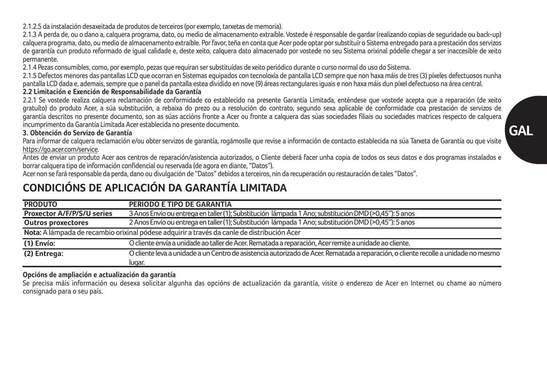2.1.2.5 da instalación desaxeitada de produtos de terceiros (por exemplo, tarxetas de memoria).

2.1.3 A perda de, ou o dano a, calquera programa, dato, ou medio de almacenamento extraíble. Vostede é responsable de gardar (realizando copias de seguridade ou back-up) calquera programa, dato, ou medio de almacenamento extraíble. Por favor, teña en conta que Acer pode optar por substituír o Sistema entregado para a prestación dos servizos de garantía cun produto reformado de igual calidade e, deste xeito, calquera dato almacenado por vostede no seu Sistema orixinal pódelle chegar a ser inaccesible de xeito permanente.

2.1.4 Pezas consumibles, como, por exemplo, pezas que requiran ser substituídas de xeito periódico durante o curso normal do uso do Sistema.

2.1.5 Defectos menores das pantallas LCD que ocorran en Sistemas equipados con tecnoloxía de pantalla LCD sempre que non haxa máis de tres (3) píxeles defectuosos nunha pantalla LCD dada e, ademais, sempre que o panel da pantalla estea dividido en nove (9) áreas rectangulares iguais e non haxa máis dun píxel defectuoso na área central. **2.2 Limitación e Exención de Responsabilidade da Garantía**

#### 2.2.1 Se vostede realiza calquera reclamación de conformidade co establecido na presente Garantía Limitada, enténdese que vostede acepta que a reparación (de xeito gratuíto) do produto Acer, a súa substitución, a rebaixa do prezo ou a resolución do contrato, segundo sexa aplicable de conformidade coa prestación de servizos de garantía descritos no presente documento, son as súas accións fronte a Acer ou fronte a calquera das súas sociedades filiais ou sociedades matrices respecto de calquera incumprimento da Garantía Limitada Acer establecida no presente documento.

### **3. Obtención do Servizo de Garantía**

Para informar de calquera reclamación e/ou obter servizos de garantía, rogámoslle que revise a información de contacto establecida na súa Tarxeta de Garantía ou que visite https://go.acer.com/service.

Antes de enviar un produto Acer aos centros de reparación/asistencia autorizados, o Cliente deberá facer unha copia de todos os seus datos e dos programas instalados e borrar calquera tipo de información confidencial ou reservada (de agora en diante, "Datos").

Acer non se fará responsable da perda, dano ou divulgación de "Datos" debidos a terceiros, nin da recuperación ou restauración de tales "Datos".

# **CONDICIÓNS DE APLICACIÓN DA GARANTÍA LIMITADA**

| <b>PRODUTO</b>             | PERÍODO E TIPO DE GARANTÍA                                                                                                         |
|----------------------------|------------------------------------------------------------------------------------------------------------------------------------|
| Proxector A/F/P/S/U series | 3 Anos Envío ou entrega en taller (1); Substitución lámpada 1 Ano; substitución DMD (>0,45"): 5 anos                               |
| <b>Outros proxectores</b>  | 2 Anos Envío ou entrega en taller (1); Substitución lámpada 1 Ano; substitución DMD (>0,45"): 5 anos                               |
|                            | Nota: A lámpada de recambio orixinal pódese adquirir a través da canle de distribución Acer                                        |
| (1) Envío:                 | O cliente envía a unidade ao taller de Acer. Rematada a reparación. Acer remite a unidade ao cliente.                              |
| (2) Entrega:               | O cliente leva a unidade a un Centro de asistencia autorizado de Acer. Rematada a reparación, o cliente recolle a unidade no mesmo |
|                            | lugar.                                                                                                                             |

### **Opcións de ampliación e actualización da garantía**

Se precisa máis información ou desexa solicitar algunha das opcións de actualización da garantía, visite o enderezo de Acer en Internet ou chame ao número consignado para o seu país.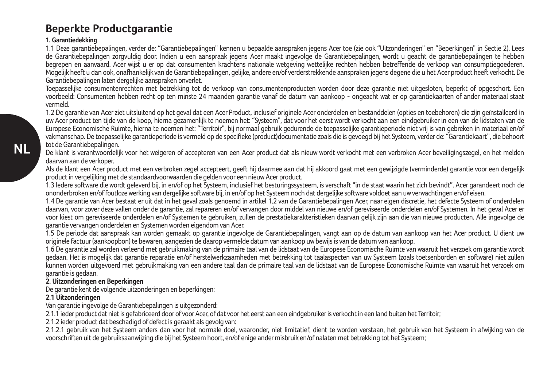# **Beperkte Productgarantie**

#### **1. Garantiedekking**

1.1 Deze garantiebepalingen, verder de: "Garantiebepalingen" kennen u bepaalde aanspraken jegens Acer toe (zie ook "Uitzonderingen" en "Beperkingen" in Sectie 2). Lees de Garantiebepalingen zorgvuldig door. Indien u een aanspraak jegens Acer maakt ingevolge de Garantiebepalingen, wordt u geacht de garantiebepalingen te hebben begrepen en aanvaard. Acer wijst u er op dat consumenten krachtens nationale wetgeving wettelijke rechten hebben betreffende de verkoop van consumptiegoederen. Mogelijk heeft u dan ook, onafhankelijk van de Garantiebepalingen, gelijke, andere en/of verderstrekkende aanspraken jegens degene die u het Acer product heeft verkocht. De Garantiebepalingen laten dergelijke aanspraken onverlet.

Toepasselijke consumentenrechten met betrekking tot de verkoop van consumentenproducten worden door deze garantie niet uitgesloten, beperkt of opgeschort. Een voorbeeld: Consumenten hebben recht op ten minste 24 maanden garantie vanaf de datum van aankoop - ongeacht wat er op garantiekaarten of ander materiaal staat vermeld.

1.2 De garantie van Acer ziet uitsluitend op het geval dat een Acer Product, inclusief originele Acer onderdelen en bestanddelen (opties en toebehoren) die zijn geïnstalleerd in uw Acer product ten tijde van de koop, hierna gezamenlijk te noemen het: "Systeem", dat voor het eerst wordt verkocht aan een eindgebruiker in een van de lidstaten van de Europese Economische Ruimte, hierna te noemen het: "Territoir", bij normaal gebruik gedurende de toepasselijke garantieperiode niet vrij is van gebreken in materiaal en/of vakmanschap. De toepasselijke garantieperiode is vermeld op de specifieke (product)documentatie zoals die is gevoegd bij het Systeem, verder de: "Garantiekaart", die behoort tot de Garantiebepalingen.

De klant is verantwoordelijk voor het weigeren of accepteren van een Acer product dat als nieuw wordt verkocht met een verbroken Acer beveiligingszegel, en het melden daarvan aan de verkoper.

Als de klant een Acer product met een verbroken zegel accepteert, geeft hij daarmee aan dat hij akkoord gaat met een gewijzigde (verminderde) garantie voor een dergelijk product in vergelijking met de standaardvoorwaarden die gelden voor een nieuw Acer product.

1.3 Iedere software die wordt geleverd bij, in en/of op het Systeem, inclusief het besturingssysteem, is verschaft "in de staat waarin het zich bevindt". Acer garandeert noch de ononderbroken en/of foutloze werking van dergelijke software bij, in en/of op het Systeem noch dat dergelijke software voldoet aan uw verwachtingen en/of eisen.

1.4 De garantie van Acer bestaat er uit dat in het geval zoals genoemd in artikel 1.2 van de Garantiebepalingen Acer, naar eigen discretie, het defecte Systeem of onderdelen daarvan, voor zover deze vallen onder de garantie, zal repareren en/of vervangen door middel van nieuwe en/of gereviseerde onderdelen en/of Systemen. In het geval Acer er voor kiest om gereviseerde onderdelen en/of Systemen te gebruiken, zullen de prestatiekarakteristieken daarvan gelijk zijn aan die van nieuwe producten. Alle ingevolge de garantie vervangen onderdelen en Systemen worden eigendom van Acer.

1.5 De periode dat aanspraak kan worden gemaakt op garantie ingevolge de Garantiebepalingen, vangt aan op de datum van aankoop van het Acer product. U dient uw originele factuur (aankoopbon) te bewaren, aangezien de daarop vermelde datum van aankoop uw bewijs is van de datum van aankoop.

1.6 De garantie zal worden verleend met gebruikmaking van de primaire taal van de lidstaat van de Europese Economische Ruimte van waaruit het verzoek om garantie wordt gedaan. Het is mogelijk dat garantie reparatie en/of herstelwerkzaamheden met betrekking tot taalaspecten van uw Systeem (zoals toetsenborden en software) niet zullen kunnen worden uitgevoerd met gebruikmaking van een andere taal dan de primaire taal van de lidstaat van de Europese Economische Ruimte van waaruit het verzoek om garantie is gedaan.

#### **2. Uitzonderingen en Beperkingen**

De garantie kent de volgende uitzonderingen en beperkingen:

#### **2.1 Uitzonderingen**

Van garantie ingevolge de Garantiebepalingen is uitgezonderd:

2.1.1 ieder product dat niet is gefabriceerd door of voor Acer, of dat voor het eerst aan een eindgebruiker is verkocht in een land buiten het Territoir;

2.1.2 jeder product dat beschadigd of defect is geraakt als gevolg van:

2.1.2.1 gebruik van het Systeem anders dan voor het normale doel, waaronder, niet limitatief, dient te worden verstaan, het gebruik van het Systeem in afwijking van de voorschriften uit de gebruiksaanwijzing die bij het Systeem hoort, en/of enige ander misbruik en/of nalaten met betrekking tot het Systeem;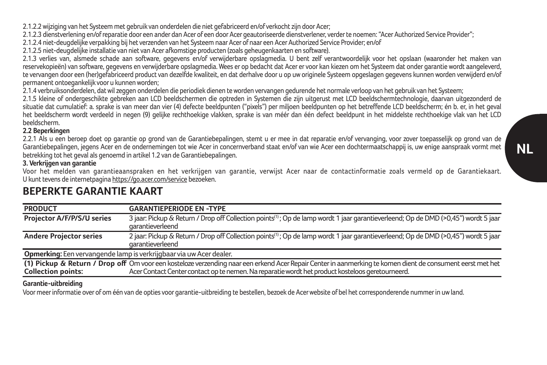2.1.2.2 wijziging van het Systeem met gebruik van onderdelen die niet gefabriceerd en/of verkocht zijn door Acer;

2.1.2.3 dienstverlening en/of reparatie door een ander dan Acer of een door Acer geautoriseerde dienstverlener, verder te noemen: "Acer Authorized Service Provider";

2.1.2.4 niet-deugdelijke verpakking bij het verzenden van het Systeem naar Acer of naar een Acer Authorized Service Provider; en/of

2.1.2.5 niet-deugdelijke installatie van niet van Acer afkomstige producten (zoals geheugenkaarten en software).

2.1.3 verlies van, alsmede schade aan software, gegevens en/of verwijderbare opslagmedia. U bent zelf verantwoordelijk voor het opslaan (waaronder het maken van reservekopieën) van software, gegevens en verwijderbare opslagmedia. Wees er op bedacht dat Acer er voor kan kiezen om het Systeem dat onder garantie wordt aangeleverd, te vervangen door een (her)gefabriceerd product van dezelfde kwaliteit, en dat derhalve door u op uw originele Systeem opgeslagen gegevens kunnen worden verwijderd en/of permanent ontoegankelijk voor u kunnen worden;

2.1.4 verbruiksonderdelen, dat wil zeggen onderdelen die periodiek dienen te worden vervangen gedurende het normale verloop van het gebruik van het Systeem;

2.1.5 kleine of ondergeschikte gebreken aan LCD beeldschermen die optreden in Systemen die zijn uitgerust met LCD beeldschermtechnologie, daarvan uitgezonderd de situatie dat cumulatief: a. sprake is van meer dan vier (4) defecte beeldpunten ("pixels") per miljoen beeldpunten op het betreffende LCD beeldscherm; én b. er, in het geval het beeldscherm wordt verdeeld in negen (9) gelijke rechthoekige vlakken, sprake is van méér dan één defect beeldpunt in het middelste rechthoekige vlak van het LCD beeldscherm.

#### **2.2 Beperkingen**

2.2.1 Als u een beroep doet op garantie op grond van de Garantiebepalingen, stemt u er mee in dat reparatie en/of vervanging, voor zover toepasselijk op grond van de Garantiebepalingen, jegens Acer en de ondernemingen tot wie Acer in concernverband staat en/of van wie Acer een dochtermaatschappij is, uw enige aanspraak vormt met betrekking tot het geval als genoemd in artikel 1.2 van de Garantiebepalingen.

#### **3. Verkrijgen van garantie**

Voor het melden van garantieaanspraken en het verkrijgen van garantie, verwijst Acer naar de contactinformatie zoals vermeld op de Garantiekaart. U kunt tevens de internetpagina https://go.acer.com/service bezoeken.

| <b>PRODUCT</b>                    | <b>GARANTIEPERIODE EN -TYPE</b>                                                                                                                                                                                                                                |
|-----------------------------------|----------------------------------------------------------------------------------------------------------------------------------------------------------------------------------------------------------------------------------------------------------------|
| <b>Projector A/F/P/S/U series</b> | 3 jaar: Pickup & Return / Drop off Collection points <sup>(1)</sup> ; Op de lamp wordt 1 jaar garantieverleend; Op de DMD (>0,45") wordt 5 jaar<br>garantieverleend                                                                                            |
| <b>Andere Projector series</b>    | 2 jaar: Pickup & Return / Drop off Collection points <sup>(1)</sup> ; Op de lamp wordt 1 jaar garantieverleend; Op de DMD (>0,45") wordt 5 jaar<br>garantieverleend                                                                                            |
|                                   | Opmerking: Een vervangende lamp is verkrijgbaar via uw Acer dealer.                                                                                                                                                                                            |
| <b>Collection points:</b>         | (1) Pickup & Return / Drop off Om voor een kosteloze verzending naar een erkend Acer Repair Center in aanmerking te komen dient de consument eerst met het<br>Acer Contact Center contact op te nemen. Na reparatie wordt het product kosteloos geretourneerd. |

# **BEPERKTE GARANTIE KAART**

#### **Garantie-uitbreiding**

Voor meer informatie over of om één van de opties voor garantie-uitbreiding te bestellen, bezoek de Acer website of bel het corresponderende nummer in uw land.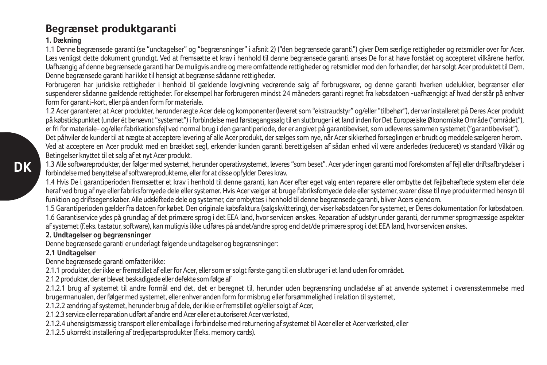# **Begrænset produktgaranti**

### **1. Dækning**

1.1 Denne begrænsede garanti (se "undtagelser" og "begrænsninger" i afsnit 2) ("den begrænsede garanti") giver Dem særlige rettigheder og retsmidler over for Acer. Læs venligst dette dokument grundigt. Ved at fremsætte et krav i henhold til denne begrænsede garanti anses De for at have forstået og accepteret vilkårene herfor. Uafhængig af denne begrænsede garanti har De muligvis andre og mere omfattende rettigheder og retsmidler mod den forhandler, der har solgt Acer produktet til Dem. Denne begrænsede garanti har ikke til hensigt at begrænse sådanne rettigheder.

Forbrugeren har juridiske rettigheder i henhold til gældende lovgivning vedrørende salg af forbrugsvarer, og denne garanti hverken udelukker, begrænser eller suspenderer sådanne gældende rettigheder. For eksempel har forbrugeren mindst 24 måneders garanti regnet fra købsdatoen -uafhængigt af hvad der står på enhver form for garanti-kort, eller på anden form for materiale.

1.2 Acer garanterer, at Acer produkter, herunder ægte Acer dele og komponenter (leveret som "ekstraudstyr" og/eller "tilbehør"), der var installeret på Deres Acer produkt på købstidspunktet (under ét benævnt "systemet") i forbindelse med førstegangssalg til en slutbruger i et land inden for Det Europæiske Økonomiske Område ("området"), er fri for materiale- og/eller fabrikationsfejl ved normal brug i den garantiperiode, der er angivet på garantibeviset, som udleveres sammen systemet ("garantibeviset").

Det påhviler de kunder til at nægte at acceptere levering af alle Acer produkt, der sælges som nye, når Acer sikkerhed forseglingen er brudt og meddele sælgeren herom. Ved at acceptere en Acer produkt med en brækket segl, erkender kunden garanti berettigelsen af sådan enhed vil være anderledes (reduceret) vs standard Vilkår og Betingelser knyttet til et salg af et nyt Acer produkt.

1.3 Alle softwareprodukter, der følger med systemet, herunder operativsystemet, leveres "som beset". Acer yder ingen garanti mod forekomsten af fejl eller driftsafbrydelser i forbindelse med benyttelse af softwareprodukterne, eller for at disse opfylder Deres krav.

1.4 Hvis De i garantiperioden fremsætter et krav i henhold til denne garanti, kan Acer efter eget valg enten reparere eller ombytte det fejlbehæftede system eller dele heraf ved brug af nye eller fabriksfornyede dele eller systemer. Hvis Acer vælger at bruge fabriksfornyede dele eller systemer, svarer disse til nye produkter med hensyn til funktion og driftsegenskaber. Alle udskiftede dele og systemer, der ombyttes i henhold til denne begrænsede garanti, bliver Acers ejendom.

1.5 Garantiperioden gælder fra datoen for købet. Den originale købsfaktura (salgskvittering), der viser købsdatoen for systemet, er Deres dokumentation for købsdatoen.

1.6 Garantiservice ydes på grundlag af det primære sprog i det EEA land, hvor servicen ønskes. Reparation af udstyr under garanti, der rummer sprogmæssige aspekter af systemet (f.eks. tastatur, software), kan muligvis ikke udføres på andet/andre sprog end det/de primære sprog i det EEA land, hvor servicen ønskes.

### **2. Undtagelser og begrænsninger**

Denne begrænsede garanti er underlagt følgende undtagelser og begrænsninger:

### **2.1 Undtagelser**

Denne begrænsede garanti omfatter ikke:

2.1.1 produkter, der ikke er fremstillet af eller for Acer, eller som er solgt første gang til en slutbruger i et land uden for området.

2.1.2 produkter, der er blevet beskadigede eller defekte som følge af

2.1.2.1 brug af systemet til andre formål end det, det er beregnet til, herunder uden begrænsning undladelse af at anvende systemet i overensstemmelse med brugermanualen, der følger med systemet, eller enhver anden form for misbrug eller forsømmelighed i relation til systemet,

2.1.2.2 ændring af systemet, herunder brug af dele, der ikke er fremstillet og/eller solgt af Acer,

2.1.2.3 service eller reparation udført af andre end Acer eller et autoriseret Acer værksted,

2.1.2.4 uhensigtsmæssig transport eller emballage i forbindelse med returnering af systemet til Acer eller et Acer værksted, eller

2.1.2.5 ukorrekt installering af tredjepartsprodukter (f.eks. memory cards).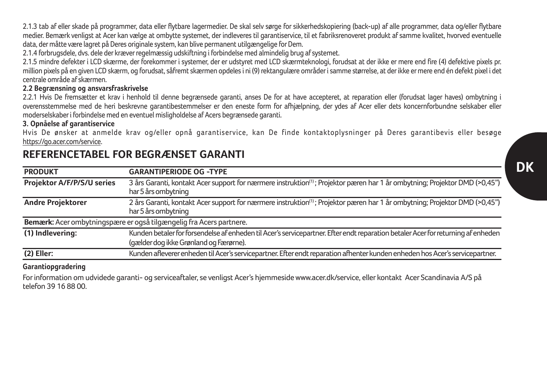2.1.3 tab af eller skade på programmer, data eller flytbare lagermedier. De skal selv sørge for sikkerhedskopiering (back-up) af alle programmer, data og/eller flytbare medier. Bemærk venligst at Acer kan vælge at ombytte systemet, der indleveres til garantiservice, til et fabriksrenoveret produkt af samme kvalitet, hvorved eventuelle data, der måtte være lagret på Deres originale system, kan blive permanent utilgængelige for Dem.

2.1.4 forbrugsdele, dvs. dele der kræver regelmæssig udskiftning i forbindelse med almindelig brug af systemet.

2.1.5 mindre defekter i LCD skærme, der forekommer i systemer, der er udstyret med LCD skærmteknologi, forudsat at der ikke er mere end fire (4) defektive pixels pr. million pixels på en given LCD skærm, og forudsat, såfremt skærmen opdeles i ni (9) rektangulære områder i samme størrelse, at der ikke er mere end én defekt pixel i det centrale område af skærmen.

#### **2.2 Begrænsning og ansvarsfraskrivelse**

2.2.1 Hvis De fremsætter et krav i henhold til denne begrænsede garanti, anses De for at have accepteret, at reparation eller (forudsat lager haves) ombytning i overensstemmelse med de heri beskrevne garantibestemmelser er den eneste form for afhjælpning, der ydes af Acer eller dets koncernforbundne selskaber eller moderselskaber i forbindelse med en eventuel misligholdelse af Acers begrænsede garanti.

#### **3. Opnåelse af garantiservice**

Hvis De ønsker at anmelde krav og/eller opnå garantiservice, kan De finde kontaktoplysninger på Deres garantibevis eller besøge https://go.acer.com/service.

| <b>PRODUKT</b>             | <b>GARANTIPERIODE OG -TYPE</b>                                                                                                                                 |
|----------------------------|----------------------------------------------------------------------------------------------------------------------------------------------------------------|
| Projektor A/F/P/S/U series | 3 års Garanti, kontakt Acer support for nærmere instruktion <sup>(1)</sup> ; Projektor pæren har 1 år ombytning; Projektor DMD (>0,45")<br>har 5 års ombytning |
| <b>Andre Projektorer</b>   | 2 års Garanti, kontakt Acer support for nærmere instruktion <sup>(1)</sup> ; Projektor pæren har 1 år ombytning; Projektor DMD (>0,45")                        |
|                            | har 5 års ombytning                                                                                                                                            |
|                            | Bemærk: Acer ombytningspære er også tilgængelig fra Acers partnere.                                                                                            |
| (1) Indlevering:           | Kunden betaler for forsendelse af enheden til Acer's servicepartner. Efter endt reparation betaler Acer for returning af enheden                               |
|                            | (gælder dog ikke Grønland og Færørne).                                                                                                                         |
| $(2)$ Eller:               | Kunden afleverer enheden til Acer's servicepartner. Efter endt reparation afhenter kunden enheden hos Acer's servicepartner.                                   |

# **REFERENCETABEL FOR BEGRÆNSET GARANTI**

### **Garantiopgradering**

For information om udvidede garanti- og serviceaftaler, se venligst Acer's hjemmeside www.acer.dk/service, eller kontakt Acer Scandinavia A/S på telefon 39 16 88 00.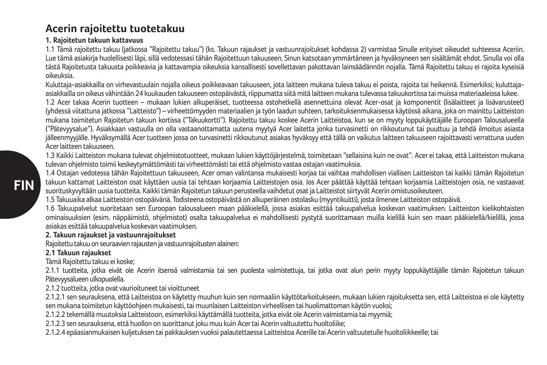# **Acerin rajoitettu tuotetakuu**

### **1. Rajoitetun takuun kattavuus**

1.1 Tämä rajoitettu takuu (jatkossa "Rajoitettu takuu") (ks. Takuun rajaukset ja vastuunrajoitukset kohdassa 2) varmistaa Sinulle erityiset oikeudet suhteessa Aceriin. Lue tämä asiakirja huolellisesti läpi, sillä vedotessasi tähän Rajoitettuun takuuseen, Sinun katsotaan ymmärtäneen ja hyväksyneen sen sisältämät ehdot. Sinulla voi olla tästä Rajoitetusta takuusta poikkeavia ja kattavampia oikeuksia kansallisesti sovellettavan pakottavan lainsäädännön nojalla. Tämä Rajoitettu takuu ei rajoita kyseisiä oikeuksia.

Kuluttaja-asiakkailla on virhevastuulain nojalla oikeus poikkeavaan takuuseen, jota laitteen mukana tuleva takuu ei poista, rajoita tai heikennä. Esimerkiksi: kuluttajaasiakkailla on oikeus vähintään 24 kuukauden takuuseen ostopäivästä, riippumatta siitä mitä laitteen mukana tulevassa takuukortissa tai muissa materiaaleissa lukee.

1.2 Acer takaa Acerin tuotteen – mukaan lukien alkuperäiset, tuotteessa ostohetkellä asennettuina olevat Acer-osat ja komponentit (lisälaitteet ja lisävarusteet) (yhdessä viitattuna jatkossa "Laitteisto") – virheettömyyden materiaalien ja työn laadun suhteen, tarkoituksenmukaisessa käytössä aikana, joka on mainittu Laitteiston mukana toimitetun Rajoitetun takuun kortissa ("Takuukortti"). Rajoitettu takuu koskee Acerin Laitteistoa, kun se on myyty loppukäyttäjälle Euroopan Talousalueella ("Pätevyysalue"). Asiakkaan vastuulla on olla vastaanottamatta uutena myytyä Acer laitetta jonka turvasinetti on rikkoutunut tai puuttuu ja tehdä ilmoitus asiasta jälleenmyyjälle. Hyväksymällä Acer tuotteen jossa on turvasinetti rikkoutunut asiakas hyväksyy että tällä on vaikutus laitteen takuuseen rajoittavasti verrattuna uuden Acer laitteen takuuseen.

1.3 Kaikki Laitteiston mukana tulevat ohjelmistotuotteet, mukaan lukien käyttöjärjestelmä, toimitetaan "sellaisina kuin ne ovat". Acer ei takaa, että Laitteiston mukana tulevan ohjelmisto toimii keskeytymättömästi tai virheettömästi tai että ohjelmisto vastaa ostajan vaatimuksia.

1.4 Ostajan vedotessa tähän Rajoitettuun takuuseen, Acer oman valintansa mukaisesti korjaa tai vaihtaa mahdollisen viallisen Laitteiston tai kaikki tämän Rajoitetun takuun kattamat Laitteiston osat käyttäen uusia tai tehtaan korjaamia Laitteistojen osia. Jos Acer päättää käyttää tehtaan korjaamia Laitteistojen osia, ne vastaavat suorituskyvyltään uusia tuotteita. Kaikki tämän Rajoitetun takuun perusteella vaihdetut osat ja Laitteistot siirtyvät Acerin omistusoikeuteen.

1.5 Takuuaika alkaa Laitteiston ostopäivänä. Todisteena ostopäivästä on alkuperäinen ostolasku (myyntikuitti), josta ilmenee Laitteiston ostopäivä.

1.6 Takuupalvelut suoritetaan sen Euroopan talousalueen maan pääkielellä, jossa asiakas esittää takuupalvelua koskevan vaatimuksen. Laitteiston kielikohtaisten ominaisuuksien (esim. näppäimistö, ohjelmistot) osalta takuupalvelua ei mahdollisesti pystytä suorittamaan muilla kielillä kuin sen maan pääkielellä/kielillä, jossa asiakas esittää takuupalvelua koskevan vaatimuksen.

### **2. Takuun rajaukset ja vastuunrajoitukset**

Rajoitettu takuu on seuraavien rajausten ja vastuunrajoitusten alainen:

### **2.1 Takuun rajaukset**

Tämä Rajoitettu takuu ei koske;

2.1.1 tuotteita, jotka eivät ole Acerin itsensä valmistamia tai sen puolesta valmistettuja, tai jotka ovat alun perin myyty loppukäyttäjälle tämän Rajoitetun takuun Pätevyysalueen ulkopuolella.

2.1.2 tuotteita, jotka ovat vaurioituneet tai vioittuneet

2.1.2.1 sen seurauksena, että Laitteistoa on käytetty muuhun kuin sen normaaliin käyttötarkoitukseen, mukaan lukien rajoituksetta sen, että Laitteistoa ei ole käytetty sen mukana toimitetun käyttöohjeen mukaisesti, tai muunlaisen Laitteiston virheellisen tai huolimattoman käytön vuoksi;

2.1.2.2 tekemällä muutoksia Laitteistoon, esimerkiksi käyttämällä tuotteita, jotka eivät ole Acerin valmistamia tai myymiä;

2.1.2.3 sen seurauksena, että huollon on suorittanut joku muu kuin Acer tai Acerin valtuutettu huoltoliike;

2.1.2.4 epäasianmukaisen kuljetuksen tai pakkauksen vuoksi palautettaessa Laitteistoa Acerille tai Acerin valtuutetulle huoltoliikkeelle; tai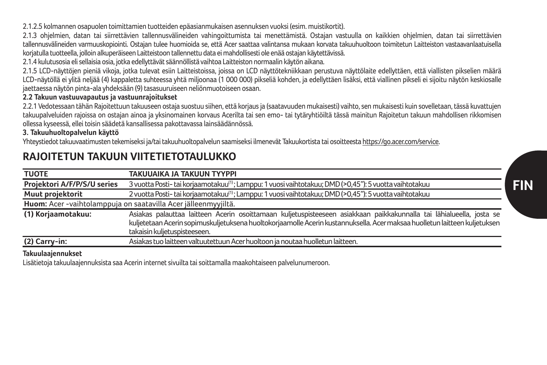2.1.2.5 kolmannen osapuolen toimittamien tuotteiden epäasianmukaisen asennuksen vuoksi (esim. muistikortit).

2.1.3 ohjelmien, datan tai siirrettävien tallennusvälineiden vahingoittumista tai menettämistä. Ostajan vastuulla on kaikkien ohjelmien, datan tai siirrettävien tallennusvälineiden varmuuskopiointi. Ostajan tulee huomioida se, että Acer saattaa valintansa mukaan korvata takuuhuoltoon toimitetun Laitteiston vastaavanlaatuisella korjatulla tuotteella, jolloin alkuperäiseen Laitteistoon tallennettu data ei mahdollisesti ole enää ostajan käytettävissä.

2.1.4 kulutusosia eli sellaisia osia, jotka edellyttävät säännöllistä vaihtoa Laitteiston normaalin käytön aikana.

2.1.5 LCD-näyttöjen pieniä vikoja, jotka tulevat esiin Laitteistoissa, joissa on LCD näyttötekniikkaan perustuva näyttölaite edellyttäen, että viallisten pikselien määrä LCD-näytöllä ei ylitä neljää (4) kappaletta suhteessa yhtä miljoonaa (1 000 000) pikseliä kohden, ja edellyttäen lisäksi, että viallinen pikseli ei sijoitu näytön keskiosalle jaettaessa näytön pinta-ala yhdeksään (9) tasasuuruiseen neliönmuotoiseen osaan.

#### **2.2 Takuun vastuuvapautus ja vastuunrajoitukset**

2.2.1 Vedotessaan tähän Rajoitettuun takuuseen ostaja suostuu siihen, että korjaus ja (saatavuuden mukaisesti) vaihto, sen mukaisesti kuin sovelletaan, tässä kuvattujen takuupalveluiden rajoissa on ostajan ainoa ja yksinomainen korvaus Acerilta tai sen emo- tai tytäryhtiöiltä tässä mainitun Rajoitetun takuun mahdollisen rikkomisen ollessa kyseessä, ellei toisin säädetä kansallisessa pakottavassa lainsäädännössä.

#### **3. Takuuhuoltopalvelun käyttö**

Yhteystiedot takuuvaatimusten tekemiseksi ja/tai takuuhuoltopalvelun saamiseksi ilmenevät Takuukortista tai osoitteesta https://go.acer.com/service.

# **RAJOITETUN TAKUUN VIITETIETOTAULUKKO**

| <b>TUOTE</b>                                                   | TAKUUAIKA JA TAKUUN TYYPPI                                                                                                 |
|----------------------------------------------------------------|----------------------------------------------------------------------------------------------------------------------------|
| Projektori A/F/P/S/U series                                    | 3 vuotta Posti- tai korjaamotakuu <sup>(1)</sup> ; Lamppu: 1 vuosi vaihtotakuu; DMD (>0,45"): 5 vuotta vaihtotakuu         |
| Muut projektorit                                               | 2 vuotta Posti- tai korjaamotakuu <sup>(1)</sup> ; Lamppu: 1 vuosi vaihtotakuu; DMD (>0,45"): 5 vuotta vaihtotakuu         |
| Huom: Acer -vaihtolamppuja on saatavilla Acer jälleenmyyjiltä. |                                                                                                                            |
| (1) Korjaamotakuu:                                             | Asiakas palauttaa laitteen Acerin osoittamaan kuljetuspisteeseen asiakkaan paikkakunnalla tai lähialueella, josta se       |
|                                                                | kuljetetaan Acerin sopimuskuljetuksena huoltokorjaamolle Acerin kustannuksella. Acer maksaa huolletun laitteen kuljetuksen |
|                                                                | takaisin kulietuspisteeseen.                                                                                               |
| (2) Carry-in:                                                  | Asiakas tuo laitteen valtuutettuun Acer huoltoon ja noutaa huolletun laitteen.                                             |
|                                                                |                                                                                                                            |

### **Takuulaajennukset**

Lisätietoja takuulaajennuksista saa Acerin internet sivuilta tai soittamalla maakohtaiseen palvelunumeroon.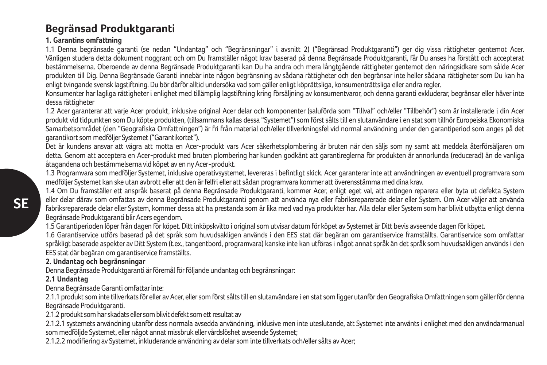# **Begränsad Produktgaranti**

### **1. Garantins omfattning**

1.1 Denna begränsade garanti (se nedan "Undantag" och "Begränsningar" i avsnitt 2) ("Begränsad Produktgaranti") ger dig vissa rättigheter gentemot Acer. Vänligen studera detta dokument noggrant och om Du framställer något krav baserad på denna Begränsade Produktgaranti, får Du anses ha förstått och accepterat bestämmelserna. Oberoende av denna Begränsade Produktgaranti kan Du ha andra och mera långtgående rättigheter gentemot den näringsidkare som sålde Acer produkten till Dig. Denna Begränsade Garanti innebär inte någon begränsning av sådana rättigheter och den begränsar inte heller sådana rättigheter som Du kan ha enligt tvingande svensk lagstiftning. Du bör därför alltid undersöka vad som gäller enligt köprättsliga, konsumenträttsliga eller andra regler.

Konsumenter har lagliga rättigheter i enlighet med tillämplig lagstiftning kring försäljning av konsumentvaror, och denna garanti exkluderar, begränsar eller häver inte dessa rättigheter

1.2 Acer garanterar att varje Acer produkt, inklusive original Acer delar och komponenter (saluförda som "Tillval" och/eller "Tillbehör") som är installerade i din Acer produkt vid tidpunkten som Du köpte produkten, (tillsammans kallas dessa "Systemet") som först sålts till en slutanvändare i en stat som tillhör Europeiska Ekonomiska Samarbetsområdet (den "Geografiska Omfattningen") är fri från material och/eller tillverkningsfel vid normal användning under den garantiperiod som anges på det garantikort som medföljer Systemet ("Garantikortet").

Det är kundens ansvar att vägra att motta en Acer-produkt vars Acer säkerhetsplombering är bruten när den säljs som ny samt att meddela återförsäljaren om detta. Genom att acceptera en Acer-produkt med bruten plombering har kunden godkänt att garantireglerna för produkten är annorlunda (reducerad) än de vanliga åtagandena och bestämmelserna vid köpet av en ny Acer-produkt.

1.3 Programvara som medföljer Systemet, inklusive operativsystemet, levereras i befintligt skick. Acer garanterar inte att användningen av eventuell programvara som medföljer Systemet kan ske utan avbrott eller att den är felfri eller att sådan programvara kommer att överensstämma med dina krav.

1.4 Om Du framställer ett anspråk baserat på denna Begränsade Produktgaranti, kommer Acer, enligt eget val, att antingen reparera eller byta ut defekta System eller delar därav som omfattas av denna Begränsade Produktgaranti genom att använda nya eller fabriksreparerade delar eller System. Om Acer väljer att använda fabriksreparerade delar eller System, kommer dessa att ha prestanda som är lika med vad nya produkter har. Alla delar eller System som har blivit utbytta enligt denna Begränsade Produktgaranti blir Acers egendom.

1.5 Garantiperioden löper från dagen för köpet. Ditt inköpskvitto i original som utvisar datum för köpet av Systemet är Ditt bevis avseende dagen för köpet.

1.6 Garantiservice utförs baserad på det språk som huvudsakligen används i den EES stat där begäran om garantiservice framställts. Garantiservice som omfattar språkligt baserade aspekter av Ditt System (t.ex., tangentbord, programvara) kanske inte kan utföras i något annat språk än det språk som huvudsakligen används i den EES stat där begäran om garantiservice framställts.

### **2. Undantag och begränsningar**

Denna Begränsade Produktgaranti är föremål för följande undantag och begränsningar:

### **2.1 Undantag**

Denna Begränsade Garanti omfattar inte:

2.1.1 produkt som inte tillverkats för eller av Acer, eller som först sålts till en slutanvändare i en stat som ligger utanför den Geografiska Omfattningen som gäller för denna Begränsade Produktgaranti.

2.1.2 produkt som har skadats eller som blivit defekt som ett resultat av

2.1.2.1 systemets användning utanför dess normala avsedda användning, inklusive men inte uteslutande, att Systemet inte använts i enlighet med den användarmanual som medföljde Systemet, eller något annat missbruk eller vårdslöshet avseende Systemet;

2.1.2.2 modifiering av Systemet, inkluderande användning av delar som inte tillverkats och/eller sålts av Acer;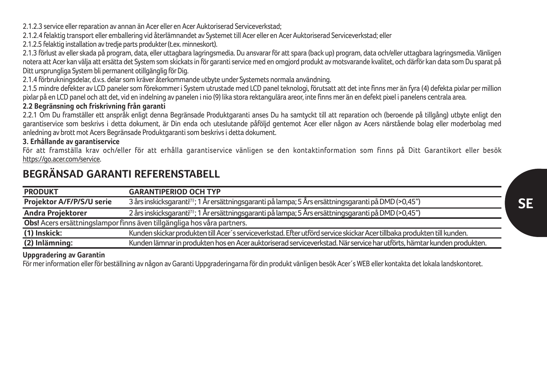2.1.2.3 service eller reparation av annan än Acer eller en Acer Auktoriserad Serviceverkstad;

2.1.2.4 felaktig transport eller emballering vid återlämnandet av Systemet till Acer eller en Acer Auktoriserad Serviceverkstad; eller

2.1.2.5 felaktig installation av tredje parts produkter (t.ex. minneskort).

2.1.3 förlust av eller skada på program, data, eller uttagbara lagringsmedia. Du ansvarar för att spara (back up) program, data och/eller uttagbara lagringsmedia. Vänligen notera att Acer kan välja att ersätta det System som skickats in för garanti service med en omgjord produkt av motsvarande kvalitet, och därför kan data som Du sparat på Ditt ursprungliga System bli permanent otillgänglig för Dig.

2.1.4 förbrukningsdelar, d.v.s. delar som kräver återkommande utbyte under Systemets normala användning.

2.1.5 mindre defekter av LCD paneler som förekommer i System utrustade med LCD panel teknologi, förutsatt att det inte finns mer än fyra (4) defekta pixlar per million pixlar på en LCD panel och att det, vid en indelning av panelen i nio (9) lika stora rektangulära areor, inte finns mer än en defekt pixel i panelens centrala area.

### **2.2 Begränsning och friskrivning från garanti**

2.2.1 Om Du framställer ett anspråk enligt denna Begränsade Produktgaranti anses Du ha samtyckt till att reparation och (beroende på tillgång) utbyte enligt den garantiservice som beskrivs i detta dokument, är Din enda och uteslutande påföljd gentemot Acer eller någon av Acers närstående bolag eller moderbolag med anledning av brott mot Acers Begränsade Produktgaranti som beskrivs i detta dokument.

### **3. Erhållande av garantiservice**

För att framställa krav och/eller för att erhålla garantiservice vänligen se den kontaktinformation som finns på Ditt Garantikort eller besök https://go.acer.com/service.

# **BEGRÄNSAD GARANTI REFERENSTABELL**

| <b>PRODUKT</b>                                                          | <b>GARANTIPERIOD OCH TYP</b>                                                                                            |
|-------------------------------------------------------------------------|-------------------------------------------------------------------------------------------------------------------------|
| Projektor A/F/P/S/U serie                                               | 3 års inskicksgaranti <sup>(1)</sup> ; 1 År ersättningsgaranti på lampa; 5 Års ersättningsgaranti på DMD (>0,45")       |
| Andra Projektorer                                                       | 2 års inskicksgaranti <sup>(1)</sup> ; 1 År ersättningsgaranti på lampa; 5 Års ersättningsgaranti på DMD (>0,45")       |
| Obs! Acers ersättningslampor finns även tillgängliga hos våra partners. |                                                                                                                         |
| (1) Inskick:                                                            | Kunden skickar produkten till Acer's serviceverkstad. Efter utförd service skickar Acer tillbaka produkten till kunden. |
| (2) Inlämning:                                                          | Kunden lämnar in produkten hos en Acer auktoriserad serviceverkstad. När service har utförts, hämtar kunden produkten,  |

### **Uppgradering av Garantin**

För mer information eller för beställning av någon av Garanti Uppgraderingarna för din produkt vänligen besök Acer´s WEB eller kontakta det lokala landskontoret.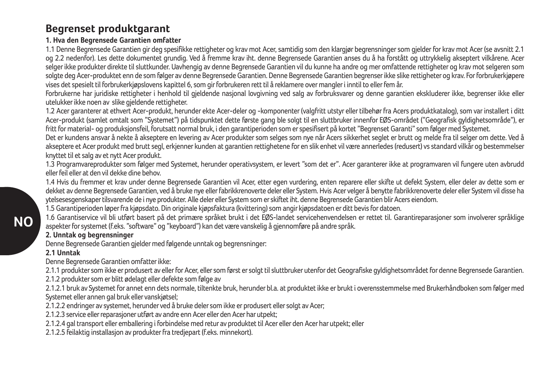# **Begrenset produktgarant**

### **1. Hva den Begrensede Garantien omfatter**

1.1 Denne Begrensede Garantien gir deg spesifikke rettigheter og krav mot Acer, samtidig som den klargjør begrensninger som gjelder for krav mot Acer (se avsnitt 2.1 og 2.2 nedenfor). Les dette dokumentet grundig. Ved å fremme krav iht. denne Begrensede Garantien anses du å ha forstått og uttrykkelig akseptert vilkårene. Acer selger ikke produkter direkte til sluttkunder. Uavhengig av denne Begrensede Garantien vil du kunne ha andre og mer omfattende rettigheter og krav mot selgeren som solgte deg Acer-produktet enn de som følger av denne Begrensede Garantien. Denne Begrensede Garantien begrenser ikke slike rettigheter og krav. For forbrukerkjøpere vises det spesielt til forbrukerkjøpslovens kapittel 6, som gir forbrukeren rett til å reklamere over mangler i inntil to eller fem år.

Forbrukerne har juridiske rettigheter i henhold til gjeldende nasjonal lovgivning ved salg av forbruksvarer og denne garantien ekskluderer ikke, begrenser ikke eller utelukker ikke noen av slike gjeldende rettigheter.

1.2 Acer garanterer at ethvert Acer-produkt, herunder ekte Acer-deler og -komponenter (valgfritt utstyr eller tilbehør fra Acers produktkatalog), som var installert i ditt Acer-produkt (samlet omtalt som "Systemet") på tidspunktet dette første gang ble solgt til en sluttbruker innenfor EØS-området ("Geografisk gyldighetsområde"), er fritt for material- og produksjonsfeil, forutsatt normal bruk, i den garantiperioden som er spesifisert på kortet "Begrenset Garanti" som følger med Systemet.

Det er kundens ansvar å nekte å akseptere en levering av Acer produkter som selges som nye når Acers sikkerhet seglet er brutt og melde fra til selger om dette. Ved å akseptere et Acer produkt med brutt segl, erkjenner kunden at garantien rettighetene for en slik enhet vil være annerledes (redusert) vs standard vilkår og bestemmelser knyttet til et salg av et nytt Acer produkt.

1.3 Programvareprodukter som følger med Systemet, herunder operativsystem, er levert "som det er". Acer garanterer ikke at programvaren vil fungere uten avbrudd eller feil eller at den vil dekke dine behov.

1.4 Hvis du fremmer et krav under denne Begrensede Garantien vil Acer, etter egen vurdering, enten reparere eller skifte ut defekt System, eller deler av dette som er dekket av denne Begrensede Garantien, ved å bruke nye eller fabrikkrenoverte deler eller System. Hvis Acer velger å benytte fabrikkrenoverte deler eller System vil disse ha ytelsesesgenskaper tilsvarende de i nye produkter. Alle deler eller System som er skiftet iht. denne Begrensede Garantien blir Acers eiendom.

1.5 Garantiperioden løper fra kjøpsdato. Din originale kjøpsfaktura (kvittering) som angir kjøpsdatoen er ditt bevis for datoen.

1.6 Garantiservice vil bli utført basert på det primære språket brukt i det EØS-landet servicehenvendelsen er rettet til. Garantireparasjoner som involverer språklige aspekter for systemet (f.eks. "software" og "keyboard") kan det være vanskelig å gjennomføre på andre språk.

### **2. Unntak og begrensninger**

Denne Begrensede Garantien gjelder med følgende unntak og begrensninger:

### **2.1 Unntak**

Denne Begrensede Garantien omfatter ikke:

2.1.1 produkter som ikke er produsert av eller for Acer, eller som først er solgt til sluttbruker utenfor det Geografiske gyldighetsområdet for denne Begrensede Garantien.

2.1.2 produkter som er blitt ødelagt eller defekte som følge av

2.1.2.1 bruk av Systemet for annet enn dets normale, tiltenkte bruk, herunder bl.a. at produktet ikke er brukt i overensstemmelse med Brukerhåndboken som følger med Systemet eller annen gal bruk eller vanskjøtsel;

2.1.2.2 endringer av systemet, herunder ved å bruke deler som ikke er produsert eller solgt av Acer;

2.1.2.3 service eller reparasjoner utført av andre enn Acer eller den Acer har utpekt;

2.1.2.4 gal transport eller emballering i forbindelse med retur av produktet til Acer eller den Acer har utpekt; eller

2.1.2.5 feilaktig installasjon av produkter fra tredjepart (f.eks. minnekort).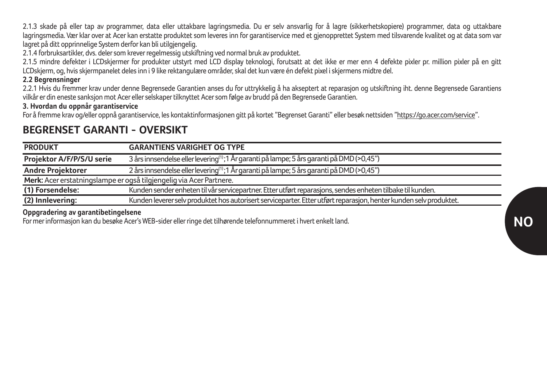2.1.3 skade på eller tap av programmer, data eller uttakbare lagringsmedia. Du er selv ansvarlig for å lagre (sikkerhetskopiere) programmer, data og uttakbare lagringsmedia. Vær klar over at Acer kan erstatte produktet som leveres inn for garantiservice med et gjenopprettet System med tilsvarende kvalitet og at data som var lagret på ditt opprinnelige System derfor kan bli utilgjengelig.

2.1.4 forbruksartikler, dvs. deler som krever regelmessig utskiftning ved normal bruk av produktet.

2.1.5 mindre defekter i LCDskjermer for produkter utstyrt med LCD display teknologi, forutsatt at det ikke er mer enn 4 defekte pixler pr. million pixler på en gitt LCDskjerm, og, hvis skjermpanelet deles inn i 9 like rektangulære områder, skal det kun være én defekt pixel i skjermens midtre del.

#### **2.2 Begrensninger**

2.2.1 Hvis du fremmer krav under denne Begrensede Garantien anses du for uttrykkelig å ha akseptert at reparasjon og utskiftning iht. denne Begrensede Garantiens vilkår er din eneste sanksjon mot Acer eller selskaper tilknyttet Acer som følge av brudd på den Begrensede Garantien.

### **3. Hvordan du oppnår garantiservice**

For å fremme krav og/eller oppnå garantiservice, les kontaktinformasjonen gitt på kortet "Begrenset Garanti" eller besøk nettsiden "https://go.acer.com/service".

# **BEGRENSET GARANTI - OVERSIKT**

| <b>PRODUKT</b>                                                      | <b>GARANTIENS VARIGHET OG TYPE</b>                                                                                 |  |
|---------------------------------------------------------------------|--------------------------------------------------------------------------------------------------------------------|--|
| Projektor A/F/P/S/U serie                                           | 3 års innsendelse eller levering <sup>(1)</sup> ;1 År garanti på lampe; 5 års garanti på DMD (>0,45")              |  |
| Andre Projektorer                                                   | 2 års innsendelse eller levering <sup>(1)</sup> ;1 År garanti på lampe; 5 års garanti på DMD (>0,45")              |  |
| Merk: Acer erstatningslampe er også tilgjengelig via Acer Partnere. |                                                                                                                    |  |
| (1) Forsendelse:                                                    | Kunden sender enheten til vår servicepartner. Etter utført reparasions, sendes enheten tilbake til kunden.         |  |
| (2) Innlevering:                                                    | Kunden leverer selv produktet hos autorisert serviceparter. Etter utført reparasjon, henter kunden selv produktet. |  |

#### **Oppgradering av garantibetingelsene**

For mer informasjon kan du besøke Acer's WEB-sider eller ringe det tilhørende telefonnummeret i hvert enkelt land.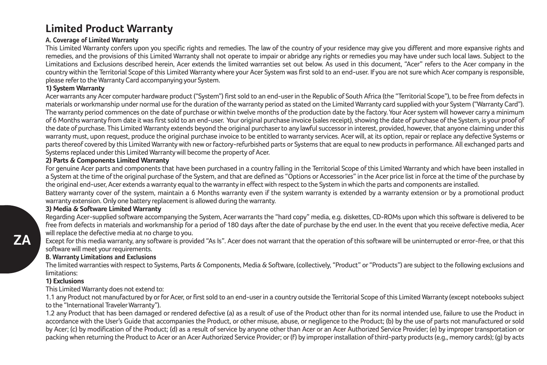# **Limited Product Warranty**

#### **A. Coverage of Limited Warranty**

This Limited Warranty confers upon you specific rights and remedies. The law of the country of your residence may give you different and more expansive rights and remedies, and the provisions of this Limited Warranty shall not operate to impair or abridge any rights or remedies you may have under such local laws. Subject to the Limitations and Exclusions described herein, Acer extends the limited warranties set out below. As used in this document, "Acer" refers to the Acer company in the country within the Territorial Scope of this Limited Warranty where your Acer System was first sold to an end-user. If you are not sure which Acer company is responsible, please refer to the Warranty Card accompanying your System.

#### **1) System Warranty**

Acer warrants any Acer computer hardware product ("System") first sold to an end-user in the Republic of South Africa (the "Territorial Scope"), to be free from defects in materials or workmanship under normal use for the duration of the warranty period as stated on the Limited Warranty card supplied with your System ("Warranty Card"). The warranty period commences on the date of purchase or within twelve months of the production date by the factory. Your Acer system will however carry a minimum of 6 Months warranty from date it was first sold to an end-user. Your original purchase invoice (sales receipt), showing the date of purchase of the System, is your proof of the date of purchase. This Limited Warranty extends beyond the original purchaser to any lawful successor in interest, provided, however, that anyone claiming under this warranty must, upon request, produce the original purchase invoice to be entitled to warranty services. Acer will, at its option, repair or replace any defective Systems or parts thereof covered by this Limited Warranty with new or factory-refurbished parts or Systems that are equal to new products in performance. All exchanged parts and Systems replaced under this Limited Warranty will become the property of Acer.

#### **2) Parts & Components Limited Warranty**

For genuine Acer parts and components that have been purchased in a country falling in the Territorial Scope of this Limited Warranty and which have been installed in a System at the time of the original purchase of the System, and that are defined as "Options or Accessories" in the Acer price list in force at the time of the purchase by the original end-user, Acer extends a warranty equal to the warranty in effect with respect to the System in which the parts and components are installed.

Battery warranty cover of the system, maintain a 6 Months warranty even if the system warranty is extended by a warranty extension or by a promotional product warranty extension. Only one battery replacement is allowed during the warranty.

#### **3) Media & Software Limited Warranty**

Regarding Acer-supplied software accompanying the System, Acer warrants the "hard copy" media, e.g. diskettes, CD-ROMs upon which this software is delivered to be free from defects in materials and workmanship for a period of 180 days after the date of purchase by the end user. In the event that you receive defective media, Acer will replace the defective media at no charge to you.

Except for this media warranty, any software is provided "As Is". Acer does not warrant that the operation of this software will be uninterrupted or error-free, or that this software will meet your requirements.

#### **B. Warranty Limitations and Exclusions**

The limited warranties with respect to Systems, Parts & Components, Media & Software, (collectively, "Product" or "Products") are subject to the following exclusions and limitations:

#### **1) Exclusions**

This Limited Warranty does not extend to:

1.1 any Product not manufactured by or for Acer, or first sold to an end-user in a country outside the Territorial Scope of this Limited Warranty (except notebooks subject to the "International Traveler Warranty").

1.2 any Product that has been damaged or rendered defective (a) as a result of use of the Product other than for its normal intended use, failure to use the Product in accordance with the User's Guide that accompanies the Product, or other misuse, abuse, or negligence to the Product; (b) by the use of parts not manufactured or sold by Acer; (c) by modification of the Product; (d) as a result of service by anyone other than Acer or an Acer Authorized Service Provider; (e) by improper transportation or packing when returning the Product to Acer or an Acer Authorized Service Provider; or (f) by improper installation of third-party products (e.g., memory cards); (g) by acts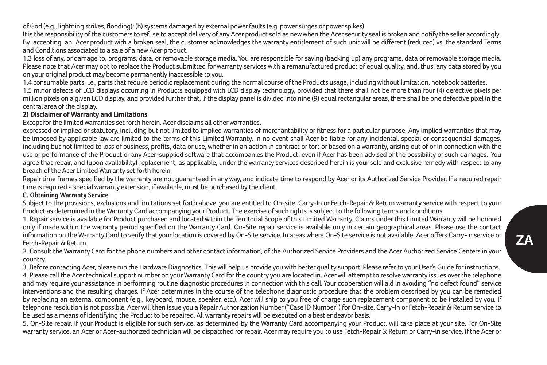of God (e.g., lightning strikes, flooding); (h) systems damaged by external power faults (e.g. power surges or power spikes).

It is the responsibility of the customers to refuse to accept delivery of any Acer product sold as new when the Acer security seal is broken and notify the seller accordingly. By accepting an Acer product with a broken seal, the customer acknowledges the warranty entitlement of such unit will be different (reduced) vs. the standard Terms and Conditions associated to a sale of a new Acer product.

1.3 loss of any, or damage to, programs, data, or removable storage media. You are responsible for saving (backing up) any programs, data or removable storage media. Please note that Acer may opt to replace the Product submitted for warranty services with a remanufactured product of equal quality, and, thus, any data stored by you on your original product may become permanently inaccessible to you.

1.4 consumable parts, i.e., parts that require periodic replacement during the normal course of the Products usage, including without limitation, notebook batteries.

1.5 minor defects of LCD displays occurring in Products equipped with LCD display technology, provided that there shall not be more than four (4) defective pixels per million pixels on a given LCD display, and provided further that, if the display panel is divided into nine (9) equal rectangular areas, there shall be one defective pixel in the central area of the display.

#### **2) Disclaimer of Warranty and Limitations**

Except for the limited warranties set forth herein, Acer disclaims all other warranties,

expressed or implied or statutory, including but not limited to implied warranties of merchantability or fitness for a particular purpose. Any implied warranties that may be imposed by applicable law are limited to the terms of this Limited Warranty. In no event shall Acer be liable for any incidental, special or consequential damages, including but not limited to loss of business, profits, data or use, whether in an action in contract or tort or based on a warranty, arising out of or in connection with the use or performance of the Product or any Acer-supplied software that accompanies the Product, even if Acer has been advised of the possibility of such damages. You agree that repair, and (upon availability) replacement, as applicable, under the warranty services described herein is your sole and exclusive remedy with respect to any breach of the Acer Limited Warranty set forth herein.

Repair time frames specified by the warranty are not quaranteed in any way, and indicate time to respond by Acer or its Authorized Service Provider. If a required repair time is required a special warranty extension, if available, must be purchased by the client.

#### **C. Obtaining Warranty Service**

Subject to the provisions, exclusions and limitations set forth above, you are entitled to On-site, Carry-In or Fetch-Repair & Return warranty service with respect to your Product as determined in the Warranty Card accompanying your Product. The exercise of such rights is subject to the following terms and conditions:

1. Repair service is available for Product purchased and located within the Territorial Scope of this Limited Warranty. Claims under this Limited Warranty will be honored only if made within the warranty period specified on the Warranty Card. On-Site repair service is available only in certain geographical areas. Please use the contact information on the Warranty Card to verify that your location is covered by On-Site service. In areas where On-Site service is not available, Acer offers Carry-In service or Fetch-Repair & Return.

2. Consult the Warranty Card for the phone numbers and other contact information, of the Authorized Service Providers and the Acer Authorized Service Centers in your country.

3. Before contacting Acer, please run the Hardware Diagnostics. This will help us provide you with better quality support. Please refer to your User's Guide for instructions. 4. Please call the Acer technical support number on your Warranty Card for the country you are located in. Acer will attempt to resolve warranty issues over the telephone and may require your assistance in performing routine diagnostic procedures in connection with this call. Your cooperation will aid in avoiding "no defect found" service interventions and the resulting charges. If Acer determines in the course of the telephone diagnostic procedure that the problem described by you can be remedied by replacing an external component (e.g., keyboard, mouse, speaker, etc.), Acer will ship to you free of charge such replacement component to be installed by you. If telephone resolution is not possible, Acer will then issue you a Repair Authorization Number ("Case ID Number") for On-site, Carry-In or Fetch-Repair & Return service to be used as a means of identifying the Product to be repaired. All warranty repairs will be executed on a best endeavor basis.

5. On-Site repair, if your Product is eligible for such service, as determined by the Warranty Card accompanying your Product, will take place at your site. For On-Site warranty service, an Acer or Acer-authorized technician will be dispatched for repair. Acer may require you to use Fetch-Repair & Return or Carry-in service, if the Acer or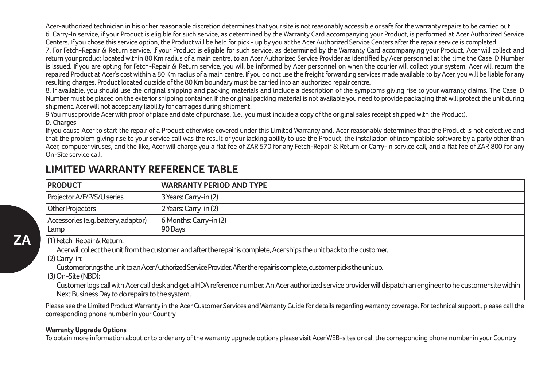Acer-authorized technician in his or her reasonable discretion determines that your site is not reasonably accessible or safe for the warranty repairs to be carried out. 6. Carry-In service, if your Product is eligible for such service, as determined by the Warranty Card accompanying your Product, is performed at Acer Authorized Service Centers. If you chose this service option, the Product will be held for pick - up by you at the Acer Authorized Service Centers after the repair service is completed.

7. For Fetch-Repair & Return service, if your Product is eligible for such service, as determined by the Warranty Card accompanying your Product, Acer will collect and return your product located within 80 Km radius of a main centre, to an Acer Authorized Service Provider as identified by Acer personnel at the time the Case ID Number is issued. If you are opting for Fetch-Repair & Return service, you will be informed by Acer personnel on when the courier will collect your system. Acer will return the repaired Product at Acer's cost within a 80 Km radius of a main centre. If you do not use the freight forwarding services made available to by Acer, you will be liable for any resulting charges. Product located outside of the 80 Km boundary must be carried into an authorized repair centre.

8. If available, you should use the original shipping and packing materials and include a description of the symptoms giving rise to your warranty claims. The Case ID Number must be placed on the exterior shipping container. If the original packing material is not available you need to provide packaging that will protect the unit during shipment. Acer will not accept any liability for damages during shipment.

9 You must provide Acer with proof of place and date of purchase. (i.e., you must include a copy of the original sales receipt shipped with the Product).

#### **D. Charges**

If you cause Acer to start the repair of a Product otherwise covered under this Limited Warranty and, Acer reasonably determines that the Product is not defective and that the problem giving rise to your service call was the result of your lacking ability to use the Product, the installation of incompatible software by a party other than Acer, computer viruses, and the like, Acer will charge you a flat fee of ZAR 570 for any Fetch-Repair & Return or Carry-In service call, and a flat fee of ZAR 800 for any On-Site service call.

| <b>PRODUCT</b>                                                                                                                                                             | <b>WARRANTY PERIOD AND TYPE</b>   |
|----------------------------------------------------------------------------------------------------------------------------------------------------------------------------|-----------------------------------|
| Projector A/F/P/S/U series                                                                                                                                                 | 3 Years: Carry-in (2)             |
| <b>Other Projectors</b>                                                                                                                                                    | 2 Years: Carry-in (2)             |
| Accessories (e.g. battery, adaptor)<br>Lamp                                                                                                                                | 6 Months: Carry-in (2)<br>90 Days |
| (1) Fetch-Repair & Return:<br>Acer will collect the unit from the customer, and after the repair is complete, Acer ships the unit back to the customer.<br>$(2)$ Carry-in: |                                   |

# **LIMITED WARRANTY REFERENCE TABLE**

Customer brings the unit to an Acer Authorized Service Provider. After the repair is complete, customer picks the unit up.

(3) On-Site (NBD):

Customer logs call with Acer call desk and get a HDA reference number. An Acer authorized service provider will dispatch an engineer to he customer site within Next Business Day to do repairs to the system.

Please see the Limited Product Warranty in the Acer Customer Services and Warranty Guide for details regarding warranty coverage. For technical support, please call the corresponding phone number in your Country

#### **Warranty Upgrade Options**

To obtain more information about or to order any of the warranty upgrade options please visit Acer WEB-sites or call the corresponding phone number in your Country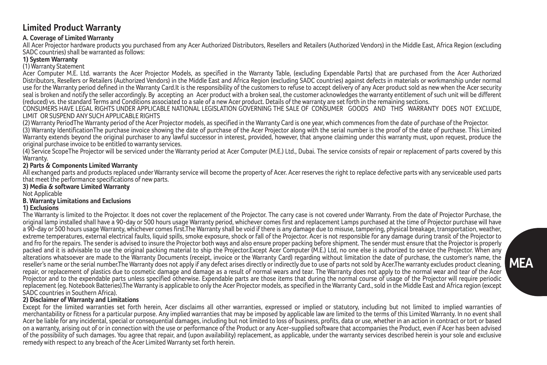### **Limited Product Warranty**

#### **A. Coverage of Limited Warranty**

All Acer Projector hardware products you purchased from any Acer Authorized Distributors, Resellers and Retailers (Authorized Vendors) in the Middle East, Africa Region (excluding SADC countries) shall be warranted as follows:

#### **1) System Warranty**

#### (1) Warranty Statement

Acer Computer M.E. Ltd. warrants the Acer Projector Models, as specified in the Warranty Table, (excluding Expendable Parts) that are purchased from the Acer Authorized Distributors, Resellers or Retailers (Authorized Vendors) in the Middle East and Africa Region (excluding SADC countries) against defects in materials or workmanship under normal use for the Warranty period defined in the Warranty Card.It is the responsibility of the customers to refuse to accept delivery of any Acer product sold as new when the Acer security seal is broken and notify the seller accordingly. By accepting an Acer product with a broken seal, the customer acknowledges the warranty entitlement of such unit will be different (reduced) vs. the standard Terms and Conditions associated to a sale of a new Acer product. Details of the warranty are set forth in the remaining sections.

CONSUMERS HAVE LEGAL RIGHTS UNDER APPLICABLE NATIONAL LEGISLATION GOVERNING THE SALE OF CONSUMER GOODS AND THIS WARRANTY DOES NOT EXCLUDE, LIMIT OR SUSPEND ANY SUCH APPLICABLE PIGHTS

(2) Warranty PeriodThe Warranty period of the Acer Projector models, as specified in the Warranty Card is one year, which commences from the date of purchase of the Projector. (3) Warranty IdentificationThe purchase invoice showing the date of purchase of the Acer Projector along with the serial number is the proof of the date of purchase. This Limited Warranty extends beyond the original purchaser to any lawful successor in interest, provided, however, that anyone claiming under this warranty must, upon request, produce the original purchase invoice to be entitled to warranty services.

(4) Service ScopeThe Projector will be serviced under the Warranty period at Acer Computer (M.E.) Ltd., Dubai. The service consists of repair or replacement of parts covered by this **Warranty** 

#### **2) Parts & Components Limited Warranty**

All exchanged parts and products replaced under Warranty service will become the property of Acer. Acer reserves the right to replace defective parts with any serviceable used parts that meet the performance specifications of new parts.

#### **3) Media & software Limited Warranty**

Not Applicable

#### **B. Warranty Limitations and Exclusions**

#### **1) Exclusions**

The Warranty is limited to the Projector. It does not cover the replacement of the Projector. The carry case is not covered under Warranty. From the date of Projector Purchase, the original lamp installed shall have a 90-day or 500 hours usage Warranty period, whichever comes first and replacement Lamps purchased at the time of Projector purchase will have a 90-day or 500 hours usage Warranty, whichever comes first.The Warranty shall be void if there is any damage due to misuse, tampering, physical breakage, transportation, weather, extreme temperatures, external electrical faults, liquid spills, smoke exposure, shock or fall of the Projector. Acer is not responsible for any damage during transit of the Projector to and fro for the repairs. The sender is advised to insure the Projector both ways and also ensure proper packing before shipment. The sender must ensure that the Projector is properly packed and it is advisable to use the original packing material to ship the Projector.Except Acer Computer (M.E.) Ltd, no one else is authorized to service the Projector. When any alterations whatsoever are made to the Warranty Documents (receipt, invoice or the Warranty Card) regarding without limitation the date of purchase, the customer's name, the reseller's name or the serial number.The Warranty does not apply if any defect arises directly or indirectly due to use of parts not sold by Acer.The warranty excludes product cleaning, repair, or replacement of plastics due to cosmetic damage and damage as a result of normal wears and tear. The Warranty does not apply to the normal wear and tear of the Acer Projector and to the expendable parts unless specified otherwise. Expendable parts are those items that during the normal course of usage of the Projector will require periodic replacement (eg. Notebook Batteries).The Warranty is applicable to only the Acer Projector models, as specified in the Warranty Card., sold in the Middle East and Africa region (except SADC countries in Southern Africa).

**MEA**

#### **2) Disclaimer of Warranty and Limitations**

Except for the limited warranties set forth herein, Acer disclaims all other warranties, expressed or implied or statutory, including but not limited to implied warranties of merchantability or fitness for a particular purpose. Any implied warranties that may be imposed by applicable law are limited to the terms of this Limited Warranty. In no event shall Acer be liable for any incidental, special or consequential damages, including but not limited to loss of business, profits, data or use, whether in an action in contract or tort or based on a warranty, arising out of or in connection with the use or performance of the Product or any Acer-supplied software that accompanies the Product, even if Acer has been advised of the possibility of such damages. You agree that repair, and (upon availability) replacement, as applicable, under the warranty services described herein is your sole and exclusive remedy with respect to any breach of the Acer Limited Warranty set forth herein.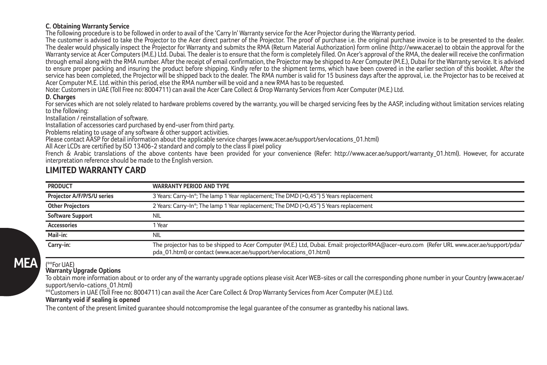#### **C. Obtaining Warranty Service**

The following procedure is to be followed in order to avail of the 'Carry In' Warranty service for the Acer Projector during the Warranty period.

The customer is advised to take the Projector to the Acer direct partner of the Projector. The proof of purchase i.e. the original purchase invoice is to be presented to the dealer. The dealer would physically inspect the Projector for Warranty and submits the RMA (Return Material Authorization) form online (http://www.acer.ae) to obtain the approval for the Warranty service at Acer Computers (M.E.) Ltd. Dubai. The dealer is to ensure that the form is completely filled. On Acer's approval of the RMA, the dealer will receive the confirmation through email along with the RMA number. After the receipt of email confirmation, the Projector may be shipped to Acer Computer (M.E.), Dubai for the Warranty service. It is advised to ensure proper packing and insuring the product before shipping. Kindly refer to the shipment terms, which have been covered in the earlier section of this booklet. After the service has been completed, the Projector will be shipped back to the dealer. The RMA number is valid for 15 business days after the approval, i.e. the Projector has to be received at Acer Computer M.E. Ltd. within this period, else the RMA number will be void and a new RMA has to be requested.

Note: Customers in UAE (Toll Free no: 8004711) can avail the Acer Care Collect & Drop Warranty Services from Acer Computer (M.E.) Ltd.

#### **D. Charges**

For services which are not solely related to hardware problems covered by the warranty, you will be charged servicing fees by the AASP, including without limitation services relating to the following:

Installation / reinstallation of software.

Installation of accessories card purchased by end-user from third party.

Problems relating to usage of any software & other support activities.

Please contact AASP for detail information about the applicable service charges (www.acer.ae/support/servlocations\_01.html)

All Acer LCDs are certified by ISO 13406-2 standard and comply to the class II pixel policy

French & Arabic translations of the above contents have been provided for your convenience (Refer: http://www.acer.ae/support/warranty\_01.html). However, for accurate interpretation reference should be made to the English version.

## **LIMITED WARRANTY CARD**

| <b>PRODUCT</b>             | <b>WARRANTY PERIOD AND TYPE</b>                                                                                                                                                                                  |
|----------------------------|------------------------------------------------------------------------------------------------------------------------------------------------------------------------------------------------------------------|
| Projector A/F/P/S/U series | 3 Years: Carry-In <sup>®</sup> ; The lamp 1 Year replacement; The DMD (>0,45") 5 Years replacement                                                                                                               |
| <b>Other Projectors</b>    | 2 Years: Carry-In*: The lamp 1 Year replacement: The DMD (>0.45") 5 Years replacement                                                                                                                            |
| Software Support           | NII                                                                                                                                                                                                              |
| <b>Accessories</b>         | l Year                                                                                                                                                                                                           |
| Mail-in:                   | NII                                                                                                                                                                                                              |
| Carry-in:                  | The projector has to be shipped to Acer Computer (M.E.) Ltd, Dubai. Email: projectorRMA@acer-euro.com (Refer URL www.acer.ae/support/pda/<br>pda_01.html) or contact (www.acer.ae/support/servlocations_01.html) |

# **MEA**

#### **Warranty Upgrade Options**

 $($ <sup>00</sup>For  $11\Delta$ F)

To obtain more information about or to order any of the warranty upgrade options please visit Acer WEB-sites or call the corresponding phone number in your Country (www.acer.ae/ support/servlo-cations\_01.html)

\*\*Customers in UAE (Toll Free no: 8004711) can avail the Acer Care Collect & Drop Warranty Services from Acer Computer (M.E.) Ltd.

#### **Warranty void if sealing is opened**

The content of the present limited guarantee should notcompromise the legal guarantee of the consumer as grantedby his national laws.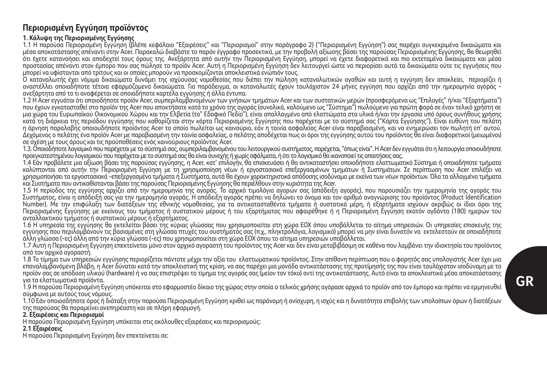# **Περιορισμένη Εγγύηση προϊόντος**

#### **1. Κάλυψη της Περιορισμένης Εγγύησης**

1.1 Η παρούσα Περιορισμένη Εγγύηση (βλέπε κεφάλαιο "Εξαιρέσεις" και "Περιορισμοί" στην παράγραφο 2) ("Περιορισμένη Εγγύηση") σας παρέχει συγκεκριμένα δικαιώματα και μέσα αποκατάστασης απέναντι στην Acer. Παρακαλώ διαβάστε το παρόν έγγραφο προσεκτικά, με την προβολή αξίωσης βάσει της παρούσας Περιορισμένης Εγγύησης, θα θεωρηθεί ότι έχετε κατανοήσει και αποδεχτεί τους όρους της. Ανεξάρτητα από αυτήν την Περιορισμένη Εγγύηση, μπορεί να έχετε διαφορετικά και πιο εκτεταμένα δικαιώματα και μέσα προστασίας απέναντι στον έμπορο που σας πώλησε το προϊόν Acer. Αυτή η Περιορισμένη Εγγύηση δεν λειτουργεί ώστε να περιορίσει αυτά τα δικαιώματα ούτε τις εγγυήσεις που μπορεί να υφίστανται από τρίτους και οι οποίες μπορούν να προσκομίζονται αποκλειστικά ενώπιόν τους.

Ο καταναλωτής έχει νόμιμα δικαιώματα δυνάμει της ισχύουσας νομοθεσίας που διέπει την πώληση καταναλωτικών αγαθών και αυτή η εγγύηση δεν αποκλείει, περιορίζει ή αναστέλλει οποιαδήποτε τέτοια εφαρμόζομενα δικαιώματα. Για παράδειγμα, οι καταναλωτές έχουν τουλάχιστον 24 μήνες εγγύηση που αρχίζει από την ημερομηνία αγοράς ανεξάρτητα από το τι αναφέρεται σε οποιαδήποτε καρτέλα εγγύησης ή άλλα έντυπα.

1.2 Η Acer εγγυάται ότι οποιοδήποτε προϊόν Acer, συμπεριλαμβανομένων των γνήσιων τμημάτων Acer και των συστατικών μερών (προσφερόμενα ως "Επιλογές" ή/και "Εξαρτήματα") που έχουν εγκατασταθεί στο προϊόν της Acer που αποκτήσατε κατά το χρόνο της αγοράς (συνολικά, καλούμενο ως "Σύστημα") πωλούμενο για πρώτη φορά σε έναν τελικό χρήστη σε μια χώρα του Ευρωπαϊκού Οικονομικού Χώρου και την Ελβετία (το" Εδαφικό Πεδίο"), είναι απαλλαγμένο από ελαττώματα στα υλικά ή/και την εργασία υπό όρους συνήθους χρήσης κατά τη διάρκεια της περιόδου εγγύησης που καθορίζεται στην κάρτα Περιορισμένης Εγγύησης που παρέχεται με το σύστημά σας ("Κάρτα Εγγύησης"). Είναι ευθύνη του πελάτη η άρνηση παραλαβής οποιουδήποτε προϊόντος Acer το οποίο πωλείται ως καινούριο, εάν η ταινία ασφαλείας Acer είναι παραβιασμένη, και να ενημερώσει τον πωλητή επ' αυτού. Δεχόμενος ο πελάτης ένα προϊόν Acer με παραβιασμένη την ταινία ασφαλείας, ο πελάτης αποδέχεται πως οι όροι της εγγύησης αυτού του προϊόντος θα είναι διαφορετικοί (μειωμένοι) σε σχέση με τους όρους και τις προϋποθέσεις ενός καινούριους προϊόντος Acer.

1.3. Οποιοδήποτε λογισμικό που παρέχεται με το σύστημά σας, συμπεριλαμβανομένου του λειτουργικού συστήματος, παρέχεται, "όπως είναι". Η Acer δεν εγγυάται ότι η λειτουργία οποιουδήποτε προεγκατεστημένου λογισμικού που παρέχεται με το σύστημά σας θα είναι συνεχής ή χωρίς σφάλματα, ή ότι το λογισμικό θα ικανοποιεί τις απαιτήσεις σας.

1.4 Εάν προβάλετε μια αξίωση βάσει της παρούσας εγγύησης, η Acer, κατ' επιλογήν, θα επισκευάσει ή θα αντικαταστήσει οποιοδήποτε ελαττωματικό Σύστημα ή οποιαδήποτε τμήματα καλύπτονται από αυτήν την Περιορισμένη Εγγύηση με τη χρησιμοποίηση νέων ή εργοστασιακά επεξεργασμένων τμημάτων ή Συστημάτων. Σε περίπτωση που Acer επιλέξει να χρησιμοποιήσει τα εργοστασιακά -επεξεργασμένα τμήματα ή Συστήματα, αυτά θα έχουν χαρακτηριστικά απόδοσης ισοδύναμα με εκείνα των νέων προϊόντων. Όλα τα αλλαγμένα τμήματα και Συστήματα που αντικαθίστανται βάσει της παρούσας Περιορισμένης Εγγύησης θα περιέλθουν στην κυριότητα της Acer.

1.5 Η περίοδος της εγγύησης αρχίζει από την ημερομηνία της αγοράς. Το αρχικό τιμολόγιο αγορών σας (απόδειξη αγοράς), που παρουσιάζει την ημερομηνία της αγοράς του Συστήματος, είναι η απόδειξή σας για την ημερομηνία αγοράς. Η απόδειξη αγοράς πρέπει να δηλώνει το όνομα και τον αριθμό αναγνώρισης του προϊόντος (Product Identification Number). Με την επιφύλαξη των διατάξεων της εθνικής νομοθεσίας, για τα αντικατασταθέντα τμήματα ή συστατικά μέρη, ή εξαρτήματα ισχύουν ακριβώς οι ίδιοι όροι της Περιορισμένης Εγγύησης με εκείνους του τμήματος ή συστατικού μέρους ή του εξαρτήματος που αφαιρέθηκε ή η Περιορισμένη Εγγύηση εκατόν ογδόντα (180) ημερών του ανταλλακτικού τμήματος ή συστατικού μέρους ή εξαρτήματος.

1.6 Η υπηρεσία της εγγύησης θα εκτελείται βάσει της κύριας γλώσσας που χρησιμοποιείται στη χώρα ΕΟΧ όπου υποβάλλεται το αίτημα υπηρεσιών. Οι υπηρεσίες επισκευής της εγγύησης που περιλαμβάνουν τις βασισμένες στη γλώσσα πτυχές του συστήματός σας (π.χ., πληκτρολόγια, λογισμικό) μπορεί να μην είναι δυνατόν να εκτελεστούν σε οποιαδήποτε άλλη γλώσσα (-ες) άλλη από την κύρια γλώσσα (-ες) που χρησιμοποιείται στη χώρα ΕΟΧ όπου το αίτημα υπηρεσιών υποβάλλεται.

1.7 Αυτή η Περιορισμένη Εγγύηση επεκτείνεται μόνο στον αρχικό αγοραστή του προϊόντος της Acer και δεν είναι μεταβιβάσιμη σε καθένα που λαμβάνει την ιδιοκτησία του προϊόντος από τον αρχικό αγοραστή.

1.8 Το τίμημα των υπηρεσιών εγγύησης περιορίζεται πάντοτε μέχρι την αξία του ελαττωματικού προϊόντος. Στην απίθανη περίπτωση που ο φορητός σας υπολογιστής Acer έχει μια επαναλαμβανόμενη βλάβη, η Acer δύναται κατά την αποκλειστική της κρίση, να σας παρέχει μια μονάδα αντικατάστασης της προτίμησής της που είναι τουλάχιστον ισοδύναμη με το προϊόν σας σε απόδοση υλικού (hardware) ή να σας επιστρέψει το τίμημα της αγοράς σας (μείον τον τόκο) αντί της αντικατάστασης. Αυτό είναι τα αποκλειστικά μέσα αποκατάστασης για τα ελαττωματικά προϊόντα.

1.9 Η παρούσα Περιορισμένη Εγγύηση υπόκειται στο εφαρμοστέο δίκαιο της χώρας στην οποία ο τελικός χρήσης αγόρασε αρχικά το προϊόν από τον έμπορο και πρέπει να ερμηνευθεί σύμφωνα με αυτούς τους νόμους.

1.10 Εάν οποιοσδήποτε όρος ή διάταξη στην παρούσα Περιορισμένη Εγγύηση κριθεί ως παράνομη ή ανίσχυρη, η ισχύς και η δυνατότητα επιβολής των υπολοίπων όρων ή διατάξεων της παρούσας θα παραμείνει ανεπηρέαστη και σε πλήρη εφαρμογή.

#### **2. Εξαιρέσεις και Περιορισμοί**

Η παρούσα Περιορισμένη Εγγύηση υπόκειται στις ακόλουθες εξαιρέσεις και περιορισμούς:

#### **2.1 Εξαιρέσεις**

Η παρούσα Περιορισμένη Εγγύηση δεν επεκτείνεται σε: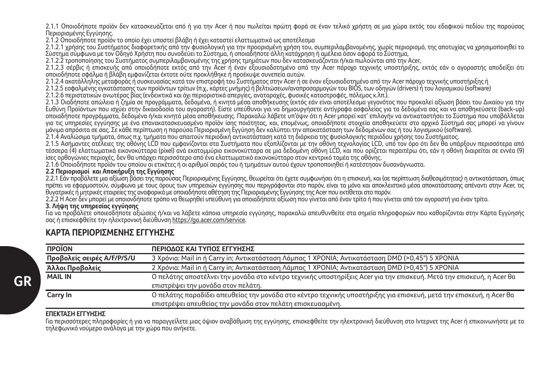2.1.1 Οποιοδήποτε προϊόν δεν κατασκευάζεται από ή για την Acer ή που πωλείται πρώτη φορά σε έναν τελικό χρήστη σε μια χώρα εκτός του εδαφικού πεδίου της παρούσας Περιορισμένης Εγγύησης.

2.1.2 Οποιοδήποτε προϊόν το οποίο έχει υποστεί βλάβη ή έχει καταστεί ελαττωματικό ως αποτέλεσμα

2.1.2.1 χρήσης του Συστήματος διαφορετικής από την φυσιολογική για την προορισμένη χρήση του, συμπεριλαμβανομένης, χωρίς περιορισμό, της αποτυχίας να χρησιμοποιηθεί το Σύστημα σύμφωνα με τον Οδηγό Χρήστη που συνοδεύει το Σύστημα, ή οποιαδήποτε άλλη κατάχρηση ή αμέλεια όσον αφορά το Σύστημα,

2.1.2.2 τροποποίησης του Συστήματος συμπεριλαμβανομένης της χρήσης τμημάτων που δεν κατασκευάζονται ή/και πωλούνται από την Acer,

2.1.2.3 σέρβις ή επισκευής από οποιοδήποτε εκτός από την Acer ή έναν εξουσιοδοτημένο από την Acer πάροχο τεχνικής υποστήριξης, εκτός εάν ο αγοραστής αποδείξει ότι οποιοδήποτε σφάλμα ή βλάβη εμφανίζεται έκτοτε ούτε προκλήθηκε ή προέκυψε συνεπεία αυτών.

2.1.2.4 ακατάλληλης μεταφοράς ή συσκευασίας κατά τον επιστροφή του Συστήματος στην Acer ή σε έναν εξουσιοδοτημένο από την Acer πάροχο τεχνικής υποστήριξης ή

2.1.2.5 εσφαλμένης εγκατάστασης των προϊόντων τρίτων (π.χ., κάρτες μνήμης) ή βελτιώσεων/αναπροσαρμογών του ΒΙΟS, των οδηγών (drivers) ή του λογισμικού (software)

2.1.2.6 περιστατικών ανωτέρας βίας (ενδεικτικά και όχι περιοριστικά απεργίες, αναταραχές, φυσικές καταστροφές, πόλεμος κ.λπ.).

2.1.3 Οιαδήποτε απώλεια ή ζημία σε προγράμματα, δεδομένα, ή κινητά μέσα αποθήκευσης (εκτός εάν είναι αποτέλεσμα γεγονότος που προκαλεί αξίωση βάσει του Δικαίου για την Ευθύνη Προϊόντων που ισχύει στην δικαιοδοσία του αγοραστή). Είστε υπεύθυνοι για να δημιουργήσετε αντίγραφα ασφαλείας για τα δεδομένα σας και να αποθηκεύσετε (back-up) οποιαδήποτε προγράμματα, δεδομένα ή/και κινητά μέσα αποθήκευσης. Παρακαλώ λάβετε υπ'όψιν ότι η Acer μπορεί κατ' επιλογήν να αντικαταστήσει το Σύστημα που υποβάλλεται για τις υπηρεσίες εγγύησης με ένα επανακατασκευασμένο προϊόν ίσης ποιότητας, και, επομένως, οποιαδήποτε στοιχεία αποθηκεύετε στο αρχικό Σύστημά σας μπορεί να γίνουν μόνιμα απρόσιτα σε σας. Σε κάθε περίπτωση η παρούσα Περιορισμένη Εγγύηση δεν καλύπτει την αποκατάσταση των δεδομένων σας ή του λογισμικού (software).

2.1.4 Αναλώσιμα τμήματα, όπως π.χ. τμήματα που απαιτούν περιοδική αντικατάσταση κατά τη διάρκεια της φυσιολογικής περιόδου χρήσης του Συστήματος.

2.1.1.5 Ασήμαντες απέλειες της οθόνης LCD που εμπανίζονται εξοπλίζονται με την οθόνη τεχνολογίας LCD, υπό τον όρο ότι δεν θα υπάρξουν περισσότερα από<br>2.1.5 Ασήμαντες ατέλειες της οθόνης LCD που εμφανίζονται στα Συστήματα τέσσερα (4) ελαττωματικά εικονοκύτταρα (pixel) ανά εκατομμύριο εικονοκύτταρα σε μια δεδομένη οθόνη LCD, και που ορίζεται περαιτέρω ότι, εάν η οθόνη διαιρείται σε εννέα (9) ίσες ορθογώνιες περιοχές, δεν θα υπάρχει περισσότερο από ένα ελαττωματικό εικονοκύτταρο στον κεντρικό τομέα της οθόνης.

2.1.6 Οποιοδήποτε προϊόν του οποίου οι ετικέτες ή οι αριθμοί σειράς του ή τμημάτων αυτού έχουν τροποποιηθεί ή κατέστησαν δυσανάγνωστα.

#### **2.2 Περιορισμοί και Αποκήρυξη της Εγγύησης**

2.2.1 Εάν προβάλετε μια αξίωση βάσει της παρούσας Περιορισμένης Εγγύησης, θεωρείται ότι έχετε συμφωνήσει ότι η επισκευή, και (σε περίπτωση διαθεσιμότητας) η αντικατάσταση, όπως πρέπει να εφαρμοστούν, σύμφωνα με τους όρους των υπηρεσιών εγγύησης που περιγράφονται στο παρόν, είναι τα μόνα και αποκλειστικά μέσα αποκατάστασης απέναντι στην Acer, τις θυγατρικές ή μητρικές εταιρείες της αναφορικά με οποιαδήποτε αθέτηση της Περιορισμένης Εγγύησης της Acer που εκτίθεται στο παρόν.

2.2.2 Η Acer δεν μπορεί με οποιονδήποτε τρόπο να θεωρηθεί υπεύθυνη για οποιαδήποτε αξίωση που γίνεται από έναν τρίτο ή που γίνεται από τον αγοραστή για έναν τρίτο.

#### **3. Λήψη της υπηρεσίας εγγύησης**

Για να προβάλετε οποιεσδήποτε αξιώσεις ή/και να λάβετε κάποια υπηρεσία εγγύησης, παρακαλώ απευθυνθείτε στα σημεία πληροφοριών που καθορίζονται στην Κάρτα Εγγύησής σας ή επισκεφθείτε την ηλεκτρονική διεύθυνση https://go.acer.com/service.

### **KAΡΤΑ ΠΕΡΙΟΡΙΣΜΕΝΗΣ ΕΓΓΥΗΣΗΣ**

| <b>TIPOÏON</b>             | ΠΕΡΙΟΔΟΣ ΚΑΙ ΤΥΠΟΣ ΕΓΓΥΗΣΗΣ                                                                                          |
|----------------------------|----------------------------------------------------------------------------------------------------------------------|
| Προβολείς σειρές Α/F/P/S/U | 3 Χρόνια: Mail in ή Carry in: Αντικατάσταση Λάμπας 1 ΧΡΟΝΙΑ: Αντικατάσταση DMD (>0.45") 5 ΧΡΟΝΙΑ                     |
| Άλλοι Προβολείς            | 2 Χρόνια: Mail in ή Carry in; Αντικατάσταση Λάμπας 1 ΧΡΟΝΙΑ; Αντικατάσταση DMD (>0,45") 5 ΧΡΟΝΙΑ                     |
| <b>MAIL IN</b>             | Ο πελάτης αποστέλνει την μονάδα στο κέντρο τεχνικής υποστηρίξεις Acer για την επισκευή. Μετά την επισκευή, η Acer θα |
|                            | επιστρέψει την μονάδα στον πελάτη.                                                                                   |
| Carry In                   | Ο πελάτης παραδίδει απευθείας την μονάδα στο κέντρο τεχνικής υποστήριξης για επισκευή, μετά την επισκευή, η Acer θα  |
|                            | επιστρέψει απευθείας την μονάδα στον πελάτη επισκευασμένη.                                                           |

#### **ΕΠΕΚΤΑΣΗ ΕΓΓΥΗΣΗΣ**

Για περισσότερες πληροφορίες ή για να παραγγείλετε μιας όψιον αναβάθμιση της εγγύησης, επισκεφθείτε την ηλεκτρονική διεύθυνση στο Ιντερνετ της Acer ή επικοινωνήστε με το τηλεφωνικό νούμερο ανάλογα με την χώρα που ανήκετε.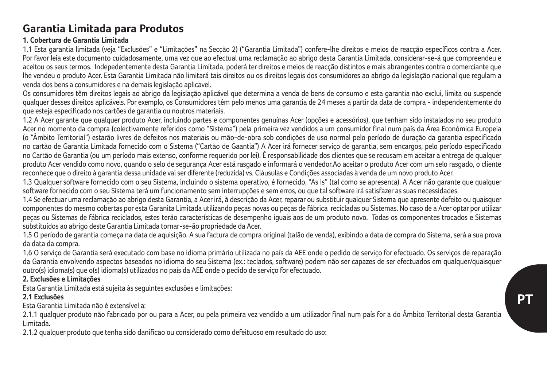## **Garantia Limitada para Produtos**

## **1. Cobertura de Garantia Limitada**

1.1 Esta garantia limitada (veja "Exclusões" e "Limitações" na Secção 2) ("Garantia Limitada") confere-lhe direitos e meios de reacção específicos contra a Acer. Por favor leia este documento cuidadosamente, uma vez que ao efectual uma reclamação ao abrigo desta Garantia Limitada, considerar-se-á que compreendeu e aceitou os seus termos. Indepedentemente desta Garantia Limitada, poderá ter direitos e meios de reacção distintos e mais abrangentes contra o comerciante que lhe vendeu o produto Acer. Esta Garantia Limitada não limitará tais direitos ou os direitos legais dos consumidores ao abrigo da legislação nacional que regulam a venda dos bens a consumidores e na demais legislação aplicavel.

Os consumidores têm direitos legais ao abrigo da legislação aplicável que determina a venda de bens de consumo e esta garantia não exclui, limita ou suspende qualquer desses direitos aplicáveis. Por exemplo, os Consumidores têm pelo menos uma garantia de 24 meses a partir da data de compra - independentemente do que esteja especificado nos cartões de garantia ou noutros materiais.

1.2 A Acer garante que qualquer produto Acer, incluindo partes e componentes genuínas Acer (opções e acessórios), que tenham sido instalados no seu produto Acer no momento da compra (colectivamente referidos como "Sistema") pela primeira vez vendidos a um consumidor final num país da Área Económica Europeia (o "Âmbito Territorial") estarão livres de defeitos nos materiais ou mão-de-obra sob condições de uso normal pelo período de duração da garantia especificado no cartão de Garantia Limitada fornecido com o Sistema ("Cartão de Gaantia") A Acer irá fornecer serviço de garantia, sem encargos, pelo período especificado no Cartão de Garantia (ou um período mais extenso, conforme requerido por lei). É responsabilidade dos clientes que se recusam em aceitar a entrega de qualquer produto Acer vendido como novo, quando o selo de segurança Acer está rasgado e informará o vendedor.Ao aceitar o produto Acer com um selo rasgado, o cliente reconhece que o direito à garantia dessa unidade vai ser diferente (reduzida) vs. Cláusulas e Condições associadas à venda de um novo produto Acer.

1.3 Qualquer software fornecido com o seu Sistema, incluindo o sistema operativo, é fornecido, "As Is" (tal como se apresenta). A Acer não garante que qualquer software fornecido com o seu Sistema terá um funcionamento sem interrupções e sem erros, ou que tal software irá satisfazer as suas necessidades.

1.4 Se efectuar uma reclamação ao abrigo desta Garantia, a Acer irá, à descrição da Acer, reparar ou substituir qualquer Sistema que apresente defeito ou quaisquer componentes do mesmo cobertas por esta Garanita Limitada utilizando peças novas ou peças de fábrica recicladas ou Sistemas. No caso de a Acer optar por utilizar peças ou Sistemas de fábrica reciclados, estes terão características de desempenho iguais aos de um produto novo. Todas os componentes trocados e Sistemas substituídos ao abrigo deste Garantia Limitada tornar-se-ão propriedade da Acer.

1.5 O período de garantia começa na data de aquisição. A sua factura de compra original (talão de venda), exibindo a data de compra do Sistema, será a sua prova da data da compra.

1.6 O serviço de Garantia será executado com base no idioma primário utilizada no país da AEE onde o pedido de serviço for efectuado. Os serviços de reparação da Garantia envolvendo aspectos baseados no idioma do seu Sistema (ex.: teclados, software) podem não ser capazes de ser efectuados em qualquer/quaisquer outro(s) idioma(s) que o(s) idioma(s) utilizados no país da AEE onde o pedido de serviço for efectuado.

## **2. Exclusões e Limitações**

Esta Garantia Limitada está sujeita às seguintes exclusões e limitações:

## **2.1 Exclusões**

Esta Garantia Limitada não é extensível a:

2.1.1 qualquer produto não fabricado por ou para a Acer, ou pela primeira vez vendido a um utilizador final num país for a do Âmbito Territorial desta Garantia Limitada.

2.1.2 qualquer produto que tenha sido danificao ou considerado como defeituoso em resultado do uso: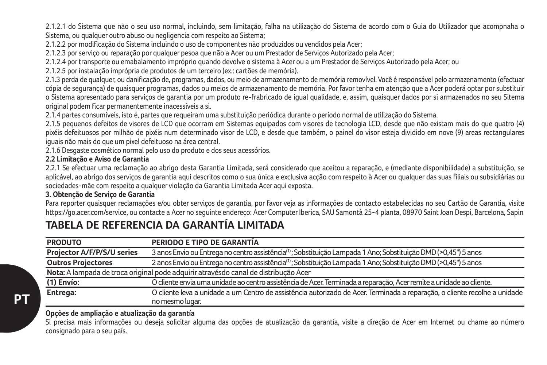2.1.2.1 do Sistema que não o seu uso normal, incluindo, sem limitação, falha na utilização do Sistema de acordo com o Guia do Utilizador que acompnaha o Sistema, ou qualquer outro abuso ou negligencia com respeito ao Sistema;

2.1.2.2 por modificação do Sistema incluindo o uso de componentes não produzidos ou vendidos pela Acer;

2.1.2.3 por serviço ou reparação por qualquer pesoa que não a Acer ou um Prestador de Serviços Autorizado pela Acer;

2.1.2.4 por transporte ou emabalamento impróprio quando devolve o sistema à Acer ou a um Prestador de Serviços Autorizado pela Acer; ou

2.1.2.5 por instalação imprópria de produtos de um terceiro (ex.: cartões de memória).

2.1.3 perda de qualquer, ou danificação de, programas, dados, ou meio de armazenamento de memória removível. Você é responsável pelo armazenamento (efectuar cópia de segurança) de quaisquer programas, dados ou meios de armazenamento de memória. Por favor tenha em atenção que a Acer poderá optar por substituir o Sistema apresentado para serviços de garantia por um produto re-frabricado de igual qualidade, e, assim, quaisquer dados por si armazenados no seu Sitema original podem ficar permanentemente inacessíveis a si.

2.1.4 partes consumíveis, isto é, partes que requeiram uma substituição periódica durante o período normal de utilização do Sistema.

2.1.5 pequenos defeitos de visores de LCD que ocorram em Sistemas equipados com visores de tecnologia LCD, desde que não existam mais do que quatro (4) pixéis defeituosos por milhão de pixéis num determinado visor de LCD, e desde que também, o painel do visor esteja dividido em nove (9) areas rectangulares iguais não mais do que um pixel defeituoso na área central.

2.1.6 Desgaste cosmético normal pelo uso do produto e dos seus acessórios.

### **2.2 Limitação e Aviso de Garantia**

2.2.1 Se efectuar uma reclamação ao abrigo desta Garantia Limitada, será considerado que aceitou a reparação, e (mediante disponibilidade) a substituição, se aplicável, ao abrigo dos serviços de garantia aqui descritos como o sua única e exclusiva acção com respeito à Acer ou qualquer das suas filiais ou subsidiárias ou sociedades-mãe com respeito a qualquer violação da Garantia Limitada Acer aqui exposta.

## **3. Obtenção de Serviço de Garantia**

Para reporter quaisquer reclamações e/ou obter serviços de garantia, por favor veja as informações de contacto estabelecidas no seu Cartão de Garantia, visite https://go.acer.com/service, ou contacte a Acer no seguinte endereço: Acer Computer Iberica, SAU Samontà 25-4 planta, 08970 Saint Joan Despi, Barcelona, Sapin

## **TABELA DE REFERENCIA DA GARANTÍA LIMITADA**

| <b>PRODUTO</b>             | PERIODO E TIPO DE GARANTÍA                                                                                                  |
|----------------------------|-----------------------------------------------------------------------------------------------------------------------------|
| Projector A/F/P/S/U series | 3 anos Envio ou Entrega no centro assistência <sup>(1)</sup> : Sobstituição Lampada 1 Ano: Sobstituição DMD (>0.45") 5 anos |
| <b>Outros Projectores</b>  | 2 anos Envio ou Entrega no centro assistência <sup>(1)</sup> ; Sobstituição Lampada 1 Ano; Sobstituição DMD (>0,45") 5 anos |
|                            | Nota: A lampada de troca original pode adquirir atravésdo canal de distribução Acer                                         |
| (1) Envío:                 | O cliente envia uma unidade ao centro assistência de Acer. Terminada a reparação. Acer remite a unidade ao cliente,         |
| Entrega:                   | O cliente leva a unidade a um Centro de assistência autorizado de Acer. Terminada a reparação, o cliente recolhe a unidade  |
|                            | no mesmo lugar.                                                                                                             |

## **Opções de ampliação e atualização da garantía**

Si precisa mais informações ou deseja solicitar alguma das opções de atualização da garantía, visite a direção de Acer em Internet ou chame ao número consignado para o seu país.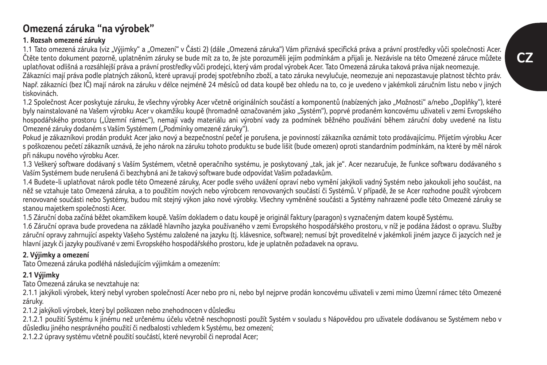## **Omezená záruka "na výrobek"**

## **1. Rozsah omezené záruky**

1.1 Tato omezená záruka (viz "Výjimky" a "Omezení" v Části 2) (dále "Omezená záruka") Vám přiznává specifická práva a právní prostředky vůči společnosti Acer. Čtěte tento dokument pozorně, uplatněním záruky se bude mít za to, že jste porozuměli jejím podmínkám a přijali je. Nezávisle na této Omezené záruce můžete uplatňovat odlišná a rozsáhlejší práva a právní prostředky vůči prodejci, který vám prodal výrobek Acer. Tato Omezená záruka taková práva nijak neomezuje.

Zákazníci mají práva podle platných zákonů, které upravují prodej spotřebního zboží, a tato záruka nevylučuje, neomezuje ani nepozastavuje platnost těchto práv. Např. zákazníci (bez IČ) mají nárok na záruku v délce nejméně 24 měsíců od data koupě bez ohledu na to, co je uvedeno v jakémkoli záručním listu nebo v jiných tiskovinách.

1.2 Společnost Acer poskytuje záruku, že všechny výrobky Acer včetně originálních součástí a komponentů (nabízených jako "Možnosti" a/nebo "Doplňky"), které byly nainstalované na Vašem výrobku Acer v okamžiku koupě (hromadně označovaném jako "Systém"), poprvé prodaném koncovému uživateli v zemi Evropského hospodářského prostoru ("Územní rámec"), nemají vady materiálu ani výrobní vady za podmínek běžného používání během záruční doby uvedené na listu Omezené záruky dodaném s Vaším Systémem ("Podmínky omezené záruky").

Pokud je zákazníkovi prodán produkt Acer jako nový a bezpečnostní pečeť je porušena, je povinností zákazníka oznámit toto prodávajícímu. Přijetím výrobku Acer s poškozenou pečetí zákazník uznává, že jeho nárok na záruku tohoto produktu se bude lišit (bude omezen) oproti standardním podmínkám, na které by měl nárok při nákupu nového výrobku Acer.

1.3 Veškerý software dodávaný s Vaším Systémem, včetně operačního systému, je poskytovaný "tak, jak je". Acer nezaručuje, že funkce softwaru dodávaného s Vaším Systémem bude nerušená či bezchybná ani že takový software bude odpovídat Vašim požadavkům.

1.4 Budete-li uplatňovat nárok podle této Omezené záruky, Acer podle svého uvážení opraví nebo vymění jakýkoli vadný Systém nebo jakoukoli jeho součást, na něž se vztahuje tato Omezená záruka, a to použitím nových nebo výrobcem renovovaných součástí či Systémů. V případě, že se Acer rozhodne použít výrobcem renovované součásti nebo Systémy, budou mít stejný výkon jako nové výrobky. Všechny vyměněné součásti a Systémy nahrazené podle této Omezené záruky se stanou majetkem společnosti Acer.

1.5 Záruční doba začíná běžet okamžikem koupě. Vaším dokladem o datu koupě je originál faktury (paragon) s vyznačeným datem koupě Systému.

1.6 Záruční oprava bude provedena na základě hlavního jazyka používaného v zemi Evropského hospodářského prostoru, v níž je podána žádost o opravu. Služby záruční opravy zahrnující aspekty Vašeho Systému založené na jazyku (tj. klávesnice, software); nemusí být proveditelné v jakémkoli jiném jazyce či jazycích než je hlavní jazyk či jazyky používané v zemi Evropského hospodářského prostoru, kde je uplatněn požadavek na opravu.

## **2. Výjimky a omezení**

Tato Omezená záruka podléhá následujícím výjimkám a omezením:

## **2.1 Výjimky**

Tato Omezená záruka se nevztahuje na:

2.1.1 jakýkoli výrobek, který nebyl vyroben společností Acer nebo pro ni, nebo byl nejprve prodán koncovému uživateli v zemi mimo Územní rámec této Omezené záruky.

2.1.2 jakýkoli výrobek, který byl poškozen nebo znehodnocen v důsledku

2.1.2.1 použití Systému k jinému než určenému účelu včetně neschopnosti použít Systém v souladu s Nápovědou pro uživatele dodávanou se Systémem nebo v důsledku jiného nesprávného použití či nedbalosti vzhledem k Systému, bez omezení;

2.1.2.2 úpravy systému včetně použití součástí, které nevyrobil či neprodal Acer;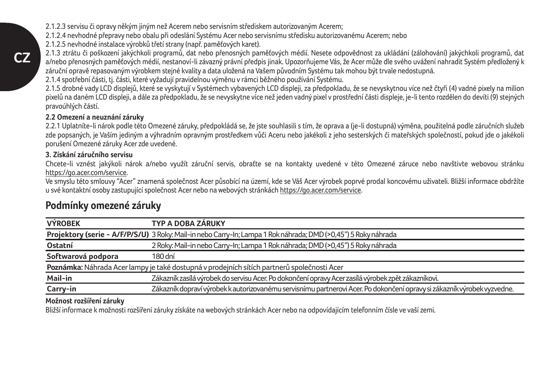2.1.2.3 servisu či opravy někým jiným než Acerem nebo servisním střediskem autorizovaným Acerem;

2.1.2.4 nevhodné přepravy nebo obalu při odeslání Systému Acer nebo servisnímu středisku autorizovanému Acerem; nebo

2.1.2.5 nevhodné instalace výrobků třetí strany (např. paměťových karet).

2.1.3 ztrátu či poškození jakýchkoli programů, dat nebo přenosných paměťových médií. Nesete odpovědnost za ukládání (zálohování) jakýchkoli programů, dat a/nebo přenosných paměťových médií, nestanoví-li závazný právní předpis jinak. Upozorňujeme Vás, že Acer může dle svého uvážení nahradit Systém předložený k záruční opravě repasovaným výrobkem stejné kvality a data uložená na Vašem původním Systému tak mohou být trvale nedostupná.

2.1.4 spotřební části, tj. části, které vyžadují pravidelnou výměnu v rámci běžného používání Systému.

2.1.5 drobné vady LCD displejů, které se vyskytují v Systémech vybavených LCD displeji, za předpokladu, že se nevyskytnou více než čtyři (4) vadné pixely na milion pixelů na daném LCD displeji, a dále za předpokladu, že se nevyskytne více než jeden vadný pixel v prostřední části displeje, je-li tento rozdělen do devíti (9) stejných pravoúhlých částí.

## **2.2 Omezení a neuznání záruky**

2.2.1 Uplatníte-li nárok podle této Omezené záruky, předpokládá se, že jste souhlasili s tím, že oprava a (je-li dostupná) výměna, použitelná podle záručních služeb zde popsaných, je Vaším jediným a výhradním opravným prostředkem vůči Aceru nebo jakékoli z jeho sesterských či mateřských společností, pokud jde o jakékoli porušení Omezené záruky Acer zde uvedené.

## **3. Získání záručního servisu**

Chcete-li vznést jakýkoli nárok a/nebo využít záruční servis, obraťte se na kontakty uvedené v této Omezené záruce nebo navštivte webovou stránku https://go.acer.com/service.

Ve smyslu této smlouvy "Acer" znamená společnost Acer působící na území, kde se Váš Acer výrobek poprvé prodal koncovému uživateli. Bližší informace obdržíte u své kontaktní osoby zastupující společnost Acer nebo na webových stránkách https://go.acer.com/service.

| <b>VÝROBEK</b>     | TYP A DOBA ZÁRUKY                                                                                                       |
|--------------------|-------------------------------------------------------------------------------------------------------------------------|
|                    | Projektory (serie - A/F/P/S/U) 3 Roky: Mail-in nebo Carry-In; Lampa 1 Roknáhrada; DMD (>0,45") 5 Roky náhrada           |
| Ostatní            | 2 Roky: Mail-in nebo Carry-In; Lampa 1 Rok náhrada; DMD (>0,45") 5 Roky náhrada                                         |
| Softwarová podpora | 180 dní                                                                                                                 |
|                    | Poznámka: Náhrada Acer lampy je také dostupná v prodejních sítích partnerů společnosti Acer                             |
| Mail-in            | Zákazník zasílá výrobek do servisu Acer. Po dokončení opravy Acer zasílá výrobek zpět zákazníkovi.                      |
| Carry-in           | Zákazník dopraví výrobek k autorizovanému servisnímu partnerovi Acer. Po dokončení opravy si zákazník výrobek vyzvedne. |

## **Podmínky omezené záruky**

## **Možnost rozšíření záruky**

Bližší informace k možnosti rozšíření záruky získáte na webových stránkách Acer nebo na odpovídajícím telefonním čísle ve vaší zemi.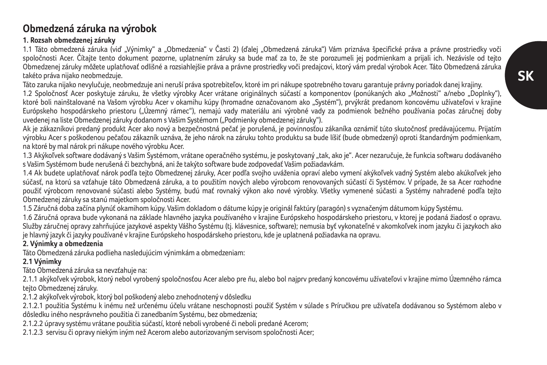# **SK**

## **Obmedzená záruka na výrobok**

## **1. Rozsah obmedzenej záruky**

1.1 Táto obmedzená záruka (viď "Výnimky" a "Obmedzenia" v Časti 2) (ďalej "Obmedzená záruka") Vám priznáva špecifické práva a právne prostriedky voči spoločnosti Acer. Čítajte tento dokument pozorne, uplatnením záruky sa bude mať za to, že ste porozumeli jej podmienkam a prijali ich. Nezávisle od tejto Obmedzenej záruky môžete uplatňovať odlišné a rozsiahlejšie práva a právne prostriedky voči predajcovi, ktorý vám predal výrobok Acer. Táto Obmedzená záruka takéto práva nijako neobmedzuje.

Táto zaruka nijako nevylučuje, neobmedzuje ani neruší práva spotrebiteľov, ktoré im pri nákupe spotrebného tovaru garantuje právny poriadok danej krajiny.

1.2 Spoločnosť Acer poskytuje záruku, že všetky výrobky Acer vrátane originálnych súčastí a komponentov (ponúkaných ako "Možnosti" a/nebo "Doplnky"), ktoré boli nainštalované na Vašom výrobku Acer v okamihu kúpy (hromadne označovanom ako "Systém"), prvýkrát predanom koncovému užívateľovi v krajine Európskeho hospodárskeho priestoru ("Územný rámec"), nemajú vady materiálu ani výrobné vady za podmienok bežného používania počas záručnej doby uvedenej na liste Obmedzenej záruky dodanom s Vašim Systémom ("Podmienky obmedzenej záruky").

Ak je zákazníkovi predaný produkt Acer ako nový a bezpečnostná pečať je porušená, je povinnosťou zákaníka oznámiť túto skutočnosť predávajúcemu. Prijatím výrobku Acer s poškodenou pečaťou zákazník uznáva, že jeho nárok na záruku tohto produktu sa bude líšiť (bude obmedzený) oproti štandardným podmienkam, na ktoré by mal nárok pri nákupe nového výrobku Acer.

1.3 Akýkoľvek software dodávaný s Vašim Systémom, vrátane operačného systému, je poskytovaný "tak, ako je". Acer nezaručuje, že funkcia softwaru dodávaného s Vašim Systémom bude nerušená či bezchybná, ani že takýto software bude zodpovedať Vašim požiadavkám.

1.4 Ak budete uplatňovať nárok podľa tejto Obmedzenej záruky, Acer podľa svojho uváženia opraví alebo vymení akýkoľvek vadný Systém alebo akúkoľvek jeho súčasť, na ktorú sa vzťahuje táto Obmedzená záruka, a to použitím nových alebo výrobcom renovovaných súčastí či Systémov. V prípade, že sa Acer rozhodne použiť výrobcom renovované súčasti alebo Systémy, budú mať rovnaký výkon ako nové výrobky. Všetky vymenené súčasti a Systémy nahradené podľa tejto Obmedzenej záruky sa stanú majetkom spoločnosti Acer.

1.5 Záručná doba začína plynúť okamihom kúpy. Vašim dokladom o dátume kúpy je originál faktúry (paragón) s vyznačeným dátumom kúpy Systému.

1.6 Záručná oprava bude vykonaná na základe hlavného jazyka používaného v krajine Európskeho hospodárskeho priestoru, v ktorej je podaná žiadosť o opravu. Služby záručnej opravy zahrňujúce jazykové aspekty Vášho Systému (tj. klávesnice, software); nemusia byť vykonateľné v akomkoľvek inom jazyku či jazykoch ako je hlavný jazyk či jazyky používané v krajine Európskeho hospodárskeho priestoru, kde je uplatnená požiadavka na opravu.

## **2. Výnimky a obmedzenia**

Táto Obmedzená záruka podlieha nasledujúcim výnimkám a obmedzeniam:

## **2.1 Výnimky**

Táto Obmedzená záruka sa nevzťahuje na:

2.1.1 akýkoľvek výrobok, ktorý nebol vyrobený spoločnosťou Acer alebo pre ňu, alebo bol najprv predaný koncovému užívateľovi v krajine mimo Územného rámca tejto Obmedzenej záruky.

2.1.2 akýkoľvek výrobok, ktorý bol poškodený alebo znehodnotený v dôsledku

2.1.2.1 použitia Systému k inému než určenému účelu vrátane neschopnosti použiť Systém v súlade s Príručkou pre užívateľa dodávanou so Systémom alebo v dôsledku iného nesprávneho použitia či zanedbaním Systému, bez obmedzenia;

2.1.2.2 úpravy systému vrátane použitia súčastí, ktoré neboli vyrobené či neboli predané Acerom;

2.1.2.3 servisu či opravy niekým iným než Acerom alebo autorizovaným servisom spoločnosti Acer;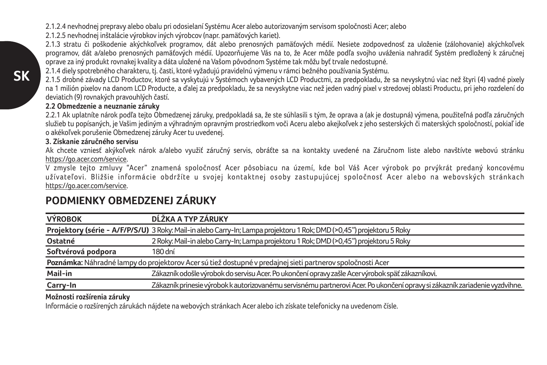2.1.2.4 nevhodnej prepravy alebo obalu pri odosielaní Systému Acer alebo autorizovaným servisom spoločnosti Acer; alebo

2.1.2.5 nevhodnej inštalácie výrobkov iných výrobcov (napr. pamäťových kariet).

2.1.3 stratu či poškodenie akýchkoľvek programov, dát alebo prenosných pamäťových médií. Nesiete zodpovednosť za uloženie (zálohovanie) akýchkoľvek programov, dát a/alebo prenosných pamäťových médií. Upozorňujeme Vás na to, že Acer môže podľa svojho uváženia nahradiť Systém predložený k záručnej oprave za iný produkt rovnakej kvality a dáta uložené na Vašom pôvodnom Systéme tak môžu byť trvale nedostupné.

2.1.4 diely spotrebného charakteru, tj. časti, ktoré vyžadujú pravidelnú výmenu v rámci bežného používania Systému.

2.1.5 drobné závady LCD Productov, ktoré sa vyskytujú v Systémoch vybavených LCD Productmi, za predpokladu, že sa nevyskytnú viac než štyri (4) vadné pixely na 1 milión pixelov na danom LCD Producte, a ďalej za predpokladu, že sa nevyskytne viac než jeden vadný pixel v stredovej oblasti Productu, pri jeho rozdelení do deviatich (9) rovnakých pravouhlých častí.

## **2.2 Obmedzenie a neuznanie záruky**

2.2.1 Ak uplatníte nárok podľa tejto Obmedzenej záruky, predpokladá sa, že ste súhlasili s tým, že oprava a (ak je dostupná) výmena, použiteľná podľa záručných služieb tu popísaných, je Vašim jediným a výhradným opravným prostriedkom voči Aceru alebo akejkoľvek z jeho sesterských či materských spoločností, pokiaľ ide o akékoľvek porušenie Obmedzenej záruky Acer tu uvedenej.

## **3. Získanie záručného servisu**

Ak chcete vzniesť akýkoľvek nárok a/alebo využiť záručný servis, obráťte sa na kontakty uvedené na Záručnom liste alebo navštívte webovú stránku https://go.acer.com/service.

V zmysle tejto zmluvy "Acer" znamená spoločnosť Acer pôsobiacu na území, kde bol Váš Acer výrobok po prvýkrát predaný koncovému užívateľovi. Bližšie informácie obdržíte u svojej kontaktnej osoby zastupujúcej spoločnosť Acer alebo na webovských stránkach https://go.acer.com/service.

| <b>VÝROBOK</b>     | DĹŽKA A TYP ZÁRUKY                                                                                                          |
|--------------------|-----------------------------------------------------------------------------------------------------------------------------|
|                    | Projektory (série - A/F/P/S/U) 3 Roky: Mail-in alebo Carry-In; Lampa projektoru 1 Rok; DMD (>0,45") projektoru 5 Roky       |
| Ostatné            | 2 Roky: Mail-in alebo Carry-In; Lampa projektoru 1 Rok; DMD (>0,45") projektoru 5 Roky                                      |
| Softvérová podpora | 180 dní                                                                                                                     |
|                    | Poznámka: Náhradné lampy do projektorov Acer sú tiež dostupné v predajnej sieti partnerov spoločnosti Acer                  |
| Mail-in            | Zákazník odošle výrobok do servisu Acer. Po ukončení opravy zašle Acer výrobok späť zákazníkovi.                            |
| Carry-In           | Zákazník prinesie výrobok k autorizovanému servisnému partnerovi Acer. Po ukončení opravy si zákazník zariadenie vyzdvihne. |

## **PODMIENKY OBMEDZENEJ ZÁRUKY**

## **Možnosti rozšírenia záruky**

Informácie o rozšírených zárukách nájdete na webových stránkach Acer alebo ich získate telefonicky na uvedenom čísle.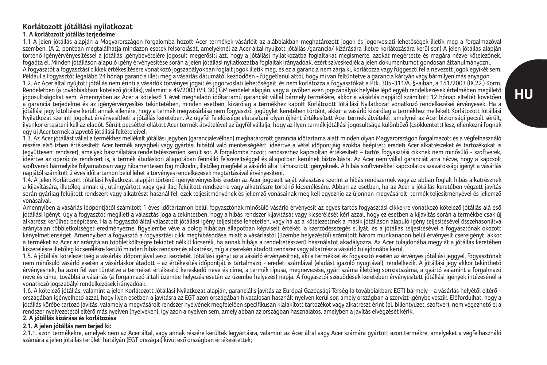#### **Korlátozott jótállási nyilatkozat 1. A korlátozott jótállás terjedelme**

1.1 A jelen jótállás alapján a Magyarországon forgalomba hozott Acer termékek vásárlóit az alábbiakban meghatározott jogok és jogorvoslati lehetőségek illetik meg a forgalmazóval szemben. (A 2. pontban megtalálhatja mindazon esetek felsorolását, amelyeknél az Acer által nyújtott jótállás /garancia/ kizárására illetve korlátozására kerül sor.) A jelen jótállás alapján történő igényérvényesítéssel a jótállás igénybevételére jogosult megerősíti azt, hogy a jótállási nyilatkozatba foglaltakat megismerte, azokat megértette és magára nézve kötelezőnek, fogadta el. Minden jótálláson alapuló igény érvényesítése során a jelen jótállási nyilatkozatba foglaltak irányadóak, ezért szíveskedjék a jelen dokumentumot gondosan áttanulmányozni. A fogyasztót a fogyasztási cikkek értékesítésére vonatkozó jogszabályokban foglalt jogok illetik meg, és ez a garancia nem zárja ki, korlátozza vagy függeszti fel a nevezett jogok egyikét sem. Például a Fogyasztót legalább 24 hónap garancia illeti meg a vásárlás dátumától kezdődően - függetlenül attól, hogy mi van feltüntetve a garancia kártyán vagy bármilyen más anyagon. 1.2. Az Acer által nyújtott jótállás nem érinti a vásárlók törvényes jogait és jogorvoslati lehetőségeit, és nem korlátozza a fogyasztókat a Ptk. 305-311/A. §-aiban, a 151/2003 (IX.22.) Korm. Rendeletben (a továbbiakban: kötelező jótállás), valamint a 49/2003 (VII. 30.) GM rendelet alapján, vagy a jövőben ezen jogszabályok helyébe lépő egyéb rendelkezések értelmében megillető jogosultságokat sem. Amennyiben az Acer a kötelező 1 évet meghaladó időtartamú garanciát vállal bármely termékére, akkor a vásárlás napjától számított 12 hónap elteltét követően a garancia terjedelme és az igényérvényesítés tekintetében, minden esetben, kizárólag a termékhez kapott Korlátozott Jótállási Nyilatkozat vonatkozó rendelkezései érvényesek. Ha a jótállási jegy kitöltésre került annak ellenére, hogy a termék megvásárlása nem fogyasztói jogügylet keretében történt, akkor a vásárló kizárólag a termékhez mellékelt Korlátozott Jótállási Nyilatkozat szerinti jogokat érvényesítheti a jótállás keretében. Az ügyfél felelőssége elutasítani olyan újként értékesített Acer termék átvételét, amelynél az Acer biztonsági pecsét sérült. ilyenkor értesíteni kell az eladót. Sérült pecséttel ellátott Acer termék átvételével az ügyfél vállalja, hogy az ilyen termék jótállási jogosultsága különböző (csökkentett) lesz, ellenkezni fognak egy új Acer termék alapvető jótállási feltételeivel.

1.3. Az Acer jótállást vállal a termékhez mellékelt jótállási jegyben (garancialevélben) meghatározott garancia időtartama alatt minden olyan Magyarországon forgalmazott és a végfelhasználó részére első ízben értékesített Acer termék anyagbeli vagy gyártási hibától való mentességéért, ideértve a vétel időpontiáig azokba beépített eredeti Acer alkatrészeket és tartozékokat is (együttesen: rendszer), amelyek használatára rendeltetésszerűen került sor. A forgalomba hozott rendszerhez kapcsoltan értékesített – tartós fogyasztási cikknek nem minősülő - szoftverek, ideértve az operációs rendszert is, a termék átadáskori állapotában fennálló felszereltséggel és állapotban kerülnek biztosításra. Az Acer nem vállal garanciát arra nézve, hogy a kapcsolt szoftverek bármelyike folyamatosan vagy hibamentesen fog működni, illetőleg megfelel a vásárló által támasztott igényeknek. A hibás szoftverekkel kapcsolatos szavatossági igényt a vásárlás napjától számított 2 éves időtartamon belül lehet a törvényes rendelkezések megtartásával érvényesíteni.

1.4. A jelen Korlátozott Jótállási Nyilatkozat alapján történő igényérvényesítés esetén az Acer jogosult saját választása szerint a hibás rendszernek vagy az abban foglalt hibás alkatrésznek a kijavítására, illetőleg annak új, utángyártott vagy gyárja felújított rendszerre vagy alkatrészre történő kicserélésére. Abban az esetben, ha az Acer a jótállás keretében végzett javítás során gyárilag felújított rendszert vagy alkatrészt használ fel, ezek teljesítményének és jellemző vonásainak meg kell egyeznie az újonnan megyásárolt termék teljesítményével és jellemző vonásaival.

Amennyiben a vásárlás időpontjától számított 1 éves időtartamon belül fogyasztónak minősülő vásárló érvényesít az egyes tartós fogyasztási cikkekre vonatkozó kötelező jótállás alá eső jótállási igényt, úgy a fogyasztót megilleti a választás joga a tekintetben, hogy a hibás rendszer kijavítását vagy kicserélését kéri azzal, hogy ez esetben a kijavítás során a termékbe csak új alkatrész kerülhet beépítésre. Ha a fogyasztó által választott jótállási igény teljesítése lehetetlen, vagy ha az a kötelezettnek a másik jótálláson alapuló igény teljesítésével összehasonlítva aránytalan többletköltséget eredményezne, figyelembe véve a dolog hibátlan állapotban képviselt értékét, a szerződésszegés súlyát, és a jótállás teljesítésével a fogyasztónak okozott kényelmetlenséget. Amennyiben a fogyasztó a fogyasztási cikk meghibásodása miatt a vásárlástól (üzembe helyezéstől) számított három munkanapon belül érvényesít csereigényt, akkor a terméket az Acer az aránytalan többletköltségre tekintet nélkül kicseréli, ha annak hibája a rendeltetésszerű használatot akadályozza. Az Acer tulajdonába megy át a jótállás keretében kiszerelésre illetőleg kicserélésre kerülő minden hibás rendszer és alkatrész, míg a cserekén átadott rendszer vagy alkatrész a vásárló tulajdonába kerül.

1.5. A jótállási kötelezettség a vásárlás időpontjával veszi kezdetét. Jótállási igényt az a vásárló érvényesíthet, aki a termékkel és fogyasztó esetén az érvényes jótállási jeggyel, fogyasztónak nem minősülő vásárló esetén a vásárláskor átadott – az értékesítés időpontját is tartalmazó - eredeti számlával (eladást igazoló nyugtával), rendelkezik. A jótállási jegy akkor tekinthető érvényesnek, ha azon fel van tüntetve a terméket értékesítő kereskedő neve és címe, a termék típusa, megnevezése, gyári száma illetőleg sorozatszáma, a gyártó valamint a forgalmazó neve és címe, továbbá a vásárlás (a forgalmazó általi üzembe helyezés esetén az üzembe helyezés) napja. A fogyasztói szerzödések keretében érvényesített jótállási igények intézésénél a vonatkozó jogszabályi rendelkezések irányadóak.

1.6. A kötelező jótállás, valamint a jelen Korlátozott Jótállási Nyilatkozat alapján, garanciális javítás az Európai Gazdasági Térség (a továbbiakban: EGT) bármely – a vásárlás helyétől eltérő országában igényelhető azzal, hogy ilyen esetben a javításra az EGT azon országában hivatalosan használt nyelven kerül sor, amely országban a szervizt igénybe veszik. Előfordulhat, hogy a jótállás körébe tartozó javítás, valamely a megvásárolt rendszer nyelvének megfelelően specifikusan kialakított tartozékot vagy alkatrészt érint (pl. billentyűzet, szoftver), nem végezhető el a rendszer nyelvezetétől eltérő más nyelven (nyelveken), így azon a nyelven sem, amely abban az országban használatos, amelyben a javítás elvégzését kérik.

### **2. A jótállás kizárása és korlátozása**

#### **2.1. A jelen jótállás nem terjed ki:**

2.1.1. azon termékekre, amelyek nem az Acer által, vagy annak részére kerültek legyártásra, valamint az Acer által vagy Acer számára gyártott azon termékre, amelyeket a végfelhasználó számára a jelen jótállás területi hatályán (EGT országai) kívül eső országban értékesítettek;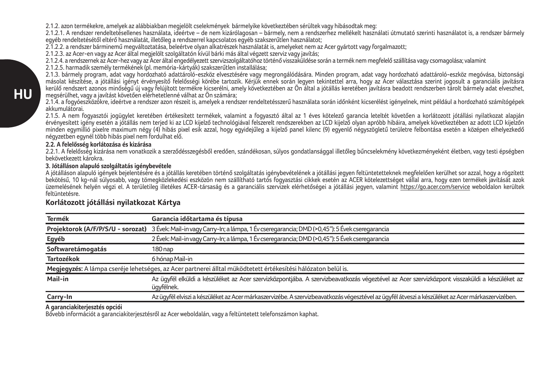2.1.2. azon termékekre, amelyek az alábbiakban megjelölt cselekmények bármelyike következtében sérültek vagy hibásodtak meg:

2.1.2.1. A rendszer rendeltetésellenes használata, ideértve – de nem kizárólagosan – bármely, nem a rendszerhez mellékelt használati útmutató szerinti használatot is, a rendszer bármely egyéb rendeltetésétől eltérő használatát, illetőleg a rendszerrel kapcsolatos egyéb szakszerűtlen használatot;

2.1.2.2. a rendszer bárminemű megváltoztatása, beleértve olyan alkatrészek használatát is, amelyeket nem az Acer gyártott vagy forgalmazott;

2.1.2.3. az Acer-en vagy az Acer által megjelölt szolgáltatón kívül bárki más által végzett szerviz vagy javítás;

2.1.2.4. a rendszernek az Acer-hez vagy az Acer által engedélyezett szervizszolgáltatóhoz történő visszaküldése során a termék nem megfelelő szállítása vagy csomagolása; valamint

2.1.2.5. harmadik személy termékének (pl. memória-kártyák) szakszerűtlen installálása;

2.1.3. bármely program, adat vagy hordozható adattároló-eszköz elvesztésére vagy megrongálódására. Minden program, adat vagy hordozható adattároló-eszköz megóvása, biztonsági másolat készítése, a jótállási igényt érvényesítő felelősségi körébe tartozik. Kérjük ennek során legyen tekintettel arra, hogy az Acer választása szerint jogosult a garanciális javításra kerülő rendszert azonos minőségű új vagy felújított termékre kicserélni, amely következtében az Ön által a jótállás keretében javításra beadott rendszerben tárolt bármely adat elveszhet, megsérülhet, vagy a javítást követően elérhetetlenné válhat az Ön számára;

2.1.4. a fogyóeszközökre, ideértve a rendszer azon részeit is, amelyek a rendszer rendeltetésszerű használata során időnként kicserélést igényelnek, mint például a hordozható számítógépek akkumulátorai.

2.1.5. A nem fogyasztói jogügylet keretében értékesített termékek, valamint a fogyasztó által az 1 éves kötelező garancia leteltét követően a korlátozott jótállási nyilatkozat alapján érvényesített igény esetén a jótállás nem terjed ki az LCD kijelző technológiával felszerelt rendszerekben az LCD kijelző olyan apróbb hibáira, amelyek következtében az adott LCD kijelzőn minden egymillió pixelre maximum négy (4) hibás pixel esik azzal, hogy egyidejűleg a kijelző panel kilenc (9) egyenlő négyszögletű területre felbontása esetén a középen elhelyezkedő négyzetben egynél több hibás pixel nem fordulhat elő.

#### **2.2. A felelősség korlátozása és kizárása**

2.2.1. A felelősség kizárása nem vonatkozik a szerződésszegésből eredően, szándékosan, súlyos gondatlansággal illetőleg bűncselekmény következményeként életben, vagy testi épségben bekövetkezett károkra.

### **3. Jótálláson alapuló szolgáltatás igénybevétele**

A jótálláson alapuló igények bejelentésére és a jótállás keretében történő szolgáltatás igénybevételének a jótállási jegyen feltüntetetteknek megfelelően kerülhet sor azzal, hogy a rögzített bekötésű, 10 kg-nál súlyosabb, vagy tömegközlekedési eszközön nem szállítható tartós fogyasztási cikkek esetén az ACER kötelezettséget vállal arra, hogy ezen termékek javítását azok üzemelésének helyén végzi el. A területileg illetékes ACER-társaság és a garanciális szervizek elérhetőségei a jótállási jegyen, valamint https://go.acer.com/service weboldalon kerültek feltüntetésre.

| <b>Termék</b>     | Garancia időtartama és típusa                                                                                                                               |
|-------------------|-------------------------------------------------------------------------------------------------------------------------------------------------------------|
|                   | Projektorok (A/F/P/S/U - sorozat) 3 Évek: Mail-in vagy Carry-In; a lámpa, 1 Év cseregarancia; DMD (>0,45"): 5 Évek cseregarancia                            |
| Egyéb             | 2 Évek: Mail-in vagy Carry-In; a lámpa, 1 Év cseregarancia; DMD (>0,45"): 5 Évek cseregarancia                                                              |
| Softwaretámogatás | 180 nap                                                                                                                                                     |
| Tartozékok        | 6 hónap Mail-in                                                                                                                                             |
|                   | Megjegyzés: A lámpa cseréje lehetséges, az Acer partnerei álltal müködtetett értékesítési hálózaton belül is.                                               |
| Mail-in           | Az ügyfél elküldi a készüléket az Acer szervizközpontjába. A szervizbeavatkozás végeztével az Acer szervizközpont visszaküldi a készüléket az<br>üavfélnek. |
| Carry-In          | Az ügyfél elviszi a készüléket az Acer márkaszervizébe. A szervizbeavatkozás végesztével az ügyfél átveszi a készüléket az Acer márkaszervizében.           |
|                   |                                                                                                                                                             |

### **Korlátozott jótállási nyilatkozat Kártya**

**A garanciakiterjesztés opciói**

Bővebb információt a garanciakiterjesztésről az Acer weboldalán, vagy a feltüntetett telefonszámon kaphat.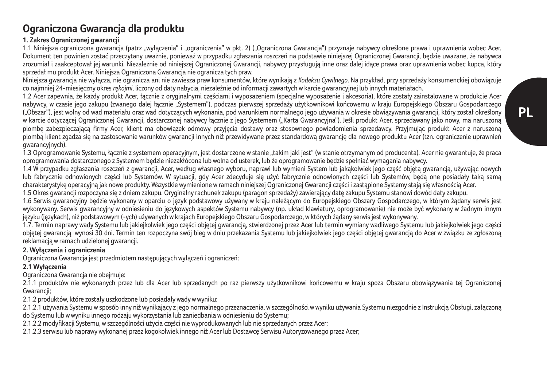## **Ograniczona Gwarancja dla produktu**

## **1. Zakres Ograniczonej gwarancji**

1.1 Niniejsza ograniczona gwarancja (patrz "wyłączenia" i "ograniczenia" w pkt. 2) ("Ograniczona Gwarancja") przyznaje nabywcy określone prawa i uprawnienia wobec Acer. Dokument ten powinien zostać przeczytany uważnie, ponieważ w przypadku zgłaszania roszczeń na podstawie niniejszej Ograniczonej Gwarancji, będzie uważane, że nabywca zrozumiał i zaakceptował jej warunki. Niezależnie od niniejszej Ograniczonej Gwarancji, nabywcy przysługują inne oraz dalej idące prawa oraz uprawnienia wobec kupca, który sprzedał mu produkt Acer. Niniejsza Ograniczona Gwarancja nie ogranicza tych praw.

Niniejsza gwarancja nie wyłącza, nie ogranicza ani nie zawiesza praw konsumentów, które wynikają z *Kodeksu Cywilnego*. Na przykład, przy sprzedaży konsumenckiej obowiązuje co najmniej 24-miesięczny okres *rękojmi*, liczony od daty nabycia, niezależnie od informacji zawartych w karcie gwarancyjnej lub innych materiałach.

1.2 Acer zapewnia, że każdy produkt Acer, łącznie z oryginalnymi częściami i wyposażeniem (specjalne wyposażenie i akcesoria), które zostały zainstalowane w produkcie Acer nabywcy, w czasie jego zakupu (zwanego dalej łącznie "Systemem"), podczas pierwszej sprzedaży użytkownikowi końcowemu w kraju Europejskiego Obszaru Gospodarczego ("Obszar"), jest wolny od wad materiału oraz wad dotyczących wykonania, pod warunkiem normalnego jego używania w okresie obwiązywania gwarancji, który został określony w karcie dotyczącej Ograniczonej Gwarancji, dostarczonej nabywcy łącznie z jego Systemem ("Karta Gwarancyjna"). Jeśli produkt Acer, sprzedawany jako nowy, ma naruszoną plombę zabezpieczającą firmy Acer, klient ma obowiązek odmowy przyjęcia dostawy oraz stosownego powiadomienia sprzedawcy. Przyjmując produkt Acer z naruszoną plombą klient zgadza się na zastosowanie warunków gwarancji innych niż przewidywane przez standardową gwarancję dla nowego produktu Acer (tzn. ograniczenie uprawnień gwarancyjnych).

1.3 Oprogramowanie Systemu, łącznie z systemem operacyjnym, jest dostarczone w stanie "takim jaki jest" (w stanie otrzymanym od producenta). Acer nie gwarantuje, że praca oprogramowania dostarczonego z Systemem będzie niezakłócona lub wolna od usterek, lub że oprogramowanie będzie spełniać wymagania nabywcy.

1.4 W przypadku zgłaszania roszczeń z gwarancji, Acer, według własnego wyboru, naprawi lub wymieni System lub jakąkolwiek jego część objętą gwarancją, używając nowych lub fabrycznie odnowionych części lub Systemów. W sytuacji, gdy Acer zdecyduje się użyć fabrycznie odnowionych części lub Systemów, będą one posiadały taką samą charakterystykę operacyjną jak nowe produkty. Wszystkie wymienione w ramach niniejszej Ograniczonej Gwarancji części i zastąpione Systemy stają się własnością Acer. 1.5 Okres gwarancji rozpoczyna się z dniem zakupu. Oryginalny rachunek zakupu (paragon sprzedaży) zawierający datę zakupu Systemu stanowi dowód daty zakupu.

1.6 Serwis gwarancyjny będzie wykonany w oparciu o język podstawowy używany w kraju należącym do Europejskiego Obszary Gospodarczego, w którym żądany serwis jest wykonywany. Serwis gwarancyjny w odniesieniu do językowych aspektów Systemu nabywcy (np. układ klawiatury, oprogramowanie) nie może być wykonany w żadnym innym języku (językach), niż podstawowym (-ych) używanych w krajach Europejskiego Obszaru Gospodarczego, w których żądany serwis jest wykonywany.

1.7. Termin naprawy wady Systemu lub jakiejkolwiek jego części objętej gwarancją, stwierdzonej przez Acer lub termin wymiany wadliwego Systemu lub jakiejkolwiek jego części objętej gwarancją wynosi 30 dni. Termin ten rozpoczyna swój bieg w dniu przekazania Systemu lub jakiejkolwiek jego części objętej gwarancją do Acer w związku ze zgłoszoną reklamacją w ramach udzielonej gwarancji.

### **2. Wyłączenia i ograniczenia**

Ograniczona Gwarancja jest przedmiotem następujących wyłączeń i ograniczeń:

## **2.1 Wyłączenia**

Ograniczona Gwarancja nie obejmuje:

2.1.1 produktów nie wykonanych przez lub dla Acer lub sprzedanych po raz pierwszy użytkownikowi końcowemu w kraju spoza Obszaru obowiązywania tej Ograniczonej Gwarancii:

2.1.2 produktów, które zostały uszkodzone lub posiadały wady w wyniku:

2.1.2.1 używania Systemu w sposób inny niż wynikający z jego normalnego przeznaczenia, w szczególności w wyniku używania Systemu niezgodnie z Instrukcją Obsługi, załączoną do Systemu lub w wyniku innego rodzaju wykorzystania lub zaniedbania w odniesieniu do Systemu;

2.1.2.2 modyfikacji Systemu, w szczególności użycia części nie wyprodukowanych lub nie sprzedanych przez Acer;

2.1.2.3 serwisu lub naprawy wykonanej przez kogokolwiek innego niż Acer lub Dostawcę Serwisu Autoryzowanego przez Acer;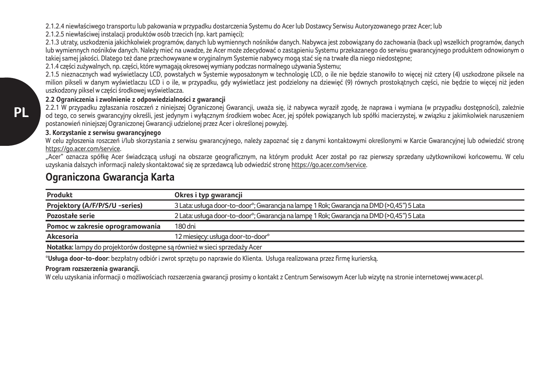2.1.2.4 niewłaściwego transportu lub pakowania w przypadku dostarczenia Systemu do Acer lub Dostawcy Serwisu Autoryzowanego przez Acer; lub

2.1.2.5 niewłaściwej instalacji produktów osób trzecich (np. kart pamięci);

2.1.3 utraty, uszkodzenia jakichkolwiek programów, danych lub wymiennych nośników danych. Nabywca jest zobowiązany do zachowania (back up) wszelkich programów, danych lub wymiennych nośników danych. Należy mieć na uwadze, że Acer może zdecydować o zastąpieniu Systemu przekazanego do serwisu gwarancyjnego produktem odnowionym o takiej samej jakości. Dlatego też dane przechowywane w oryginalnym Systemie nabywcy mogą stać się na trwałe dla niego niedostępne;

2.1.4 części zużywalnych, np. części, które wymagają okresowej wymiany podczas normalnego używania Systemu;

2.1.5 nieznacznych wad wyświetlaczy LCD, powstałych w Systemie wyposażonym w technologię LCD, o ile nie będzie stanowiło to więcej niż cztery (4) uszkodzone piksele na milion pikseli w danym wyświetlaczu LCD i o ile, w przypadku, gdy wyświetlacz jest podzielony na dziewięć (9) równych prostokątnych części, nie będzie to więcej niż jeden uszkodzony piksel w części środkowej wyświetlacza.

### **2.2 Ograniczenia i zwolnienie z odpowiedzialności z gwarancji**

2.2.1 W przypadku zgłaszania roszczeń z niniejszej Ograniczonej Gwarancji, uważa się, iż nabywca wyraził zgodę, że naprawa i wymiana (w przypadku dostępności), zależnie od tego, co serwis gwarancyjny określi, jest jedynym i wyłącznym środkiem wobec Acer, jej spółek powiązanych lub spółki macierzystej, w związku z jakimkolwiek naruszeniem postanowień niniejszej Ograniczonej Gwarancji udzielonej przez Acer i określonej powyżej.

### **3. Korzystanie z serwisu gwarancyjnego**

W celu zgłoszenia roszczeń i/lub skorzystania z serwisu gwarancyjnego, należy zapoznać się z danymi kontaktowymi określonymi w Karcie Gwarancyjnej lub odwiedzić stronę https://go.acer.com/service.

"Acer" oznacza spółkę Acer świadczącą usługi na obszarze geograficznym, na którym produkt Acer został po raz pierwszy sprzedany użytkownikowi końcowemu. W celu uzyskania dalszych informacji należy skontaktować się ze sprzedawcą lub odwiedzić stronę https://go.acer.com/service.

# **Ograniczona Gwarancja Karta**

| Produkt                                                                  | Okres i typ gwarancji                                                                    |
|--------------------------------------------------------------------------|------------------------------------------------------------------------------------------|
| Projektory (A/F/P/S/U -series)                                           | 3 Lata: usługa door-to-door"; Gwarancja na lampe 1 Rok; Gwarancja na DMD (>0,45") 5 Lata |
| Pozostałe serie                                                          | 2 Lata: usługa door-to-door*; Gwarancja na lampe 1 Rok; Gwarancja na DMD (>0,45") 5 Lata |
| Pomoc w zakresie oprogramowania                                          | 180 dni                                                                                  |
| Akcesoria                                                                | 12 miesiecy: usługa door-to-door*                                                        |
| Notatka: lampy do projektorów dostępne są również w sieci sprzedaży Acer |                                                                                          |

\***Usługa door-to-door**: bezpłatny odbiór i zwrot sprzętu po naprawie do Klienta. Usługa realizowana przez firmę kurierską.

## **Program rozszerzenia gwarancji.**

W celu uzyskania informacji o możliwościach rozszerzenia gwarancji prosimy o kontakt z Centrum Serwisowym Acer lub wizytę na stronie internetowej www.acer.pl.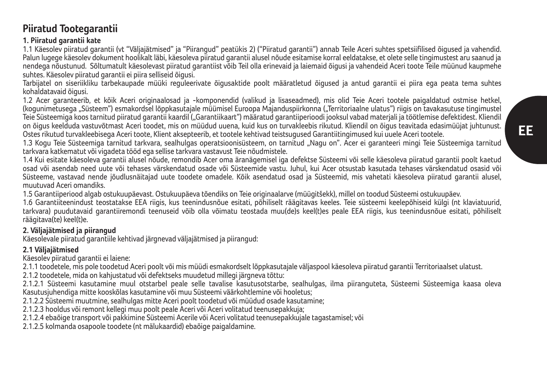## **Piiratud Tootegarantii**

## **1. Piiratud garantii kate**

1.1 Käesolev piiratud garantii (vt "Väljajätmised" ja "Piirangud" peatükis 2) ("Piiratud garantii") annab Teile Aceri suhtes spetsiifilised õigused ja vahendid. Palun lugege käesolev dokument hoolikalt läbi, käesoleva piiratud garantii alusel nõude esitamise korral eeldatakse, et olete selle tingimustest aru saanud ja nendega nõustunud. Sõltumatult käesolevast piiratud garantiist võib Teil olla erinevaid ja laiemaid õigusi ja vahendeid Aceri toote Teile müünud kaupmehe suhtes. Käesolev piiratud garantii ei piira selliseid õigusi.

Tarbijatel on siseriikliku tarbekaupade müüki reguleerivate õigusaktide poolt määratletud õigused ja antud garantii ei piira ega peata tema suhtes kohaldatavaid õigusi.

1.2 Acer garanteerib, et kõik Aceri originaalosad ja -komponendid (valikud ja lisaseadmed), mis olid Teie Aceri tootele paigaldatud ostmise hetkel, (kogunimetusega "Süsteem") esmakordsel lõppkasutajale müümisel Euroopa Majanduspiirkonna ("Territoriaalne ulatus") riigis on tavakasutuse tingimustel Teie Süsteemiga koos tarnitud piiratud garantii kaardil ("Garantiikaart") määratud garantiiperioodi jooksul vabad materjali ja töötlemise defektidest. Kliendil on õigus keelduda vastuvõtmast Aceri toodet, mis on müüdud uuena, kuid kus on turvakleebis rikutud. Kliendil on õigus teavitada edasimüüjat juhtunust. Ostes rikutud turvakleebisega Aceri toote, Klient aksepteerib, et tootele kehtivad teistsugused Garantiitingimused kui uuele Aceri tootele.

1.3 Kogu Teie Süsteemiga tarnitud tarkvara, sealhulgas operatsioonisüsteem, on tarnitud "Nagu on". Acer ei garanteeri mingi Teie Süsteemiga tarnitud tarkvara katkematut või vigadeta tööd ega sellise tarkvara vastavust Teie nõudmistele.

1.4 Kui esitate käesoleva garantii alusel nõude, remondib Acer oma äranägemisel iga defektse Süsteemi või selle käesoleva piiratud garantii poolt kaetud osad või asendab need uute või tehases värskendatud osade või Süsteemide vastu. Juhul, kui Acer otsustab kasutada tehases värskendatud osasid või Süsteeme, vastavad nende jõudlusnäitajad uute toodete omadele. Kõik asendatud osad ja Süsteemid, mis vahetati käesoleva piiratud garantii alusel, muutuvad Aceri omandiks.

1.5 Garantiiperiood algab ostukuupäevast. Ostukuupäeva tõendiks on Teie originaalarve (müügitšekk), millel on toodud Süsteemi ostukuupäev.

1.6 Garantiiteenindust teostatakse EEA riigis, kus teenindusnõue esitati, põhiliselt räägitavas keeles. Teie süsteemi keelepõhiseid külgi (nt klaviatuurid, tarkvara) puudutavaid garantiiremondi teenuseid võib olla võimatu teostada muu(de)s keel(t)es peale EEA riigis, kus teenindusnõue esitati, põhiliselt räägitava(te) keel(t)e.

## **2. Väljajätmised ja piirangud**

Käesolevale piiratud garantiile kehtivad järgnevad väljajätmised ja piirangud:

## **2.1 Väljajätmised**

Käesolev piiratud garantii ei laiene:

2.1.1 toodetele, mis pole toodetud Aceri poolt või mis müüdi esmakordselt lõppkasutajale väljaspool käesoleva piiratud garantii Territoriaalset ulatust.

2.1.2 toodetele, mida on kahjustatud või defektseks muudetud millegi järgneva tõttu:

2.1.2.1 Süsteemi kasutamine muul otstarbel peale selle tavalise kasutusotstarbe, sealhulgas, ilma piiranguteta, Süsteemi Süsteemiga kaasa oleva Kasutusjuhendiga mitte kooskõlas kasutamine või muu Süsteemi väärkohtlemine või hooletus;

2.1.2.2 Süsteemi muutmine, sealhulgas mitte Aceri poolt toodetud või müüdud osade kasutamine;

2.1.2.3 hooldus või remont kellegi muu poolt peale Aceri või Aceri volitatud teenusepakkuja;

2.1.2.4 ebaõige transport või pakkimine Süsteemi Acerile või Aceri volitatud teenusepakkujale tagastamisel; või

2.1.2.5 kolmanda osapoole toodete (nt mälukaardid) ebaõige paigaldamine.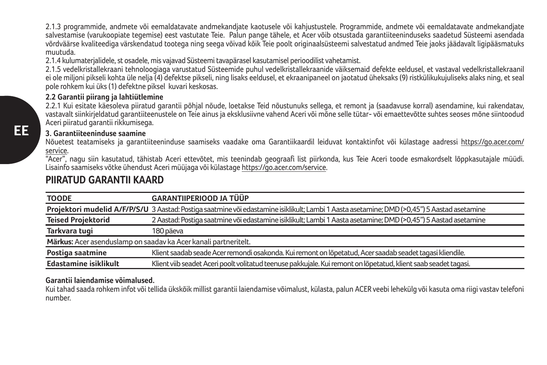2.1.3 programmide, andmete või eemaldatavate andmekandjate kaotusele või kahjustustele. Programmide, andmete või eemaldatavate andmekandjate salvestamise (varukoopiate tegemise) eest vastutate Teie. Palun pange tähele, et Acer võib otsustada garantiiteeninduseks saadetud Süsteemi asendada võrdväärse kvaliteediga värskendatud tootega ning seega võivad kõik Teie poolt originaalsüsteemi salvestatud andmed Teie jaoks jäädavalt ligipääsmatuks muutuda.

2.1.4 kulumaterjalidele, st osadele, mis vajavad Süsteemi tavapärasel kasutamisel perioodilist vahetamist.

2.1.5 vedelkristallekraani tehnoloogiaga varustatud Süsteemide puhul vedelkristallekraanide väiksemaid defekte eeldusel, et vastaval vedelkristallekraanil ei ole miljoni pikseli kohta üle nelja (4) defektse pikseli, ning lisaks eeldusel, et ekraanipaneel on jaotatud üheksaks (9) ristkülikukujuliseks alaks ning, et seal pole rohkem kui üks (1) defektne piksel kuvari keskosas.

## **2.2 Garantii piirang ja lahtiütlemine**

2.2.1 Kui esitate käesoleva piiratud garantii põhjal nõude, loetakse Teid nõustunuks sellega, et remont ja (saadavuse korral) asendamine, kui rakendatav, vastavalt siinkirjeldatud garantiiteenustele on Teie ainus ja eksklusiivne vahend Aceri või mõne selle tütar- või emaettevõtte suhtes seoses mõne siintoodud Aceri piiratud garantii rikkumisega.

## **3. Garantiiteeninduse saamine**

Nõuetest teatamiseks ja garantiiteeninduse saamiseks vaadake oma Garantiikaardil leiduvat kontaktinfot või külastage aadressi https://go.acer.com/ service.

"Acer", nagu siin kasutatud, tähistab Aceri ettevõtet, mis teenindab geograafi list piirkonda, kus Teie Aceri toode esmakordselt lõppkasutajale müüdi. Lisainfo saamiseks võtke ühendust Aceri müüjaga või külastage https://go.acer.com/service.

## **PIIRATUD GARANTII KAARD**

| <b>TOODE</b>                                                    | <b>GARANTIIPERIOOD JA TÜÜP</b>                                                                                                              |
|-----------------------------------------------------------------|---------------------------------------------------------------------------------------------------------------------------------------------|
|                                                                 | Projektori mudelid A/F/P/S/U 3 Aastad: Postiga saatmine või edastamine isiklikult; Lambi 1 Aasta asetamine; DMD (>0,45") 5 Aastad asetamine |
| <b>Teised Projektorid</b>                                       | 2 Aastad: Postiga saatmine või edastamine isiklikult; Lambi 1 Aasta asetamine; DMD (>0,45") 5 Aastad asetamine                              |
| Tarkvara tugi                                                   | 180 päeva                                                                                                                                   |
| Märkus: Acer asenduslamp on saadav ka Acer kanali partneritelt. |                                                                                                                                             |
| Postiga saatmine                                                | Klient saadab seade Acer remondi osakonda. Kui remont on lõpetatud, Acer saadab seadet tagasi kliendile.                                    |
| <b>Edastamine isiklikult</b>                                    | Klient viib seadet Aceri poolt volitatud teenuse pakkujale. Kui remont on lõpetatud, klient saab seadet tagasi.                             |

## **Garantii laiendamise võimalused.**

Kui tahad saada rohkem infot või tellida ükskõik millist garantii laiendamise võimalust, külasta, palun ACER veebi lehekülg või kasuta oma riigi vastav telefoni number.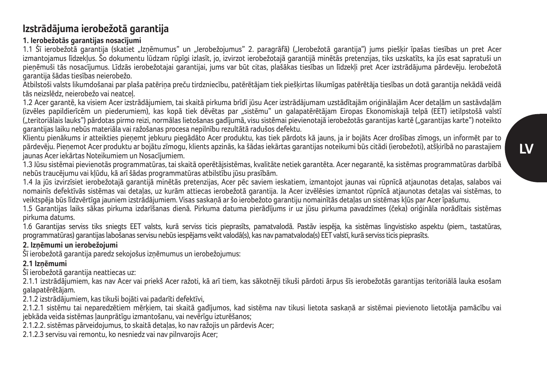## **Izstrādājuma ierobežotā garantija**

## **1. Ierobežotās garantijas nosacījumi**

1.1 Šī ierobežotā garantija (skatiet "Izņēmumus" un "Ierobežojumus" 2. paragrāfā) ("Ierobežotā garantija") jums piešķir īpašas tiesības un pret Acer izmantojamus līdzekļus. Šo dokumentu lūdzam rūpīgi izlasīt, jo, izvirzot ierobežotajā garantijā minētās pretenzijas, tiks uzskatīts, ka jūs esat sapratuši un pieņēmuši tās nosacījumus. Līdzās ierobežotajai garantijai, jums var būt citas, plašākas tiesības un līdzekļi pret Acer izstrādājuma pārdevēju. Ierobežotā garantija šādas tiesības neierobežo.

Atbilstoši valsts likumdošanai par plaša patēriņa preču tirdzniecību, patērētājam tiek piešķirtas likumīgas patērētāja tiesības un dotā garantija nekādā veidā tās neizslēdz, neierobežo vai neatceļ.

1.2 Acer garantē, ka visiem Acer izstrādājumiem, tai skaitā pirkuma brīdī jūsu Acer izstrādājumam uzstādītajām oriģinālajām Acer detaļām un sastāvdaļām (izvēles papildierīcēm un piederumiem), kas kopā tiek dēvētas par "sistēmu" un galapatērētājam Eiropas Ekonomiskajā telpā (EET) ietilpstošā valstī ("teritoriālais lauks") pārdotas pirmo reizi, normālas lietošanas gadījumā, visu sistēmai pievienotajā ierobežotās garantijas kartē ("garantijas karte") noteikto garantijas laiku nebūs materiāla vai ražošanas procesa nepilnību rezultātā radušos defektu.

Klientu pienākums ir atteikties pieņemt jebkuru piegādāto Acer produktu, kas tiek pārdots kā jauns, ja ir bojāts Acer drošības zīmogs, un informēt par to pārdevēju. Pieņemot Acer produktu ar bojātu zīmogu, klients apzinās, ka šādas iekārtas garantijas noteikumi būs citādi (ierobežoti), atšķirībā no parastajiem jaunas Acer iekārtas Noteikumiem un Nosacījumiem.

1.3 Jūsu sistēmai pievienotās programmatūras, tai skaitā operētājsistēmas, kvalitāte netiek garantēta. Acer negarantē, ka sistēmas programmatūras darbībā nebūs traucējumu vai kļūdu, kā arī šādas programmatūras atbilstību jūsu prasībām.

1.4 Ja jūs izvirzīsiet ierobežotajā garantijā minētās pretenzijas, Acer pēc saviem ieskatiem, izmantojot jaunas vai rūpnīcā atjaunotas detaļas, salabos vai nomainīs defektīvās sistēmas vai detaļas, uz kurām attiecas ierobežotā garantija. Ja Acer izvēlēsies izmantot rūpnīcā atjaunotas detaļas vai sistēmas, to veiktspēja būs līdzvērtīga jauniem izstrādājumiem. Visas saskaņā ar šo ierobežoto garantiju nomainītās detaļas un sistēmas kļūs par Acer īpašumu.

1.5 Garantijas laiks sākas pirkuma izdarīšanas dienā. Pirkuma datuma pierādījums ir uz jūsu pirkuma pavadzīmes (čeka) oriģināla norādītais sistēmas pirkuma datums.

1.6 Garantijas serviss tiks sniegts EET valsts, kurā serviss ticis pieprasīts, pamatvalodā. Pastāv iespēja, ka sistēmas lingvistisko aspektu (piem., tastatūras, programmatūras) garantijas labošanas servisu nebūs iespējams veikt valodā(s), kas nav pamatvaloda(s) EET valstī, kurā serviss ticis pieprasīts.

## **2. Izņēmumi un ierobežojumi**

Šī ierobežotā garantija paredz sekojošus izņēmumus un ierobežojumus:

## **2.1 Izņēmumi**

Šī ierobežotā garantija neattiecas uz:

2.1.1 izstrādājumiem, kas nav Acer vai priekš Acer ražoti, kā arī tiem, kas sākotnēji tikuši pārdoti ārpus šīs ierobežotās garantijas teritoriālā lauka esošam galapatērētājam.

2.1.2 izstrādājumiem, kas tikuši bojāti vai padarīti defektīvi,

2.1.2.1 sistēmu tai neparedzētiem mērķiem, tai skaitā gadījumos, kad sistēma nav tikusi lietota saskaņā ar sistēmai pievienoto lietotāja pamācību vai jebkāda veida sistēmas ļaunprātīgu izmantošanu, vai nevērīgu izturēšanos;

2.1.2.2. sistēmas pārveidojumus, to skaitā detaļas, ko nav ražojis un pārdevis Acer;

2.1.2.3 servisu vai remontu, ko nesniedz vai nav pilnvarojis Acer;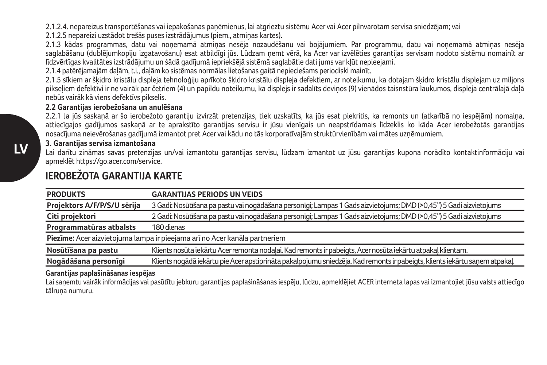2.1.2.4. nepareizus transportēšanas vai iepakošanas paņēmienus, lai atgrieztu sistēmu Acer vai Acer pilnvarotam servisa sniedzējam; vai

2.1.2.5 nepareizi uzstādot trešās puses izstrādājumus (piem., atmiņas kartes).

2.1.3 kādas programmas, datu vai noņemamā atmiņas nesēja nozaudēšanu vai bojājumiem. Par programmu, datu vai noņemamā atmiņas nesēja saglabāšanu (dublējumkopiju izgatavošanu) esat atbildīgi jūs. Lūdzam ņemt vērā, ka Acer var izvēlēties garantijas servisam nodoto sistēmu nomainīt ar līdzvērtīgas kvalitātes izstrādājumu un šādā gadījumā iepriekšējā sistēmā saglabātie dati jums var kļūt nepieejami.

2.1.4 patērējamajām daļām, t.i., daļām ko sistēmas normālas lietošanas gaitā nepieciešams periodiski mainīt.

2.1.5 sīkiem ar šķidro kristālu displeja tehnoloģiju aprīkoto šķidro kristālu displeja defektiem, ar noteikumu, ka dotajam šķidro kristālu displejam uz miljons pikseļiem defektīvi ir ne vairāk par četriem (4) un papildu noteikumu, ka displejs ir sadalīts deviņos (9) vienādos taisnstūra laukumos, displeja centrālajā daļā nebūs vairāk kā viens defektīvs pikselis.

## **2.2 Garantijas ierobežošana un anulēšana**

2.2.1 Ja jūs saskaņā ar šo ierobežoto garantiju izvirzāt pretenzijas, tiek uzskatīts, ka jūs esat piekritis, ka remonts un (atkarībā no iespējām) nomaiņa, attiecīgajos gadījumos saskaņā ar te aprakstīto garantijas servisu ir jūsu vienīgais un neapstrīdamais līdzeklis ko kāda Acer ierobežotās garantijas nosacījuma neievērošanas gadījumā izmantot pret Acer vai kādu no tās korporatīvajām struktūrvienībām vai mātes uzņēmumiem.

## **3. Garantijas servisa izmantošana**

Lai darītu zināmas savas pretenzijas un/vai izmantotu garantijas servisu, lūdzam izmantot uz jūsu garantijas kupona norādīto kontaktinformāciju vai apmeklēt https://go.acer.com/service.

| <b>PRODUKTS</b>             | <b>GARANTIJAS PERIODS UN VEIDS</b>                                                                                          |
|-----------------------------|-----------------------------------------------------------------------------------------------------------------------------|
| Projektors A/F/P/S/U sērija | 3 Gadi: Nosūtīšana pa pastu vai nogādāšana personīgi; Lampas 1 Gads aizvietojums; DMD (>0,45") 5 Gadi aizvietojums          |
| Citi projektori             | 2 Gadi: Nosūtīšana pa pastu vai nogādāšana personīgi; Lampas 1 Gads aizvietojums; DMD (>0,45") 5 Gadi aizvietojums          |
| Programmatūras atbalsts     | 180 dienas                                                                                                                  |
|                             | Piezīme: Acer aizvietojuma lampa ir pieejama arī no Acer kanāla partneriem                                                  |
| Nosūtīšana pa pastu         | Klients nosūta iekārtu Acer remonta nodaļai. Kad remonts ir pabeigts, Acer nosūta iekārtu atpakaļ klientam.                 |
| Nogādāšana personīgi        | Klients nogādā iekārtu pie Acer apstiprināta pakalpojumu sniedzēja. Kad remonts ir pabeigts, klients iekārtu sanem atpakal. |
|                             |                                                                                                                             |

## **IEROBEŽOTA GARANTIJA KARTE**

### **Garantijas paplašināšanas iespējas**

Lai saņemtu vairāk informācijas vai pasūtītu jebkuru garantijas paplašināšanas iespēju, lūdzu, apmeklējiet ACER interneta lapas vai izmantojiet jūsu valsts attiecīgo tālruņa numuru.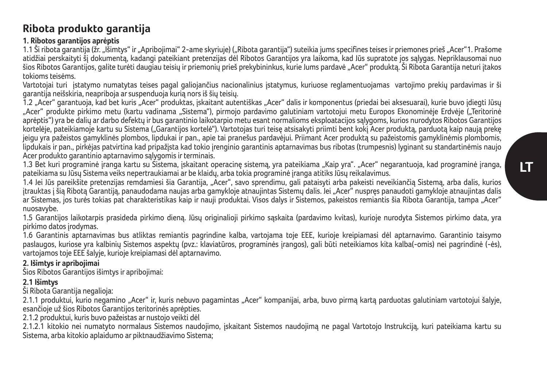## **Ribota produkto garantija**

## **1. Ribotos garantijos aprėptis**

1.1 Ši ribota garantija (žr. "Išimtys" ir "Apribojimai" 2-ame skyriuje) ("Ribota garantija") suteikia jums specifines teises ir priemones prieš "Acer"1. Prašome atidžiai perskaityti šį dokumentą, kadangi pateikiant pretenzijas dėl Ribotos Garantijos yra laikoma, kad Jūs supratote jos sąlygas. Nepriklausomai nuo šios Ribotos Garantijos, galite turėti daugiau teisių ir priemonių prieš prekybininkus, kurie Jums pardavė "Acer" produktą. Ši Ribota Garantija neturi įtakos tokioms teisėms.

Vartotojai turi įstatymo numatytas teises pagal galiojančius nacionalinius įstatymus, kuriuose reglamentuojamas vartojimo prekių pardavimas ir ši garantija neišskiria, neapriboja ar suspenduoja kurią nors iš šių teisių.

1.2 "Acer" garantuoja, kad bet kuris "Acer" produktas, įskaitant autentiškas "Acer" dalis ir komponentus (priedai bei aksesuarai), kurie buvo įdiegti Jūsų "Acer" produkte pirkimo metu (kartu vadinama "Sistema"), pirmojo pardavimo galutiniam vartotojui metu Europos Ekonominėje Erdvėje ("Teritorinė aprėptis") yra be dalių ar darbo defektų ir bus garantinio laikotarpio metu esant normalioms eksploatacijos sąlygoms, kurios nurodytos Ribotos Garantijos kortelėje, pateikiamoje kartu su Sistema ("Garantijos kortelė"). Vartotojas turi teisę atsisakyti priimti bent kokį Acer produktą, parduotą kaip naują prekę jeigu yra pažeistos gamyklinės plombos, lipdukai ir pan., apie tai pranešus pardavėjui. Priimant Acer produktą su pažeistomis gamyklinėmis plombomis, lipdukais ir pan., pirkėjas patvirtina kad pripažįsta kad tokio įrenginio garantinis aptarnavimas bus ribotas (trumpesnis) lyginant su standartinėmis naujo Acer produkto garantinio aptarnavimo sąlygomis ir terminais.

1.3 Bet kuri programinė įranga kartu su Šistema, įskaitant operacinę sistemą, yra pateikiama "Kaip yra". "Acer" negarantuoja, kad programinė įranga, pateikiama su Jūsų Sistema veiks nepertraukiamai ar be klaidų, arba tokia programinė įranga atitiks Jūsų reikalavimus.

1.4 Jei Jūs pareikšite pretenzijas remdamiesi šia Garantija, "Acer", savo sprendimu, gali pataisyti arba pakeisti neveikiančią Sistemą, arba dalis, kurios įtrauktas į šią Ribotą Garantiją, panaudodama naujas arba gamykloje atnaujintas Sistemų dalis. Jei "Acer" nuspręs panaudoti gamykloje atnaujintas dalis ar Sistemas, jos turės tokias pat charakteristikas kaip ir nauji produktai. Visos dalys ir Sistemos, pakeistos remiantis šia Ribota Garantija, tampa "Acer" nuosavybe.

1.5 Garantijos laikotarpis prasideda pirkimo dieną. Jūsų originalioji pirkimo sąskaita (pardavimo kvitas), kurioje nurodyta Sistemos pirkimo data, yra pirkimo datos įrodymas.

1.6 Garantinis aptarnavimas bus atliktas remiantis pagrindine kalba, vartojama toje EEE, kurioje kreipiamasi dėl aptarnavimo. Garantinio taisymo paslaugos, kuriose yra kalbinių Sistemos aspektų (pvz.: klaviatūros, programinės įrangos), gali būti neteikiamos kita kalba(-omis) nei pagrindinė (-ės), vartojamos toje EEE šalyje, kurioje kreipiamasi dėl aptarnavimo.

## **2. Išimtys ir apribojimai**

Šios Ribotos Garantijos išimtys ir apribojimai:

## **2.1 Išimtys**

Ši Ribota Garantija negalioja:

2.1.1 produktui, kurio negamino "Acer" ir, kuris nebuvo pagamintas "Acer" kompanijai, arba, buvo pirmą kartą parduotas galutiniam vartotojui šalyje, esančioje už šios Ribotos Garantijos teritorinės aprėpties.

2.1.2 produktui, kuris buvo pažeistas ar nustojo veikti dėl

2.1.2.1 kitokio nei numatyto normalaus Sistemos naudojimo, įskaitant Sistemos naudojimą ne pagal Vartotojo Instrukciją, kuri pateikiama kartu su Sistema, arba kitokio aplaidumo ar piktnaudžiavimo Sistema;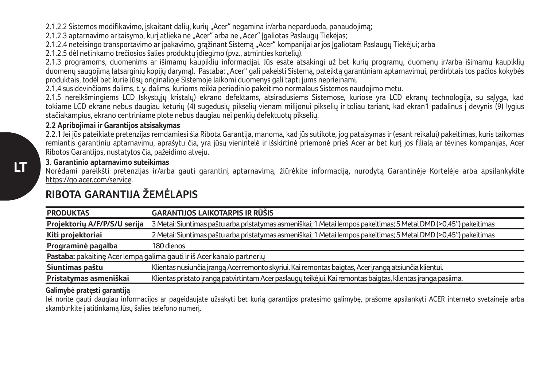2.1.2.2 Sistemos modifikavimo, įskaitant dalių, kurių "Acer" negamina ir/arba neparduoda, panaudojimą;

2.1.2.3 aptarnavimo ar taisymo, kurį atlieka ne "Acer" arba ne "Acer" Įgaliotas Paslaugų Tiekėjas;

2.1.2.4 neteisingo transportavimo ar įpakavimo, grąžinant Sistemą "Acer" kompanijai ar jos Įgaliotam Paslaugų Tiekėjui; arba

2.1.2.5 dėl netinkamo trečiosios šalies produktų įdiegimo (pvz., atminties kortelių).

2.1.3 programoms, duomenims ar išimamų kaupiklių informacijai. Jūs esate atsakingi už bet kurių programų, duomenų ir/arba išimamų kaupiklių duomenų saugojimą (atsarginių kopijų darymą). Pastaba: "Acer" gali pakeisti Sistemą, pateiktą garantiniam aptarnavimui, perdirbtais tos pačios kokybės produktais, todėl bet kurie Jūsų originalioje Sistemoje laikomi duomenys gali tapti jums neprieinami.

2.1.4 susidėvinčioms dalims, t. y. dalims, kurioms reikia periodinio pakeitimo normalaus Sistemos naudojimo metu.

2.1.5 nereikšmingiems LCD (skystųjų kristalų) ekrano defektams, atsiradusiems Sistemose, kuriose yra LCD ekranų technologija, su sąlyga, kad tokiame LCD ekrane nebus daugiau keturių (4) sugedusių pikselių vienam milijonui pikselių ir toliau tariant, kad ekran1 padalinus į devynis (9) lygius stačiakampius, ekrano centriniame plote nebus daugiau nei penkių defektuotų pikselių.

## **2.2 Apribojimai ir Garantijos atsisakymas**

2.2.1 Jei jūs pateikiate pretenzijas remdamiesi šia Ribota Garantija, manoma, kad jūs sutikote, jog pataisymas ir (esant reikalui) pakeitimas, kuris taikomas remiantis garantiniu aptarnavimu, aprašytu čia, yra jūsų vienintelė ir išskirtinė priemonė prieš Acer ar bet kurį jos filialą ar tėvines kompanijas, Acer Ribotos Garantijos, nustatytos čia, pažeidimo atveju.

## **3. Garantinio aptarnavimo suteikimas**

Norėdami pareikšti pretenzijas ir/arba gauti garantinį aptarnavimą, žiūrėkite informaciją, nurodytą Garantinėje Kortelėje arba apsilankykite https://go.acer.com/service.

## **RIBOTA GARANTIJA ŽEMĖLAPIS**

| <b>PRODUKTAS</b>             | <b>GARANTIJOS LAIKOTARPIS IR RŪŠIS</b>                                                                           |
|------------------------------|------------------------------------------------------------------------------------------------------------------|
| Projektorių A/F/P/S/U serija | 3 Metai: Siuntimas paštu arba pristatymas asmeniškai; 1 Metai lempos pakeitimas; 5 Metai DMD (>0,45") pakeitimas |
| Kiti projektoriai            | 2 Metai: Siuntimas paštu arba pristatymas asmeniškai; 1 Metai lempos pakeitimas; 5 Metai DMD (>0,45") pakeitimas |
| Programinė pagalba           | 180 dienos                                                                                                       |
|                              | Pastaba: pakaitine Acer lempa galima gauti ir iš Acer kanalo partnerių                                           |
| Siuntimas paštu              | Klientas nusiunčia įrangą Acer remonto skyriui. Kai remontas baigtas, Acer įrangą atsiunčia klientui.            |
| Pristatymas asmeniškai       | Klientas pristato įrangą patvirtintam Acer paslaugų teikėjui. Kai remontas baigtas, klientas įranga pasiima.     |

## **Galimybė pratęsti garantiją**

Jei norite gauti daugiau informacijos ar pageidaujate užsakyti bet kurią garantijos pratęsimo galimybę, prašome apsilankyti ACER interneto svetainėje arba skambinkite į atitinkamą Jūsų šalies telefono numerį.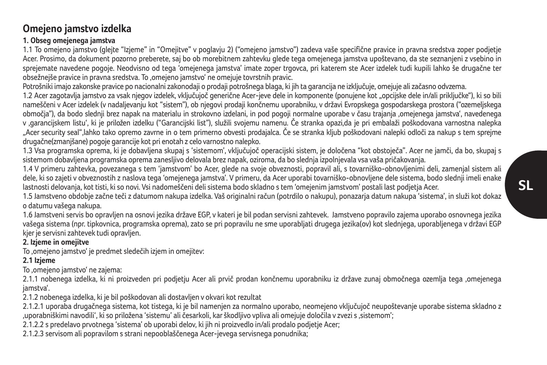## **Omejeno jamstvo izdelka**

## **1. Obseg omejenega jamstva**

1.1 To omejeno jamstvo (glejte "Izjeme" in "Omejitve" v poglavju 2) ("omejeno jamstvo") zadeva vaše specifične pravice in pravna sredstva zoper podjetje Acer. Prosimo, da dokument pozorno preberete, saj bo ob morebitnem zahtevku glede tega omejenega jamstva upoštevano, da ste seznanjeni z vsebino in sprejemate navedene pogoje. Neodvisno od tega 'omejenega jamstva' imate zoper trgovca, pri katerem ste Acer izdelek tudi kupili lahko še drugačne ter obsežnejše pravice in pravna sredstva. To 'omejeno jamstvo' ne omejuje tovrstnih pravic.

Potrošniki imajo zakonske pravice po nacionalni zakonodaji o prodaji potrošnega blaga, ki jih ta garancija ne izključuje, omejuje ali začasno odvzema.

1.2 Acer zagotavlja jamstvo za vsak njegov izdelek, vključujoč generične Acer-jeve dele in komponente (ponujene kot "opcijske dele in/ali priključke"), ki so bili nameščeni v Acer izdelek (v nadaljevanju kot "sistem"), ob njegovi prodaji končnemu uporabniku, v državi Evropskega gospodarskega prostora ("ozemeljskega območja"), da bodo slednji brez napak na materialu in strokovno izdelani, in pod pogoji normalne uporabe v času trajanja 'omejenega jamstva', navedenega v garancijskem listu', ki je priložen izdelku ("Garancijski list"), služili svojemu namenu. Če stranka opazi da je pri embalaži poškodovana varnostna nalepka "Acer security seal",lahko tako opremo zavrne in o tem primerno obvesti prodajalca. Če se stranka kljub poškodovani nalepki odloči za nakup s tem sprejme drugačne(zmanjšane) pogoje garancije kot pri enotah z celo varnostno nalepko.

1.3 Vsa programska oprema, ki je dobavljena skupaj s 'sistemom', vključujoč operacijski sistem, je določena "kot obstoječa". Acer ne jamči, da bo, skupaj s sistemom dobavljena programska oprema zanesljivo delovala brez napak, oziroma, da bo slednja izpolnjevala vsa vaša pričakovanja.

1.4 V primeru zahtevka, povezanega s tem 'jamstvom' bo Acer, glede na svoje obveznosti, popravil ali, s tovarniško-obnovljenimi deli, zamenjal sistem ali dele, ki so zajeti v obveznostih z naslova tega 'omejenega jamstva'. V primeru, da Acer uporabi tovarniško-obnovljene dele sistema, bodo slednji imeli enake lastnosti delovanja, kot tisti, ki so novi. Vsi nadomeščeni deli sistema bodo skladno s tem 'omejenim jamstvom' postali last podjetja Acer.

1.5 Jamstveno obdobje začne teči z datumom nakupa izdelka. Vaš originalni račun (potrdilo o nakupu), ponazarja datum nakupa 'sistema', in služi kot dokaz o datumu vašega nakupa.

1.6 Jamstveni servis bo opravljen na osnovi jezika države EGP, v kateri je bil podan servisni zahtevek. Jamstveno popravilo zajema uporabo osnovnega jezika vašega sistema (npr. tipkovnica, programska oprema), zato se pri popravilu ne sme uporabljati drugega jezika(ov) kot slednjega, uporabljenega v državi EGP kjer je servisni zahtevek tudi opravljen.

## **2. Izjeme in omejitve**

To 'omejeno jamstvo' je predmet sledečih izjem in omejitev:

## **2.1 Izjeme**

To 'omejeno jamstvo' ne zajema:

2.1.1 nobenega izdelka, ki ni proizveden pri podjetju Acer ali prvič prodan končnemu uporabniku iz države zunaj območnega ozemlja tega 'omejenega jamstva'.

2.1.2 nobenega izdelka, ki je bil poškodovan ali dostavljen v okvari kot rezultat

2.1.2.1 uporaba drugačnega sistema, kot tistega, ki je bil namenjen za normalno uporabo, neomejeno vključujoč neupoštevanje uporabe sistema skladno z 'uporabniškimi navodili', ki so priložena 'sistemu' ali česarkoli, kar škodljivo vpliva ali omejuje določila v zvezi s 'sistemom';

2.1.2.2 s predelavo prvotnega 'sistema' ob uporabi delov, ki jih ni proizvedlo in/ali prodalo podjetje Acer;

2.1.2.3 servisom ali popravilom s strani nepooblaščenega Acer-jevega servisnega ponudnika;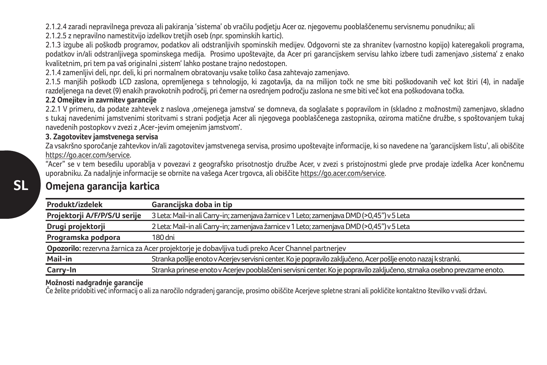2.1.2.4 zaradi nepravilnega prevoza ali pakiranja 'sistema' ob vračilu podjetju Acer oz. njegovemu pooblaščenemu servisnemu ponudniku; ali

2.1.2.5 z nepravilno namestitvijo izdelkov tretjih oseb (npr. spominskih kartic).

2.1.3 izgube ali poškodb programov, podatkov ali odstranljivih spominskih medijev. Odgovorni ste za shranitev (varnostno kopijo) kateregakoli programa, podatkov in/ali odstranljivega spominskega medija. Prosimo upoštevajte, da Acer pri garancijskem servisu lahko izbere tudi zamenjavo 'sistema' z enako kvalitetnim, pri tem pa vaš originalni 'sistem' lahko postane trajno nedostopen.

2.1.4 zamenljivi deli, npr. deli, ki pri normalnem obratovanju vsake toliko časa zahtevajo zamenjavo.

2.1.5 manjših poškodb LCD zaslona, opremljenega s tehnologijo, ki zagotavlja, da na milijon točk ne sme biti poškodovanih več kot štiri (4), in nadalje razdeljenega na devet (9) enakih pravokotnih področij, pri čemer na osrednjem področju zaslona ne sme biti več kot ena poškodovana točka.

## **2.2 Omejitev in zavrnitev garancije**

2.2.1 V primeru, da podate zahtevek z naslova 'omejenega jamstva' se domneva, da soglašate s popravilom in (skladno z možnostmi) zamenjavo, skladno s tukaj navedenimi jamstvenimi storitvami s strani podjetja Acer ali njegovega pooblaščenega zastopnika, oziroma matične družbe, s spoštovanjem tukaj navedenih postopkov v zvezi z 'Acer-jevim omejenim jamstvom'.

## **3. Zagotovitev jamstvenega servisa**

Za vsakršno sporočanje zahtevkov in/ali zagotovitev jamstvenega servisa, prosimo upoštevajte informacije, ki so navedene na 'garancijskem listu', ali obiščite https://go.acer.com/service.

"Acer" se v tem besedilu uporablja v povezavi z geografsko prisotnostjo družbe Acer, v zvezi s pristojnostmi glede prve prodaje izdelka Acer končnemu uporabniku. Za nadaljnje informacije se obrnite na vašega Acer trgovca, ali obiščite https://go.acer.com/service.

## **Omejena garancija kartica**

| Produkt/izdelek              | Garanciiska doba in tip                                                                                                 |
|------------------------------|-------------------------------------------------------------------------------------------------------------------------|
| Projektorji A/F/P/S/U serije | 3 Leta: Mail-in ali Carry-in; zamenjava žarnice v 1 Leto; zamenjava DMD (>0,45") v 5 Leta                               |
| Drugi projektorji            | 2 Leta: Mail-in ali Carry-in; zamenjava žarnice v 1 Leto; zamenjava DMD (>0,45") v 5 Leta                               |
| Programska podpora           | 180 dni                                                                                                                 |
|                              | Opozorilo: rezervna žarnica za Acer projektorje je dobavljiva tudi preko Acer Channel partnerjev                        |
| Mail-in                      | Stranka pošlje enoto v Acerjev servisni center. Ko je popravilo zaključeno, Acer pošlje enoto nazaj k stranki.          |
| Carry-In                     | Stranka prinese enoto v Aceriev pooblaščeni servisni center. Ko je popravilo zaključeno, strnaka osebno prevzame enoto. |

## **Možnosti nadgradnje garancije**

Če želite pridobiti več informacij o ali za naročilo ndgradenj garancije, prosimo obiščite Acerjeve spletne strani ali pokličite kontaktno številko v vaši državi.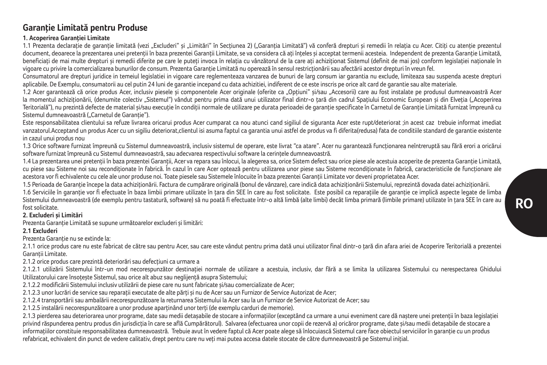## **Garanţie Limitată pentru Produse**

### **1. Acoperirea Garanţiei Limitate**

1.1 Prezenta declarație de garanție limitată (vezi "Excluderi" și "Limitări" în Secțiunea 2) ("Garanția Limitată") vă conferă drepturi și remedii în relația cu Acer. Citiți cu atenție prezentul document, deoarece la prezentarea unei pretenții în baza prezentei Garanții Limitate, se va considera că ați înteles și acceptat termenii acesteia. Independent de prezenta Garanție Limitată, beneficiați de mai multe drepturi și remedii diferite pe care le puteți invoca în relația cu vânzătorul de la care ați achiziționat Sistemul (definit de mai jos) conform legislației naționale în vigoare cu privire la comercializarea bunurilor de consum. Prezenta Garanție Limitată nu operează în sensul restricționării sau afectării acestor drepturi în vreun fel.

Consumatorul are drepturi juridice in temejul legislatiei in vigoare care reglementeaza vanzarea de bunuri de larg consum iar garantia nu exclude, limiteaza sau suspenda aceste drepturi aplicabile. De Exemplu, consumatorii au cel putin 24 luni de garantie incepand cu data achizitiei, indiferent de ce este inscris pe orice alt card de garantie sau alte materiale.

1.2 Acer garantează că orice produs Acer, inclusiv piesele şi componentele Acer originale (oferite ca "Opţiuni" şi/sau "Accesorii) care au fost instalate pe produsul dumneavoastră Acer la momentul achizitionării, (denumite colectiv "Sistemul") vândut pentru prima dată unui utilizator final dintr-o tară din cadrul Spatiului Economic European și din Elveția ("Acoperirea Teritorială"), nu prezintă defecte de material si/sau execuție în condiții normale de utilizare pe durata perioadei de garanție specificate în Carnetul de Garanție Limitată furnizat împreună cu Sistemul dumneavoastră ( Carnetul de Garantie").

Este responsabilitatea clientului sa refuze livrarea oricarui produs Acer cumparat ca nou atunci cand sigiliul de siguranta Acer este rupt/deteriorat ;in acest caz trebuie informat imediat vanzatorul.Acceptand un produs Acer cu un sigiliu deteriorat,clientul isi asuma faptul ca garantia unui astfel de produs va fi diferita(redusa) fata de conditiile standard de garantie existente in cazul unui produs nou

1.3 Orice software furnizat împreună cu Sistemul dumneavoastră, inclusiv sistemul de operare, este livrat "ca atare". Acer nu garantează funcţionarea neîntreruptă sau fără erori a oricărui software furnizat împreună cu Sistemul dumneavoastră, sau adecvarea respectivului software la cerintele dumneavoastră.

1.4 La prezentarea unei pretenții în baza prezentei Garanții, Acer va repara sau înlocui, la alegerea sa, orice Sistem defect sau orice piese ale acestuia acoperite de prezenta Garanție Limitată, cu piese sau Sisteme noi sau recondiționate în fabrică. În cazul în care Acer optează pentru utilizarea unor piese sau Sisteme recondiționate în fabrică, caracteristicile de funcționare ale acestora vor fi echivalente cu cele ale unor produse noi. Toate piesele sau Sistemele înlocuite în baza prezentei Garanţii Limitate vor deveni proprietatea Acer.

1.5 Perioada de Garanție începe la data achiziționării. Factura de cumpărare originală (bonul de vânzare), care indică data achiziționării Sistemului, reprezintă dovada datei achiziționării. 1.6 Serviciile în garanție vor fi efectuate în baza limbii primare utilizate în tara din SEE în care au fost solicitate. Este posibil ca reparațiile de garanție ce implică aspecte legate de limba Sistemului dumneavoastră (de exemplu pentru tastatură, software) să nu poată fi efectuate într-o altă limbă (alte limbi) decât limba primară (limbile primare) utilizate în tara SEE în care au fost solicitate.

### **2. Excluderi şi Limitări**

Prezenta Garanție Limitată se supune următoarelor excluderi și limitări:

### **2.1 Excluderi**

Prezenta Garantie nu se extinde la:

2.1.1 orice produs care nu este fabricat de către sau pentru Acer, sau care este vândut pentru prima dată unui utilizator final dintr-o tară din afara ariei de Acoperire Teritorială a prezentei Garantii Limitate.

### 2.1.2 orice produs care prezintă deteriorări sau defecțiuni ca urmare a

2.1.2.1 utilizării Sistemului într-un mod necorespunzător destinatiei normale de utilizare a acestuia, inclusiv, dar fără a se limita la utilizarea Sistemului cu nerespectarea Ghidului Utilizatorului care însoteste Sistemul, sau orice alt abuz sau neglijență asupra Sistemului;

2.1.2.2 modificării Sistemului inclusiv utilizării de piese care nu sunt fabricate şi/sau comercializate de Acer;

2.1.2.3 unor lucrări de service sau reparații executate de alte părți și nu de Acer sau un Furnizor de Service Autorizat de Acer;

2.1.2.4 transportării sau ambalării necorespunzătoare la returnarea Sistemului la Acer sau la un Furnizor de Service Autorizat de Acer; sau

2.1.2.5 instalării necorespunzătoare a unor produse aparținând unor terți (de exemplu carduri de memorie).

2.1.3 pierderea sau deteriorarea unor programe, date sau medii detaşabile de stocare a informaţiilor (exceptând ca urmare a unui eveniment care dă naştere unei pretenţii în baza legislaţiei privind răspunderea pentru produs din jurisdicția în care se află Cumpărătorul). Salvarea (efectuarea unor copii de rezervă a) oricăror programe, date si/sau medii detașabile de stocare a informaţiilor constituie responsabilitatea dumneavoastră. Trebuie avut în vedere faptul că Acer poate alege să înlocuiască Sistemul care face obiectul serviciilor în garanţie cu un produs refabricat, echivalent din punct de vedere calitativ, drept pentru care nu veți mai putea accesa datele stocate de către dumneavoastră pe Sistemul inițial.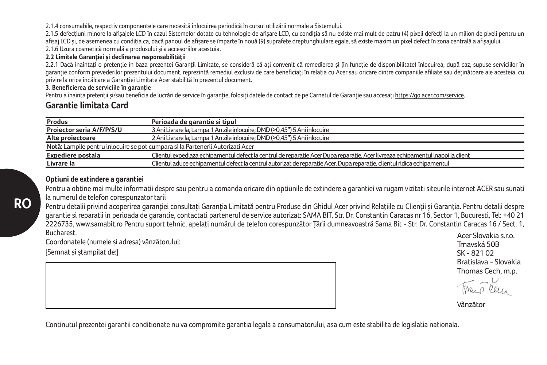2.1.4 consumabile, respectiv componentele care necesită înlocuirea periodică în cursul utilizării normale a Sistemului.

2.1.5 defectiuni minore la afisajele LCD în cazul Sistemelor dotate cu tehnologie de afisare LCD, cu condiția să nu existe mai mult de patru (4) pixeli defecți la un milion de pixeli pentru un afișaj LCD și, de asemenea cu condiția ca, dacă panoul de afișare se împarte în nouă (9) suprafețe dreptunghiulare egale, să existe maxim un pixel defect în zona centrală a afișajului.

2.1.6 Uzura cosmetică normală a produsului și a accesoriilor acestuia.

## **2.2 Limitele Garanţiei şi declinarea responsabilităţii**

2.2.1 Dacă înaintați o pretenție în baza prezentei Garanții Limitate, se consideră că ați convenit că remedierea și (în funcție de disponibilitate) înlocuirea, după caz, supuse serviciilor în garanţie conform prevederilor prezentului document, reprezintă remediul exclusiv de care beneficiaţi în relaţia cu Acer sau oricare dintre companiile afiliate sau deţinătoare ale acesteia, cu privire la orice încălcare a Garanției Limitate Acer stabilită în prezentul document.

### **3. Beneficierea de serviciile în garanţie**

Pentru a înainta pretenții si/sau beneficia de lucrări de service în garanție, folosiți datele de contact de pe Carnetul de Garanție sau accesați https://go.acer.com/service.

## **Garantie limitata Card**

| Produs                    | Perioada de garantie si tipul                                                                                                   |
|---------------------------|---------------------------------------------------------------------------------------------------------------------------------|
| Projector seria A/F/P/S/U | 3 Ani Livrare la: Lampa 1 An zile inlocuire: DMD (>0.45") 5 Ani inlocuire                                                       |
| Alte proiectoare          | 2 Ani Livrare la: Lampa 1 An zile inlocuire: DMD (>0.45") 5 Ani inlocuire                                                       |
|                           | Notă: Lampile pentru inlocuire se pot cumpara și la Partenerii Autorizati Acer                                                  |
| Expediere postala         | Clientul expediaza echipamentul defect la centrul de reparatie Acer Dupa reparatie, Acer livreaza echipamentul inapoi la client |
| Livrare la                | Clientul aduce echipamentul defect la centrul autorizat de reparatie Acer. Dupa reparatie, clientul ridica echipamentul         |

### **Optiuni de extindere a garantiei**

Pentru a obtine mai multe informatii despre sau pentru a comanda oricare din optiunile de extindere a garantiei va rugam vizitati siteurile internet ACER sau sunati la numerul de telefon corespunzator tarii

Pentru detalii privind acoperirea garantiei consultați Garanția Limitată pentru Produse din Ghidul Acer privind Relațiile cu Clienții și Garanția. Pentru detalii despre garantie si reparatii in perioada de garantie, contactati partenerul de service autorizat: SAMA BIT, Str. Dr. Constantin Caracas nr 16, Sector 1, Bucuresti, Tel: +40 21 2226735, www.samabit.ro Pentru suport tehnic, apelaţi numărul de telefon corespunzător Ţării dumneavoastră Sama Bit - Str. Dr. Constantin Caracas 16 / Sect. 1, Bucharest. Acer Slovakia s.r.o.

Coordonatele (numele și adresa) vânzătorului:

[Semnat şi ştampilat de:]

**RO**

Trnavská 50B SK - 821 02 Bratislava - Slovakia Thomas Cech, m.p.

ru o leu

Vânzător

Continutul prezentei garantii conditionate nu va compromite garantia legala a consumatorului, asa cum este stabilita de legislatia nationala.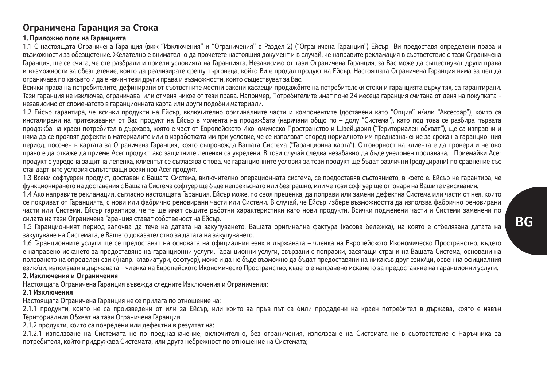## **Ограничена Гаранция за Стока**

### **1. Приложно поле на Гаранцията**

1.1 С настоящата Ограничена Гаранция (виж "Изключения" и "Ограничения" в Раздел 2) ("Ограничена Гаранция") Ейсър Ви предоставя определени права и възможности за обезщетение. Желателно е внимателно да прочетете настоящия документ и в случай, че направите рекламация в съответствие с тази Ограничена Гаранция, ще се счита, че сте разбрали и приели условията на Гаранцията. Независимо от тази Ограничена Гаранция, за Вас може да съществуват други права и възможности за обезщетение, които да реализирате срещу търговеца, който Ви е продал продукт на Ейсър. Настоящата Ограничена Гаранция няма за цел да ограничава по какъвто и да е начин тези други права и възможности, които съществуват за Вас.

Всички права на потребителите, дефинирани от съответните местни закони касаещи продажбите на потребителски стоки и гаранцията върху тях, са гарантирани. Тази гаранция не изключва, ограничава или отменя никое от тези права. Например, Потребителите имат поне 24 месеца гаранция считана от деня на покупката независимо от споменатото в гаранционната карта или други подобни материали.

1.2 Ейсър гарантира, че всички продукти на Ейсър, включително оригиналните части и компонентите (доставени като "Опция" и/или "Аксесоар"), които са инсталирани на притежавания от Вас продукт на Ейсър в момента на продажбата (наричани общо по – долу "Система"), като под това се разбира първата продажба на краен потребител в държава, която е част от Европейското Икономическо Пространство и Швейцария ("Териториален обхват"), ще са изправни и няма да се проявят дефекти в материалите или в изработката им при условие, че се използват според нормалното им предназначение за срока на гаранционния период, посочен в картата за Ограничена Гаранция, която съпровожда в селото съпровери в селото съпровери и неговорност на клиента е да провери и неговорност на клиента е да провери и неговорност на клиента е да провери и право е да откаже да приеме Acer продукт, ако защитните лепенки са увредени. В този случай следва незабавно да бъде уведомен продавача. Приемайки Acer продукт с увредена защитна лепенка, клиентът се съгласява с това, че гаранционните условия за този продукт ще бъдат различни (редуцирани) по сравнение със стандартните условия съпътстващи всеки нов Acer продукт.

1.3 Всеки софтуерен продукт, доставен с Вашата Система, включително операционната система, се предоставяв състоянието, в което е. Ейсър не гарантира, че функционирането на доставения с Вашата Система софтуер ще бъде непрекъснато или безгрешно, или че този софтуер ще отговаря на Вашите изисквания.

1.4 Ако направите рекламация, съгласно настоящата Гаранция, Ейсър може, по своя преценка, да поправи или замени дефектна Система или части от нея, които се покриват от Гаранцията, с нови или фабрично реновирани части или Системи. В случай, че Ейсър избере възможността да използва фабрично реновирани части или Системи, Ейсър гарантира, че те ще имат същите работни характеристики като нови продукти. Всички подменени части и Системи заменени по силата на тази Ограничена Гаранция стават собственост на Ейсър.

1.5 Гаранционният период започва да тече на датата на закупуването. Вашата оригинална фактура (касова бележка), на която е отбелязана датата на закупуване на Системата, е Вашето доказателство за датата на закупуването.

1.6 Гаранционните услуги ще се предоставят на основата на официалния език в държавата – членка на Европейското Икономическо Пространство, където е направено искането за предоставяне на гаранционни услуги. Гаранционни услуги, свързани с поправки, засягащи страни на Вашата Система, основани на ползването на определен език (напр. клавиатури, софтуер), може и да не бъде възможно да бъдат предоставяни на никакъв друг език/ци, освен на официалния език/ци, използван в държавата – членка на Европейското Икономическо Пространство, където е направено искането за предоставяне на гаранционни услуги. **2. Изключения и Ограничения**

Настоящата Ограничена Гаранция въвежда следните Изключения и Ограничения:

### **2.1 Изключения**

Настоящата Ограничена Гаранция не се прилага по отношение на:

2.1.1 продукти, които не са произведени от или за Ейсър, или които за пръв път са били продадени на краен потребител в държава, която е извън Териториалния Обхват на тази Ограничена Гаранция.

2.1.2 продукти, които са повредени или дефектни в резултат на:

2.1.2.1 използване на Системата не по предназначение, включително, без ограничения, използване на Системата не в съответствие с Наръчника за потребителя, който придружава Системата, или друга небрежност по отношение на Системата;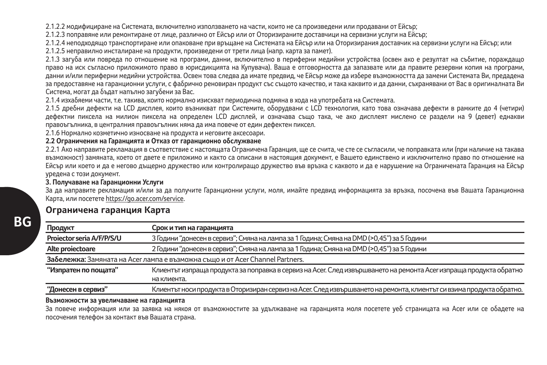2.1.2.2 модифициране на Системата, включително използването на части, които не са произведени или продавани от Ейсър;

2.1.2.3 поправяне или ремонтиране от лице, различно от Ейсър или от Оторизираните доставчици на сервизни услуги на Ейсър;

2.1.2.4 неподходящо транспортиране или опаковане при връщане на Системата на Ейсър или на Оторизирания доставчик на сервизни услуги на Ейсър; или 2.1.2.5 неправилно инсталиране на продукти, произведени от трети лица (напр. карта за памет).

2.1.3 загуба или повреда по отношение на програми, данни, включително в периферни медийни устройства (освен ако е резултат на събитие, пораждащо право на иск съгласно приложимото право в юрисдикцията на Купувача). Ваша е отговорността да запазвате или да правите резервни копия на програми, данни и/или периферни медийни устройства. Освен това следва да имате предвид, че Ейсър може да избере възможността да замени Системата Ви, предадена за предоставяне на гаранционни услуги, с фабрично реновиран продукт със същото качество, и така каквито и да данни, съхранявани от Вас в оригиналната Ви Система, могат да бъдат напълно загубени за Вас.

2.1.4 изхабяеми части, т.е. такива, които нормално изискват периодична подмяна в хода на употребата на Системата.

2.1.5 дребни дефекти на LCD дисплея, които възникват при Системите, оборудвани с LCD технология, като това означава дефекти в рамките до 4 (четири) дефектни пиксела на милион пиксела на определен LCD дисплей, и означава също така, че ако дисплеят мислено се раздели на 9 (девет) еднакви правоъгълника, в централния правоъгълник няма да има повече от един дефектен пиксел.

2.1.6 Нормално козметично износване на продукта и неговите аксесоари.

### **2.2 Ограничения на Гаранцията и Отказ от гаранционно обслужване**

2.2.1 Ако направите рекламация в съответствие с настоящата Ограничена Гаранция, ще се счита, че сте се съгласили, че поправката или (при наличие на такава възможност) замяната, което от двете е приложимо и както са описани в настоящия документ, е Вашето единствено и изключително право по отношение на Ейсър или което и да е негово дъщерно дружество или контролиращо дружество във връзка с каквото и да е нарушение на Ограничената Гаранция на Ейсър уредена с този документ.

**3. Получаване на Гаранционни Услуги**

За да направите рекламация и/или за да получите Гаранционни услуги, моля, имайте предвид информацията за връзка, посочена във Вашата Гаранционна Карта, или посетете https://go.acer.com/service.

## **Ограничена гаранция Карта**

| Продукт                   | Срок и тип на гаранцията                                                                                              |
|---------------------------|-----------------------------------------------------------------------------------------------------------------------|
| Projector seria A/F/P/S/U | 3 Години "донесен в сервиз"; Смяна на лампа за 1 Година; Смяна на DMD (>0,45") за 5 Години                            |
| Alte projectoare          | 2 Години "донесен в сервиз"; Смяна на лампа за 1 Година; Смяна на DMD (>0,45") за 5 Години                            |
|                           | Забележка: Замяната на Асег лампа е възможна също и от Acer Channel Partners.                                         |
| "Изпратен по пощата"      | Клиентът изпраща продукта за поправка в сервиз на Асег. След извършването на ремонта Асег изпраща продукта обратно    |
|                           | на клиента.                                                                                                           |
| "Донесен в сервиз"        | Клиентът носи продукта в Оторизиран сервиз на Асег. След извършването на ремонта, клиентът си взима продукта обратно. |

### **Възможности за увеличаване на гаранцията**

За повече информация или за заявка на някоя от възможностите за удължаване на гаранцията моля посетете уеб страницата на Acer или се обадете на посочения телефон за контакт във Вашата страна.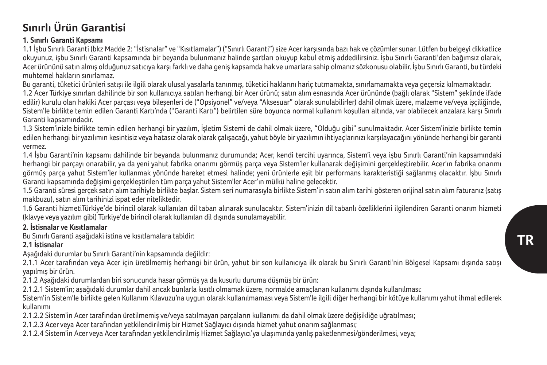## **Sınırlı Ürün Garantisi**

## **1. Sınırlı Garanti Kapsamı**

1.1 İşbu Sınırlı Garanti (bkz Madde 2: "İstisnalar" ve "Kısıtlamalar") ("Sınırlı Garanti") size Acer karşısında bazı hak ve çözümler sunar. Lütfen bu belgeyi dikkatlice okuyunuz, işbu Sınırlı Garanti kapsamında bir beyanda bulunmanız halinde şartları okuyup kabul etmiş addedilirsiniz. İşbu Sınırlı Garanti'den bağımsız olarak, Acer ürününü satın almış olduğunuz satıcıya karşı farklı ve daha geniş kapsamda hak ve umarlara sahip olmanız sözkonusu olabilir. İşbu Sınırlı Garanti, bu türdeki muhtemel hakların sınırlamaz.

Bu garanti, tüketici ürünleri satışı ile ilgili olarak ulusal yasalarla tanınmış, tüketici haklarını hariç tutmamakta, sınırlamamakta veya geçersiz kılmamaktadır.

1.2 Acer Türkiye sınırları dahilinde bir son kullanıcıya satılan herhangi bir Acer ürünü; satın alım esnasında Acer ürününde (bağlı olarak "Sistem" şeklinde ifade edilir) kurulu olan hakiki Acer parçası veya bileşenleri de ("Opsiyonel" ve/veya "Aksesuar" olarak sunulabilirler) dahil olmak üzere, malzeme ve/veya işçiliğinde, Sistem'le birlikte temin edilen Garanti Kartı'nda ("Garanti Kartı") belirtilen süre boyunca normal kullanım koşulları altında, var olabilecek arızalara karşı Sınırlı Garanti kapsamındadır.

1.3 Sistem'inizle birlikte temin edilen herhangi bir yazılım, İşletim Sistemi de dahil olmak üzere, "Olduğu gibi" sunulmaktadır. Acer Sistem'inizle birlikte temin edilen herhangi bir yazılımın kesintisiz veya hatasız olarak olarak çalışacağı, yahut böyle bir yazılımın ihtiyaçlarınızı karşılayacağını yönünde herhangi bir garanti vermez.

1.4 İşbu Garanti'nin kapsamı dahilinde bir beyanda bulunmanız durumunda; Acer, kendi tercihi uyarınca, Sistem'i veya işbu Sınırlı Garanti'nin kapsamındaki herhangi bir parçayı onarabilir, ya da yeni yahut fabrika onarımı görmüş parça veya Sistem'ler kullanarak değişimini gerçekleştirebilir. Acer'ın fabrika onarımı görmüş parça yahut Sistem'ler kullanmak yönünde hareket etmesi halinde; yeni ürünlerle eşit bir performans karakteristiği sağlanmış olacaktır. İşbu Sınırlı Garanti kapsamında değişimi gerçekleştirilen tüm parça yahut Sistem'ler Acer'ın mülkü haline gelecektir.

1.5 Garanti süresi gerçek satın alım tarihiyle birlikte başlar. Sistem seri numarasıyla birlikte Sistem'in satın alım tarihi gösteren orijinal satın alım faturanız (satış makbuzu), satın alım tarihinizi ispat eder niteliktedir.

1.6 Garanti hizmetiTürkiye'de birincil olarak kullanılan dil taban alınarak sunulacaktır. Sistem'inizin dil tabanlı özelliklerini ilgilendiren Garanti onarım hizmeti (klavye veya yazılım gibi) Türkiye'de birincil olarak kullanılan dil dışında sunulamayabilir.

## **2. İstisnalar ve Kısıtlamalar**

Bu Sınırlı Garanti aşağıdaki istina ve kısıtlamalara tabidir:

## **2.1 İstisnalar**

Aşağıdaki durumlar bu Sınırlı Garanti'nin kapsamında değildir:

2.1.1 Acer tarafından veya Acer için üretilmemiş herhangi bir ürün, yahut bir son kullanıcıya ilk olarak bu Sınırlı Garanti'nin Bölgesel Kapsamı dışında satışı yapılmış bir ürün.

2.1.2 Aşağıdaki durumlardan biri sonucunda hasar görmüş ya da kusurlu duruma düşmüş bir ürün:

2.1.2.1 Sistem'in; aşağıdaki durumlar dahil ancak bunlarla kısıtlı olmamak üzere, normalde amaçlanan kullanımı dışında kullanılması:

Sistem'in Sistem'le birlikte gelen Kullanım Kılavuzu'na uygun olarak kullanılmaması veya Sistem'le ilgili diğer herhangi bir kötüye kullanımı yahut ihmal edilerek kullanımı

2.1.2.2 Sistem'in Acer tarafından üretilmemiş ve/veya satılmayan parçaların kullanımı da dahil olmak üzere değişikliğe uğratılması;

2.1.2.3 Acer veya Acer tarafından yetkilendirilmiş bir Hizmet Sağlayıcı dışında hizmet yahut onarım sağlanması;

2.1.2.4 Sistem'in Acer veya Acer tarafından yetkilendirilmiş Hizmet Sağlayıcı'ya ulaşımında yanlış paketlenmesi/gönderilmesi, veya;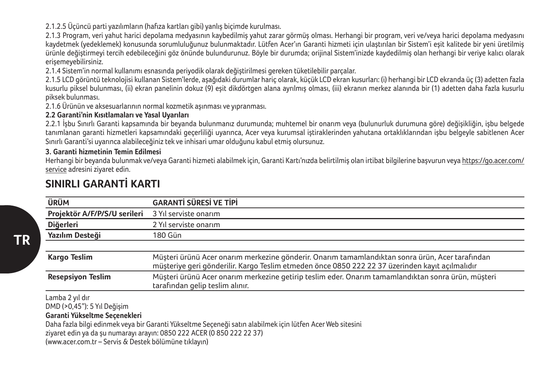2.1.2.5 Üçüncü parti yazılımların (hafıza kartları gibi) yanlış biçimde kurulması.

2.1.3 Program, veri yahut harici depolama medyasının kaybedilmiş yahut zarar görmüş olması. Herhangi bir program, veri ve/veya harici depolama medyasını kaydetmek (yedeklemek) konusunda sorumluluğunuz bulunmaktadır. Lütfen Acer'ın Garanti hizmeti için ulaştırılan bir Sistem'i eşit kalitede bir yeni üretilmiş ürünle değiştirmeyi tercih edebileceğini göz önünde bulundurunuz. Böyle bir durumda; orijinal Sistem'inizde kaydedilmiş olan herhangi bir veriye kalıcı olarak erişemeyebilirsiniz.

2.1.4 Sistem'in normal kullanımı esnasında periyodik olarak değiştirilmesi gereken tüketilebilir parçalar.

2.1.5 LCD görüntü teknolojisi kullanan Sistem'lerde, aşağıdaki durumlar hariç olarak, küçük LCD ekran kusurları: (i) herhangi bir LCD ekranda üç (3) adetten fazla kusurlu piksel bulunması, (ii) ekran panelinin dokuz (9) eşit dikdörtgen alana ayrılmış olması, (iii) ekranın merkez alanında bir (1) adetten daha fazla kusurlu piksek bulunması.

2.1.6 Ürünün ve aksesuarlarının normal kozmetik aşınması ve yıpranması.

## **2.2 Garanti'nin Kısıtlamaları ve Yasal Uyarıları**

2.2.1 İşbu Sınırlı Garanti kapsamında bir beyanda bulunmanız durumunda; muhtemel bir onarım veya (bulunurluk durumuna göre) değişikliğin, işbu belgede tanımlanan garanti hizmetleri kapsamındaki geçerliliği uyarınca, Acer veya kurumsal iştiraklerinden yahutana ortaklıklarından işbu belgeyle sabitlenen Acer Sınırlı Garanti'si uyarınca alabileceğiniz tek ve inhisari umar olduğunu kabul etmiş olursunuz.

## **3. Garanti hizmetinin Temin Edilmesi**

Herhangi bir beyanda bulunmak ve/veya Garanti hizmeti alabilmek için, Garanti Kartı'nızda belirtilmiş olan irtibat bilgilerine başvurun veya https://go.acer.com/ service adresini ziyaret edin.

| ÜRÜM                         | <b>GARANTİ SÜRESİ VE TİPİ</b>                                                                                                                                                                      |
|------------------------------|----------------------------------------------------------------------------------------------------------------------------------------------------------------------------------------------------|
| Projektör A/F/P/S/U serileri | 3 Yıl serviste onarım                                                                                                                                                                              |
| Diğerleri                    | 2 Yıl serviste onarım                                                                                                                                                                              |
| Yazılım Desteği              | 180 Gün                                                                                                                                                                                            |
|                              |                                                                                                                                                                                                    |
| <b>Kargo Teslim</b>          | Müşteri ürünü Acer onarım merkezine gönderir. Onarım tamamlandıktan sonra ürün, Acer tarafından<br>müsteriye geri gönderilir. Kargo Teslim etmeden önce 0850 222 22 37 üzerinden kayıt açılmalıdır |
| <b>Resepsiyon Teslim</b>     | Müşteri ürünü Acer onarım merkezine getirip teslim eder. Onarım tamamlandıktan sonra ürün, müşteri<br>tarafından gelip teslim alınır.                                                              |

## **SINIRLI GARANTİ KARTI**

Lamba 2 yıl dır

DMD (>0,45"): 5 Yıl Değişim

**Garanti Yükseltme Seçenekleri**

Daha fazla bilgi edinmek veya bir Garanti Yükseltme Seçeneği satın alabilmek için lütfen Acer Web sitesini

ziyaret edin ya da şu numarayı arayın: 0850 222 ACER (0 850 222 22 37)

(www.acer.com.tr – Servis & Destek bölümüne tıklayın)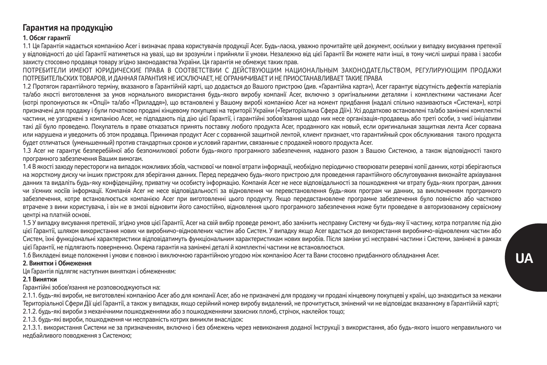## **Гарантия на продукцію**

### **1. Обсяг гарантії**

1.1 Ця Гарантія надається компанією Acer і визначає права користувачів продукції Acer. Будь-ласка, уважно прочитайте цей документ, оскільки у випадку висування претензії у відповідності до цієї Гарантії матиметься на увазі, що ви зрозуміли і прийняли її умови. Незалежно від цієї Гарантії Ви можете мати інші, в тому числі ширші права і засоби захисту стосовно продавця товару згідно законодавства України. Ця гарантія не обмежує таких прав.

ПОТРЕБИТЕЛИ ИМЕЮТ ЮРИДИЧЕСКИЕ ПРАВА В СООТВЕТСТВИИ С ДЕЙСТВУЮЩИМ НАЦИОНАЛЬНЫМ ЗАКОНОДАТЕЛЬСТВОМ, РЕГУЛИРУЮЩИМ ПРОДАЖИ ПОТРЕБИТЕЛЬСКИХ ТОВАРОВ, И ДАННАЯ ГАРАНТИЯ НЕ ИСКЛЮЧАЕТ, НЕ ОГРАНИЧИВАЕТ И НЕ ПРИОСТАНАВЛИВАЕТ ТАКИЕ ПРАВА

1.2 Протягом гарантійного терміну, вказаного в Гарантійній карті, що додається до Вашого пристрою (див. «Гарантійна карта»), Acer гарантує відсутність дефектів матеріалів та/або якості виготовлення за умов нормального використання будь-якого виробу компанії Acer, включно з оригінальними деталями і комплектними частинами Acer (котрі пропонуються як «Опції» та/або «Приладдя»), що встановлені у Вашому виробі компанією Acer на момент придбання (надалі спільно називаються «Система»), котрі призначені для продажу і були початково продані кінцевому покупцеві на території України («Територіальна Сфера Дії»). Усі додатково встановлені та/або замінені комплектні частини, не узгоджені з компанією Acer, не підпадають під дію цієї Гарантії, і гарантійні зобов'язання щодо них несе організація-продавець або треті особи, з чиєї ініціативи такі дії було проведено. Покупатель в праве отказаться принять поставку любого продукта Acer, проданного как новый, если оригинальная защитная лента Acer сорвана или нарушена и уведомить об этом продавца. Принимая продукт Acer с сорванной защитной лентой, клиент признает, что гарантийный срок обслуживания такого продукта будет отличаться (уменьшенный) против стандартных сроков и условий гарантии, связанные с продажей нового продукта Acer.

1.3 Acer не гарантує безперебійної або безпомилкової роботи будь-якого програмного забезпечення, наданого разом з Вашою Системою, а також відповідності такого програмного забезпечення Вашим вимогам.

1.4 В якості заходу перестороги на випадок можливих збоїв, часткової чи повної втрати інформації, необхідно періодично створювати резервні копії данних, котрі зберігаються на жорсткому диску чи інших пристроях для зберігання данних. Перед передачею будь-якого пристрою для проведення гарантійного обслуговування виконайте архівування данних та видаліть будь-яку конфіденційну, приватну чи особисту інформацію. Компанія Acer не несе відповідальності за пошкодження чи втрату будь-яких програм, данних чи з'ємних носіїв інформації. Компанія Acer не несе відповідальності за відновлення чи перевстановлення будь-яких програм чи данних, за виключенням програмного забезпечення, котре встановлюється компанією Acer при виготовленні цього продукту. Якщо передвстановлене програмне забезпечення було повністю або частково втрачене з вини користувача, і він не в змозі відновити його самостійно, відновлення цього програмного забезпечення може бути проведене в авторизованому сервісному центрі на платній основі.

1.5 У випадку висування претензії, згідно умов цієї Гарантії, Acer на свій вибір проведе ремонт, або замінить несправну Систему чи будь-яку її частину, котра потрапляє під дію цієї Гарантії, шляхом використання нових чи виробничо-відновлених частин або Систем. У випадку якщо Acer вдасться до використання виробничо-відновлених частин або Систем, їхні функціональні характеристики відповідатимуть функціональним характеристикам нових виробів. Після заміни усі несправні частини і Системи, замінені в рамках цієї Гарантії, не підлягають поверненню. Окрема гарантія на замінені деталі й комплектні частини не встановлюється.

1.6 Викладені вище положення і умови є повною і виключною гарантійною угодою між компанією Acer та Вами стосовно придбанного обладнання Acer.

### **2. Винятки і Обмеження**

Ця Гарантія підлягяє наступним виняткам і обмеженням:

#### **2.1 Винятки**

Гарантійні зобов'язання не розповсюджуються на:

2.1.1. будь-які вироби, не виготовлені компанією Acer або для компанії Acer, або не призначені для продажу чи продані кінцевому покупцеві у країні, що знаходиться за межами Територіальної Сфери Дії цієї Гарантії, а також у випадках, якщо серійний номер виробу видалений, не прочитується, змінений чи не відповідає вказанному в Гарантійній карті;

2.1.2. будь-які вироби з механічними пошкодженнями або з пошкодженнями захисних пломб, стрічок, наклейок тощо;

2.1.3. будь-які вироби, пошкодження чи несправність котрих виникли внаслідок:

2.1.3.1. використання Системи не за призначенням, включно і без обмежень через невиконання доданої Інструкції з використання, або будь-якого іншого неправильного чи недбайливого поводження з Системою;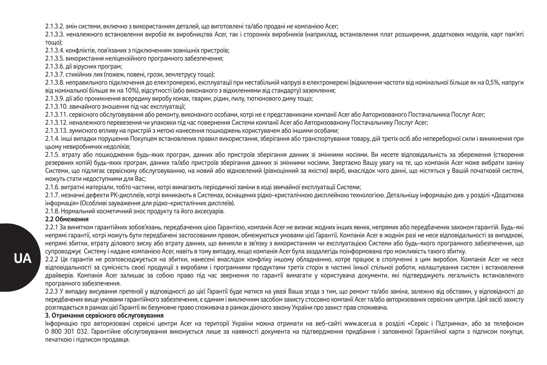2.1.3.2. змін системи, включно з використанням деталей, що виготовлені та/або продані не компанією Acer;

2.1.3.3. неналежного встановлення виробів як виробництва Acer, так і сторонніх виробників (наприклад, встановлення плат розширення, подінивник модулів, карт пам'яті, тощо);

2.1.3.4. конфліктів, пов'язаних з підключенням зовнішніх пристроїв;

2.1.3.5. використання неліцензійного програмного забезпечення;

2.1.3.6. дії вірусних програм;

2.1.3.7. стихійних лих (пожеж, повені, грози, землетрусу тощо);

2.1.3.8. неправильного підключення до електромережі, експлуатації при нестабільній напрузі в електромережі (відхилення частоти від номінальної більше як на 0,5%, напруги від номінальної більше як на 10%), відсутності (або виконаного з відхиленнями від стандарту) заземлення;

2.1.3.9. дії або проникнення всередину виробу комах, тварин, рідин, пилу, тютюнового диму тощо;

2.1.3.10. звичайного зношення під час експлуатації;

2.1.3.11. сервісного обслуговування або ремонту, виконаного особами, котрі не є представниками компанії Acer або Авторизованого Постачальника Послуг Acer;

2.1.3.12. неналежного перевезення чи упаковки під час повернення Системи компанії Acer або Авторизованому Постачальнику Послуг Acer;

2.1.3.13. зумисного впливу на пристрій з метою нанесення пошкоджень користувачем або іншими особами;

2.1.4. інші випадки порушення Покупцем встановлених правил використання, зберігання або транспортування товару, дій третіх осіб або непереборної сили і виникнення при цьому невиробничих недоліків;

2.1.5. втрату або пошкодження будь-яких програм, данних або пристроїв зберігання данних зі змінними носіями. Ви несете відповідальність за збереження (створення резервних копій) будь-яких програм, данних та/або пристроїв зберігання данних зі змінними носіями. Звертаємо Вашу увагу на те, що компанія Acer може вибрати заміну Системи, що підлягає сервісному обслуговуванню, на новий або відновлений (рівноцінний за якістю) виріб, внаслідок чого данні, що містяться у Вашій початковій системі, можуть стати недоступними для Вас;

2.1.6. витратні матеріали, тобто частини, котрі вимагають періодичної заміни в ході звичайної експлуатації Системи;

2.1.7. незначні дефекти РК-дисплеїв, котрі виникають в Системах, оснащених рідко-кристалічною дисплейною технологією. Детальнішу інформацію див. у розділі «Додаткова інформація» (Особливі зауваження для рідко-кристалічних дисплеїв).

2.1.8. Нормальний косметичний знос продукту та його аксесуарів.

### **2.2 Обмеження**

2.2.1 За винятком гарантійних зобов'язань, передбачених цією Гарантією, компанія Acer не визнає жодних інших явних, непрямих або передбачених законом гарантій. Будь-які непрямі гарантії, котрі можуть бути передбачені застосованим правом, обмежуються умовами цієї Гарантії. Компанія Acer в жоднім разі не несе відповідальності за випадкові, непрямі збитки, втрату ділового зиску або втрату данних, що виникли в зв'язку з використанням чи експлуатацією Системи або будь-якого програмного забезпечення, що супроводжує Систему і надане компанією Acer, навіть в тому випадку, якщо компанія Acer була заздалегідь поінформована про можливість такого збитку.

2.2.2 Ця гарантія не розповсюджується на збитки, нанесені внаслідок конфліку іншому обладнанню, котре працює в сполученні з цим виробом. Компанія Acer не несе відповідальності за сумісність своєї продукції з виробами і програмними продуктами третіх сторін в частині їхньої спільної роботи, налаштування систем і встановлення драйверів. Компанія Acer залишає за собою право під час звернення по гарантії вимагати у користувача документи, які підтверджують легальність встановленого програмного забезпечення.

2.2.3 У випадку висування претензії у відповідності до цієї Гарантії буде матися на увазі Ваша згода з тим, що ремонт та/або заміна, залежно від обставин, у відповідності до передбачених вище умовами гарантійного забезпечення, є єдиним і виключним засобом захисту стосовно компанії Acer та/або авторизованих сервісних центрів. Цей засіб захисту розглядається в рамках цієї Гарантії як безумовне право споживача в рамках діючого закону України про захист прав споживача.

#### **3. Отримання сервісного обслуговування**

Інформацію про авторизовані сервісні центри Acer на території України можна отримати на веб-сайті www.acer.ua в розділі «Сервіс і Підтримка», або за телефоном 0 800 301 032. Гарантійне обслуговування виконується лише за наявності документа на підтвердження придбання і заповненої Гарантійної карти з підписом покупця, печаткою і підписом продавця.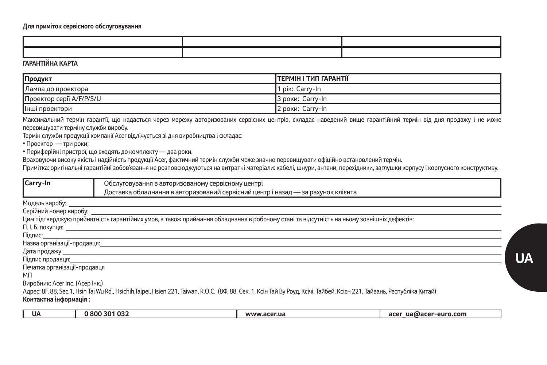### **Для приміток сервісного обслуговування**

### **ГАРАНТІЙНА КАРТА**

| Продукт                  | <b>TEPMIH I TUIT FAPAHTII</b> |
|--------------------------|-------------------------------|
| Лампа до проектора       | DIK:<br>: Carrv-In            |
| Проектор серії A/F/P/S/U | 3 роки: Carry-In              |
| Інші проектори           | 2 роки: Carry-In              |

Максимальний термін гарантії, що надається через мережу авторизованих сервісних центрів, складає наведений вище гарантійний термін від дня продажу і не може перевищувати терміну служби виробу.

Термін служби продукції компанії Acer відлічується зі дня виробництва і складає:

• Проектор — три роки;

• Периферійні пристрої, що входять до комплекту — два роки.

Враховуючи високу якість і надійність продукції Acer, фактичний термін служби може значно перевищувати офіційно встановлений термін.

Примітка: оригінальні гарантійні зобов'язання не розповсюджуються на витратні матеріали: кабелі, шнури, антени, перехідники, заглушки корпусу і корпусного конструктиву.

| Carry-In | Обслуговування в авторизованому сервісному центрі                                             |  |
|----------|-----------------------------------------------------------------------------------------------|--|
|          | ставка обладнання в авторизований сервісний центр<br>Дос<br>і назал —<br>- за рахунок клієнта |  |

Модель виробу:

Серійний номер виробу: Цим підтверджую прийнятність гарантійних умов, а також приймання обладнання в робочому стані та відсутність на ньому зовнішніх дефектів:

П. І. Б. покупця:

Підпис:

Назва організації-продавця:

Дата продажу:

Підпис продавця:

Печатка організації-продавця

МП

Виробник: Acer Inc. (Асер Інк.)

Адрес: 8F, 88, Sec.1, Hsin Tai Wu Rd., Hsichih,Taipei, Hsien 221, Taiwan, R.O.C. (8Ф, 88, Сек. 1, Ксін Тай Ву Роуд, Ксічі, Тайбей, Ксієн 221, Тайвань, Республіка Китай)

### **Контактна інформація :**

| UA | 0800301032 | www.acer.ua | acer<br>ua@acer-euro.com |
|----|------------|-------------|--------------------------|
|    |            |             |                          |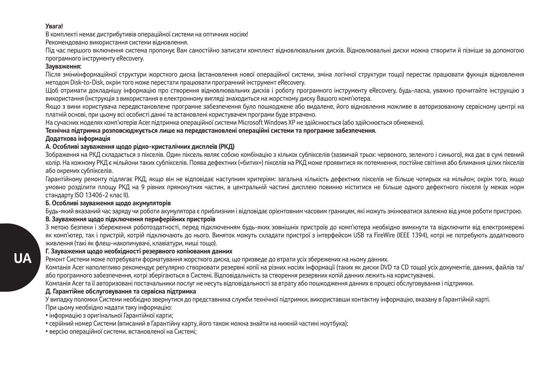### **Увага!**

В комплекті немає дистрибутивів операційної системи на оптичних носіях!

Рекомендовано використання системи відновлення.

Під час першого включення система пропонує Вам самостійно записати комплект відновлювальних дисків. Відновлювальні диски можна створити й пізніше за допомогою програмного інструменту eRecovery.

#### **Зауваження:**

Після зміниінформаційної структури жорсткого диска (встановлення нової операційної системи, зміна логічної структури тощо) перестає працювати фукнція відновлення методом Disk-to-Disk, окрім того може перестати працювати програмний інструмент eRecovery.

Щоб отримати докладнішу інформацію про створення відновлювальних дисків і роботу програмного інструменту eRecovery, будь-ласка, уважно прочитайте інструкцію з використання (інструкція з використання в електронному вигляді знаходиться на жорсткому диску Вашого комп'ютера.

Якщо з вини користувача передвстановлене програмне забезпечення було пошкоджене або видалене, його відновлення можливе в авторизованому сервісному центрі на платній основі, при цьому всі особисті данні та встановлені користувачем програми буде втрачено.

На сучасних моделях комп'ютерів Acer підтримка операційної системи Microsoft Windows XP не здійснюється (або здійснюється обмежено).

#### **Технічна підтримка розповсюджується лише на передвстановлені операційні системи та програмне забезпечення. Додаткова інформація**

### **А. Особливі зауваження щодо рідко-кристалічних дисплеїв (РКД)**

Зображення на РКД складається з пікселів. Один піксель являє собою комбінацію з кількох субпікселів (зазвичай трьох: червоного, зеленого і синього), яка дає в сумі певний колір. На кожному РКД є мільйони таких субпікселів. Поява дефектних («битих») пікселів на РКД може проявитися як потемнення, постійне світіння або блимання цілих пікселів або окремих субпікселів.

Гарантійному ремонту підлягає РКД, якщо він не відповідає наступним критеріям: загальна кількість дефектних пікселів не більше чотирьох на мільйон; окрім того, якщо умовно розділити площу РКД на 9 рівних прямокутних частин, в центральній частині дисплею повинно міститися не більше одного дефектного пікселя (у межах норм стандарту ISO 13406-2 клас II).

### **Б. Особливі зауваження щодо акумуляторів**

Будь-який вказаний час заряду чи роботи акумулятора є приблизним і відповідає орієнтовним часовим границям, які можуть змінюватися залежно від умов роботи пристрою.

### **В. Зауваження щодо підключення периферійних пристроїв**

З метою безпеки і збереження роботоздатності, перед підключенням будь-яких зовнішніх пристроїв до комп'ютера необхідно вимкнути та відключити від електромережі як комп'ютер, так і пристрій, котрій підключають до нього. Виняток можуть складати пристрої з інтерфейсом USB та FireWire (IEEE 1394), котрі не потребують додаткового живлення (такі як флеш-накопичувачі, клавіатури, миші тощо).

### **Г. Зауваження щодо необхідності резервного копіювання данних**

Ремонт Системи може потребувати форматування жорсткого диска, що призведе до втрати усіх збережених на ньому данних.

Компанія Acer наполегливо рекомендує регулярно створювати резервні копії на різних носіях інформації (таких як диски DVD та CD тощо) усіх документів, данних, файлів та/ або програмного забезпечення, котрі зберігаються в Системі. Відповідальність за створення резервних копій данних лежить на користувачеві.

Компанія Acer та її авторизовані постачальники послуг не несуть відповідальності за втрату або пошкодження данних в процесі обслуговування і підтримки.

## **Д. Гарантійне обслуговування та сервісна підтримка**

У випадку поломки Системи необхідно звернутися до представника служби технічної підтримки, використавши контактну інформацію, вказану в Гарантійній карті. При цьому необхідно надати таку інформацію:

- інформацію з оригінальної Гарантійної карти;
- серійний номер Системи (вписаний в Гарантійну карту, його також можна знайти на нижній частині ноутбука);
- версію операційної системи, встановленої на Системі;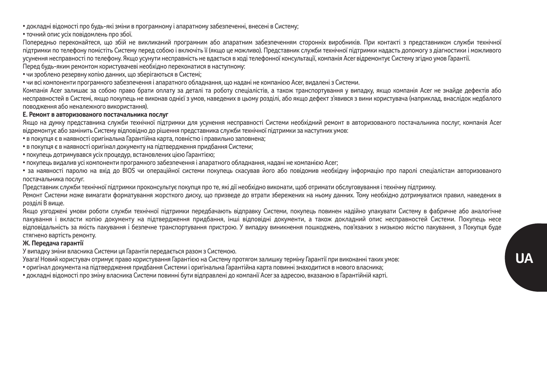• докладні відомості про будь-які зміни в програмному і апаратному забезпеченні, внесені в Систему;

• точний опис усіх повідомлень про збої.

Попередньо переконайтеся, що збій не викликаний програмним або апаратним забезпеченням сторонніх виробників. При контакті з представником служби технічної підтримки по телефону помістіть Систему перед собою і включіть її (якщо це можливо). Представник служби технічної підтримки надасть допомогу з діагностики і можливого усунення несправності по телефону. Якщо усунути несправність не вдається в ході телефонної консультації, компанія Acer відремонтує Систему згідно умов Гарантії.

Перед будь-яким ремонтом користувачеві необхідно переконатися в наступному:

• чи зроблено резервну копію данних, що зберігаються в Системі;

• чи всі компоненти програмного забезпечення і апаратного обладнання, що надані не компанією Acer, видалені з Системи.

Компанія Acer залишає за собою право брати оплату за деталі та роботу спеціалістів, а також транспортування у випадку, якщо компанія Acer не знайде дефектів або несправностей в Системі, якщо покупець не виконав однієї з умов, наведених в цьому розділі, або якщо дефект з'явився з вини користувача (наприклад, внаслідок недбалого поводження або неналежного використання).

#### **Е. Ремонт в авторизованого постачальника послуг**

Якщо на думку представника служби технічної підтримки для усунення несправності Системи необхідний ремонт в авторизованого постачальника послуг, компанія Acer відремонтує або замінить Систему відповідно до рішення представника служби технічної підтримки за наступних умов:

- в покупця є в наявності оригінальна Гарантійна карта, повністю і правильно заповнена;
- в покупця є в наявності оригінал документу на підтвердження придбання Системи;
- покупець дотримувався усіх процедур, встановлених цією Гарантією;
- покупець видалив усі компоненти програмного забезпечення і апаратного обладнання, надані не компанією Acer;

• за наявності паролю на вхід до BIOS чи операційної системи покупець скасував його або повідомив необхідну інформацію про паролі спеціалістам авторизованого постачальника послуг.

Представник служби технічної підтримки проконсультує покупця про те, які дії необхідно виконати, щоб отримати обслуговування і технічну підтримку.

Ремонт Системи може вимагати форматування жорсткого диску, що призведе до втрати збережених на ньому данних. Тому необхідно дотримуватися правил, наведених в розділі B вище.

Якщо узгоджені умови роботи служби технічної підтримки передбачають відправку Системи, покупець повинен надійно упакувати Систему в фабричне або аналогічне пакування і вкласти копію документу на підтвердження придбання, інші відповідні документи, а також докладний опис несправностей Системи. Покупець несе відповідальність за якість пакування і безпечне транспортування пристрою. У випадку виникнення пошкоджень, пов'язаних з низькою якістю пакування, з Покупця буде стягнено вартість ремонту.

### **Ж. Передача гарантії**

У випадку зміни власника Системи ця Гарантія передається разом з Системою.

Увага! Новий користувач отримує право користування Гарантією на Систему протягом залишку терміну Гарантії при виконанні таких умов:

• оригінал документа на підтвердження придбання Системи і оригінальна Гарантійна карта повинні знаходитися в нового власника;

• докладні відомості про зміну власника Системи повинні бути відправлені до компанії Acer за адресою, вказаною в Гарантійній карті.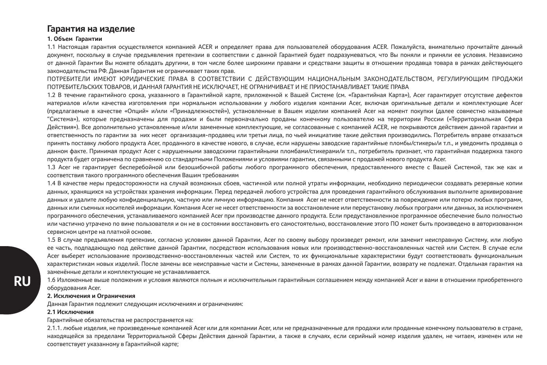## **Гарантия на изделие**

#### **1. Объем Гарантии**

1.1 Настоящая гарантия осуществляется компанией ACER и определяет права для пользователей оборудования ACER. Пожалуйста, внимательно прочитайте данный документ, поскольку в случае предъявления претензии в соответствии с данной Гарантией будет подразумеваться, что Вы поняли и приняли ее условия. Независимо от данной Гарантии Вы можете обладать другими, в том числе более широкими правами и средствами защиты в отношении продавца товара в рамках действующего законодательства РФ. Данная Гарантия не ограничивает таких прав.

ПОТРЕБИТЕЛИ ИМЕЮТ ЮРИДИЧЕСКИЕ ПРАВА В СООТВЕТСТВИИ С ДЕЙСТВУЮЩИМ НАЦИОНАЛЬНЫМ ЗАКОНОДАТЕЛЬСТВОМ, РЕГУЛИРУЮЩИМ ПРОДАЖИ ПОТРЕБИТЕЛЬСКИХ ТОВАРОВ, И ДАННАЯ ГАРАНТИЯ НЕ ИСКЛЮЧАЕТ, НЕ ОГРАНИЧИВАЕТ И НЕ ПРИОСТАНАВЛИВАЕТ ТАКИЕ ПРАВА

1.2 В течение гарантийного срока, указанного в Гарантийной карте, приложенной к Вашей Системе (см. «Гарантийная Карта»), Acer гарантирует отсутствие дефектов материалов и/или качества изготовления при нормальном использовании у любого изделия компании Acer, включая оригинальные детали и комплектующие Acer (предлагаемые в качестве «Опций» и/или «Принадлежностей»), установленные в Вашем изделии компанией Acer на момент покупки (далее совместно называемые "Система»), которые предназначены для продажи и были первоначально проданы конечному пользователю на территории России («Территориальная Сфера Действия»). Все дополнительно установленные и/или замененные комплектующие, не согласованные с компанией ACER, не покрываются действием данной гарантии и ответственность по гарантии за них несет организация-продавец или третьи лица, по чьей инициативе такие действия производились. Потребитель вправе отказаться принять поставку любого продукта Acer, проданного в качестве нового, в случае, если нарушены заводские гарантийные пломбы/стикеры/и т.п., и уведомить продавца о данном факте. Принимая продукт Acer с нарушенными заводскими гарантийными пломбами/стикерами/и т.п., потребитель признает, что гарантийная поддержка такого продукта будет ограничена по сравнению со стандартными Положениями и условиями гарантии, связанными с продажей нового продукта Acer.

1.3 Acer не гарантирует бесперебойной или безошибочной работы любого программного обеспечения, предоставленного вместе с Вашей Системой, так же как и соответствия такого программного обеспечения Вашим требованиям

1.4 В качестве меры предосторожности на случай возможных сбоев, частичной или полной утраты информации, необходимо периодически создавать резервные копии данных, хранящихся на устройствах хранения информации. Перед передачей любого устройства для проведения гарантийного обслуживания выполните архивирование данных и удалите любую конфиденциальную, частную или личную информацию. Компания Acer не несет ответственности за повреждение или потерю любых программ, данных или съемных носителей информации. Компания Acer не несет ответственности за восстановление или переустановку любых программ или данных, за исключением программного обеспечения, устанавливаемого компанией Acer при производстве данного продукта. Если предустановленное программное обеспечение было полностью или частично утрачено по вине пользователя и он не в состоянии восстановить его самостоятельно, восстановление этого ПО может быть произведено в авторизованном сервисном центре на платной основе.

1.5 В случае предъявления претензии, согласно условиям данной Гарантии, Acer по своему выбору произведет ремонт, или заменит неисправную Систему, или любую ее часть, подпадающую под действие данной Гарантии, посредством использования новых или производственно-восстановленных частей или Систем. В случае если Acer выберет использование производственно-восстановленных частей или Систем, то их функциональные характеристики будут соответствовать функциональным характеристикам новых изделий. После замены все неисправные части и Системы, замененные в рамках данной Гарантии, возврату не подлежат. Отдельная гарантия на заменённые детали и комплектующие не устанавливается.

1.6 Изложенные выше положения и условия являются полным и исключительным гарантийным соглашением между компанией Acer и вами в отношении приобретенного оборудования Acer.

### **2. Исключения и Ограничения**

Данная Гарантия подлежит следующим исключениям и ограничениям:

#### **2.1 Исключения**

Гарантийные обязательства не распространяется на:

2.1.1. любые изделия, не произведенные компанией Acer или для компании Acer, или не предназначенные для продажи или проданные конечному пользователю в стране, находящейся за пределами Территориальной Сферы Действия данной Гарантии, а также в случаях, если серийный номер изделия удален, не читаем, изменен или не соответствует указанному в Гарантийной карте;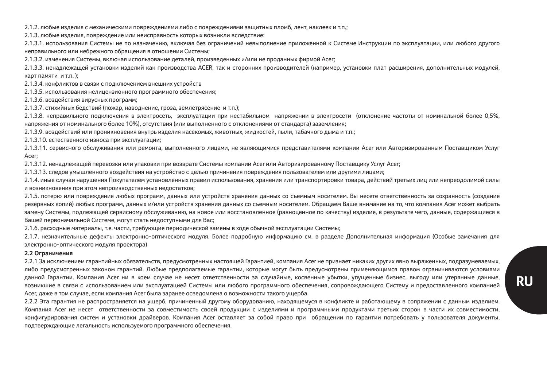2.1.2. любые изделия с механическими повреждениями либо с повреждениями защитных пломб, лент, наклеек и т.п.;

2.1.3. любые изделия, повреждение или неисправность которых возникли вследствие:

2.1.3.1. использования Системы не по назначению, включая без ограничений невыполнение приложенной к Системе Инструкции по эксплуатации, или любого другого неправильного или небрежного обращения в отношении Системы;

2.1.3.2. изменения Системы, включая использование деталей, произведенных и/или не проданных фирмой Acer;

2.1.3.3. ненадлежащей установки изделий как производства ACER, так и сторонних производителей (например, установки плат расширения, дополнительных модулей, карт памяти и т.п. );

2.1.3.4. конфликтов в связи с подключением внешних устройств

2.1.3.5. использования нелицензионного программного обеспечения;

2.1.3.6. воздействия вирусных программ;

2.1.3.7. стихийных бедствий (пожар, наводнение, гроза, землетрясение и т.п.);

2.1.3.8. неправильного подключения в электросеть, эксплуатации при нестабильном напряжении в электросети (отклонение частоты от номинальной более 0,5%, напряжения от номинального более 10%), отсутствия (или выполненного с отклонениями от стандарта) заземления;

2.1.3.9. воздействий или проникновения внутрь изделия насекомых, животных, жидкостей, пыли, табачного дыма и т.п.;

2.1.3.10. естественного износа при эксплуатации;

2.1.3.11. сервисного обслуживания или ремонта, выполненного лицами, не являющимися представителями компании Acer или Авторизированным Поставщиком Услуг Acer;

2.1.3.12. ненадлежащей перевозки или упаковки при возврате Системы компании Acer или Авторизированному Поставщику Услуг Acer;

2.1.3.13. следов умышленного воздействия на устройство с целью причинения повреждения пользователем или другими лицами;

2.1.4. иные случаи нарушения Покупателем установленных правил использования, хранения или транспортировки товара, действий третьих лиц или непреодолимой силы и возникновения при этом непроизводственных недостатков;

2.1.5. потерю или повреждение любых программ, данных или устройств хранения данных со съемным носителем. Вы несете ответственность за сохранность (создание резервных копий) любых программ, данных и/или устройств хранения данных со съемным носителем. Обращаем Ваше внимание на то, что компания Acer может выбрать замену Системы, подлежащей сервисному обслуживанию, на новое или восстановленное (равноценное по качеству) изделие, в результате чего, данные, содержащиеся в Вашей первоначальной Системе, могут стать недоступными для Вас;

2.1.6. расходные материалы, т.е. части, требующие периодической замены в ходе обычной эксплуатации Системы;

2.1.7. незначительные дефекты электронно-оптического модуля. Более подробную информацию см. в разделе Дополнительная информация (Особые замечания для электронно-оптического модуля проектора)

#### **2.2 Ограничения**

2.2.1 За исключением гарантийных обязательств, предусмотренных настоящей Гарантией, компания Acer не признает никаких других явно выраженных, подразумеваемых, либо предусмотренных законом гарантий. Любые предполагаемые гарантии, которые могут быть предусмотрены применяющимся правом ограничиваются условиями данной Гарантии. Компания Acer ни в коем случае не несет ответственности за случайные, косвенные убытки, упущенные бизнес, выгоду или утерянные данные, возникшие в связи с использованием или эксплуатацией Системы или любого программного обеспечения, сопровождающего Систему и предоставленного компанией Acer, даже в том случае, если компания Acer была заранее осведомлена о возможности такого ущерба.

2.2.2 Эта гарантия не распространяется на ущерб, причиненный другому оборудованию, находящемуся в конфликте и работающему в сопряжении с данным изделием. Компания Acer не несет ответственности за совместимость своей продукции с изделиями и программными продуктами третьих сторон в части их совместимости, конфигурирования систем и установки драйверов. Компания Acer оставляет за собой право при обращении по гарантии потребовать у пользователя документы, подтверждающие легальность используемого программного обеспечения.

**RU**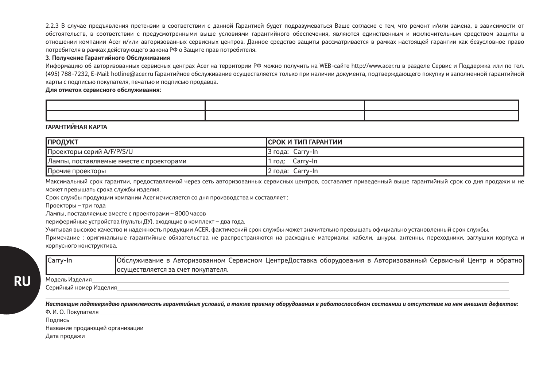2.2.3 В случае предъявления претензии в соответствии с данной Гарантией будет подразумеваться Ваше согласие с тем, что ремонт и/или замена, в зависимости от обстоятельств, в соответствии с предусмотренными выше условиями гарантийного обеспечения, являются единственным и исключительным средством защиты в отношении компании Acer и/или авторизованных сервисных центров. Данное средство защиты рассматривается в рамках настоящей гарантии как безусловное право потребителя в рамках действующего закона РФ о Защите прав потребителя.

#### **3. Получение Гарантийного Обслуживания**

Информацию об авторизованных сервисных центрах Acer на территории РФ можно получить на WEB-сайте http://www.acer.ru в разделе Сервис и Поддержка или по тел. (495) 788-7232, E-Mail: hotline@acer.ru Гарантийное обслуживание осуществляется только при наличии документа, подтверждающего покупку и заполненной гарантийной карты с подписью покупателя, печатью и подписью продавца.

**Для отметок сервисного обслуживания:**

**ГАРАНТИЙНАЯ КАРТА**

| <b>ПРОДУКТ</b>                           | <b>ІСРОК И ТИП ГАРАНТИИ</b> |
|------------------------------------------|-----------------------------|
| Проекторы серий A/F/P/S/U                | Carry-In<br>3 года          |
| Лампы, поставляемые вместе с проекторами | Carrv-In<br>год:            |
| Прочие проекторы                         | Carry-In<br>2 года:         |

Максимальный срок гарантии, предоставляемой через сеть авторизованных сервисных центров, составляет приведенный выше гарантийный срок со дня продажи и не может превышать срока службы изделия.

Срок службы продукции компании Acer исчисляется со дня производства и составляет :

Проекторы – три года

Лампы, поставляемые вместе с проекторами – 8000 часов

периферийные устройства (пульты ДУ), входящие в комплект – два года.

Учитывая высокое качество и надежность продукции ACER, фактический срок службы может значительно превышать официально установленный срок службы.

Модель Изделия

Примечание : оригинальные гарантийные обязательства не распространяются на расходные материалы: кабели, шнуры, антенны, переходники, заглушки корпуса и корпусного конструктива.

| Carry-In | Обслуживание в Авторизованном Сервисном ЦентреДоставка оборудования в Авторизованный Сервисный Центр и обратно |
|----------|----------------------------------------------------------------------------------------------------------------|
|          | Госуществляется за счет покупателя.                                                                            |

Серийный номер Изделия

*Настоящим подтверждаю приемлемость гарантийных условий, а также приемку оборудования в работоспособном состоянии и отсутствие на нем внешних дефектов:* Ф. И. О. Покупателя

Подпись

Название продающей организации

Дата продажи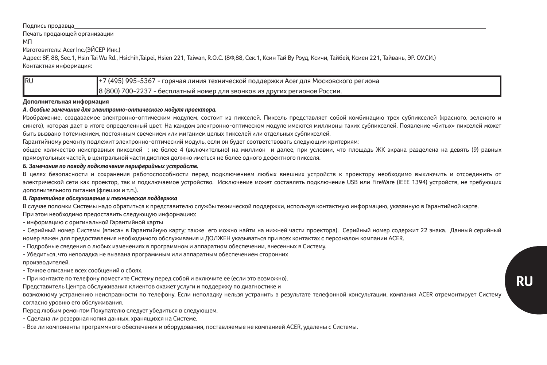#### Подпись продавца

Печать продающей организации

МП

Изготовитель: Acer Inc.(ЭЙСЕР Инк.)

Адрес: 8F, 88, Sec.1, Hsin Tai Wu Rd., Hsichih,Taipei, Hsien 221, Taiwan, R.O.C. (8Ф,88, Сек.1, Ксин Тай Ву Роуд, Ксичи, Тайбей, Ксиен 221, Тайвань, ЭР. ОУ.СИ.) Контактная информация:

| <b>IRU</b> | +7 (495) 995-5367 - горячая линия технической поддержки Acer для Московского региона |
|------------|--------------------------------------------------------------------------------------|
|            | 8 (800) 700-2237 - бесплатный номер для звонков из других регионов России.           |

#### **Дополнительная информация**

### *А. Особые замечания для электронно-оптического модуля проектора.*

Изображение, создаваемое электронно-оптическим модулем, состоит из пикселей. Пиксель представляет собой комбинацию трех субпикселей (красного, зеленого и синего), которая дает в итоге определенный цвет. На каждом электронно-оптическом модуле имеются миллионы таких субпикселей. Появление «битых» пикселей может

быть вызвано потемнением, постоянным свечением или миганием целых пикселей или отдельных субпикселей.

Гарантийному ремонту подлежит электронно-оптический модуль, если он будет соответствовать следующим критериям:

общее количество неисправных пикселей : не более 4 (включительно) на миллион и далее, при условии, что площадь ЖК экрана разделена на девять (9) равных прямоугольных частей, в центральной части дисплея должно иметься не более одного дефектного пикселя.

### *Б. Замечания по поводу подключения периферийных устройств.*

В целях безопасности и сохранения работоспособности перед подключением любых внешних устройств к проектору необходимо выключить и отсоединить от электрической сети как проектор, так и подключаемое устройство. Исключение может составлять подключение USB или FireWare (IEEE 1394) устройств, не требующих дополнительного питания (флешки и т.п.).

### *В. Гарантийное обслуживание и техническая поддержка*

В случае поломки Системы надо обратиться к представителю службы технической поддержки, используя контактную информацию, указанную в Гарантийной карте.

При этом необходимо предоставить следующую информацию:

- информацию с оригинальной Гарантийной карты

- Серийный номер Системы (вписан в Гарантийную карту; также его можно найти на нижней части проектора). Серийный номер содержит 22 знака. Данный серийный номер важен для предоставления необходимого обслуживания и ДОЛЖЕН указываться при всех контактах с персоналом компании ACER.

- Подробные сведения о любых изменениях в программном и аппаратном обеспечении, внесенных в Систему.

- Убедиться, что неполадка не вызвана программным или аппаратным обеспечением сторонних

производителей.

- Точное описание всех сообщений о сбоях.

- При контакте по телефону поместите Систему перед собой и включите ее (если это возможно).

Представитель Центра обслуживания клиентов окажет услуги и поддержку по диагностике и

возможному устранению неисправности по телефону. Если неполадку нельзя устранить в результате телефонной консультации, компания ACER отремонтирует Систему согласно уровню его обслуживания.

Перед любым ремонтом Покупателю следует убедиться в следующем.

- Сделана ли резервная копия данных, хранящихся на Системе.

- Все ли компоненты программного обеспечения и оборудования, поставляемые не компанией ACER, удалены с Системы.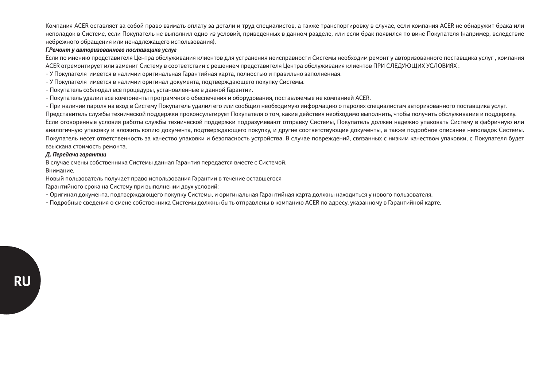Компания ACER оставляет за собой право взимать оплату за детали и труд специалистов, а также транспортировку в случае, если компания ACER не обнаружит брака или неполадок в Системе, если Покупатель не выполнил одно из условий, приведенных в данном разделе, или если брак появился по вине Покупателя (например, вследствие небрежного обращения или ненадлежащего использования).

#### *Г.Ремонт у авторизованного поставщика услуг*

Если по мнению представителя Центра обслуживания клиентов для устранения неисправности Системы необходим ремонт у авторизованного поставщика услуг , компания ACER отремонтирует или заменит Систему в соответствии с решением представителя Центра обслуживания клиентов ПРИ СЛЕДУЮЩИХ УСЛОВИЯХ :

- У Покупателя имеется в наличии оригинальная Гарантийная карта, полностью и правильно заполненная.

- У Покупателя имеется в наличии оригинал документа, подтверждающего покупку Системы.

- Покупатель соблюдал все процедуры, установленные в данной Гарантии.

- Покупатель удалил все компоненты программного обеспечения и оборудования, поставляемые не компанией ACER.

- При наличии пароля на вход в Систему Покупатель удалил его или сообщил необходимую информацию о паролях специалистам авторизованного поставщика услуг.

Представитель службы технической поддержки проконсультирует Покупателя о том, какие действия необходимо выполнить, чтобы получить обслуживание и поддержку. Если оговоренные условия работы службы технической поддержки подразумевают отправку Системы, Покупатель должен надежно упаковать Систему в фабричную или аналогичную упаковку и вложить копию документа, подтверждающего покупку, и другие соответствующие документы, а также подробное описание неполадок Системы. Покупатель несет ответственность за качество упаковки и безопасность устройства. В случае повреждений, связанных с низким качеством упаковки, с Покупателя будет взыскана стоимость ремонта.

#### *Д. Передача гарантии*

В случае смены собственника Системы данная Гарантия передается вместе с Системой. Внимание.

Новый пользователь получает право использования Гарантии в течение оставшегося

Гарантийного срока на Систему при выполнении двух условий:

- Оригинал документа, подтверждающего покупку Системы, и оригинальная Гарантийная карта должны находиться у нового пользователя.

- Подробные сведения о смене собственника Системы должны быть отправлены в компанию ACER по адресу, указанному в Гарантийной карте.